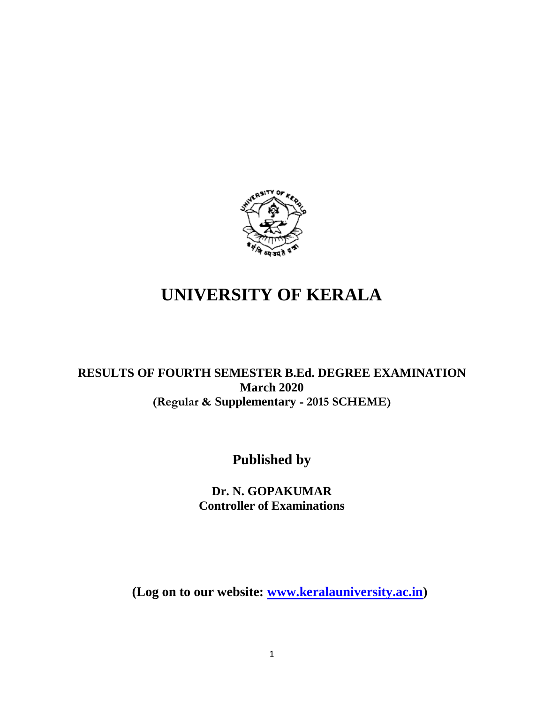

# **UNIVERSITY OF KERALA**

## **RESULTS OF FOURTH SEMESTER B.Ed. DEGREE EXAMINATION March 2020 (Regular & Supplementary - 2015 SCHEME)**

## **Published by**

## **Dr. N. GOPAKUMAR Controller of Examinations**

**(Log on to our website: [www.keralauniversity.ac.in\)](http://www.keralauniversity.ac.in/)**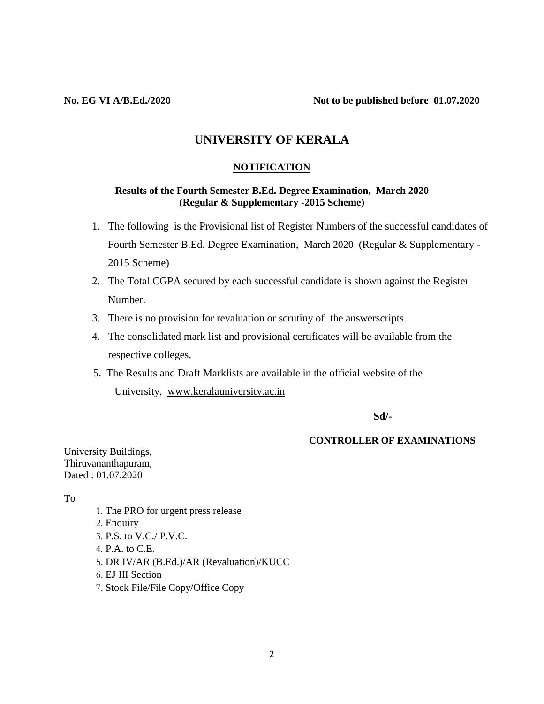## **UNIVERSITY OF KERALA**

#### **NOTIFICATION**

#### **Results of the Fourth Semester B.Ed. Degree Examination, March 2020 (Regular & Supplementary -2015 Scheme)**

- 1. The following is the Provisional list of Register Numbers of the successful candidates of Fourth Semester B.Ed. Degree Examination, March 2020 (Regular & Supplementary - 2015 Scheme)
- 2. The Total CGPA secured by each successful candidate is shown against the Register Number.
- 3. There is no provision for revaluation or scrutiny of the answerscripts.
- 4. The consolidated mark list and provisional certificates will be available from the respective colleges.
- 5. The Results and Draft Marklists are available in the official website of the University, [www.keralauniversity.ac.in](http://www.keralauniversity.ac.in/)

**Sd/-**

#### **CONTROLLER OF EXAMINATIONS**

University Buildings, Thiruvananthapuram, Dated : 01.07.2020

To

1. The PRO for urgent press release 2. Enquiry 3. P.S. to V.C./ P.V.C. 4. P.A. to C.E. 5. DR IV/AR (B.Ed.)/AR (Revaluation)/KUCC 6. EJ III Section 7. Stock File/File Copy/Office Copy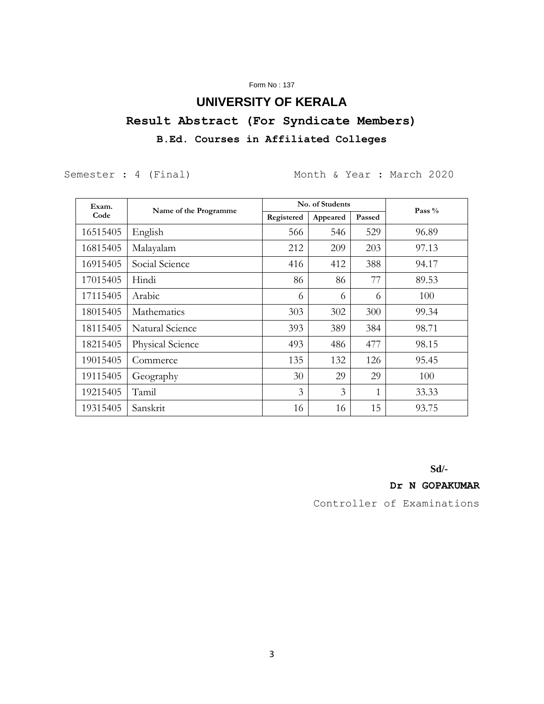### Form No : 137

## **UNIVERSITY OF KERALA**

**Result Abstract (For Syndicate Members)**

## **B.Ed. Courses in Affiliated Colleges**

Semester : 4 (Final) Month & Year : March 2020

| Exam.    | Name of the Programme | No. of Students          |          |        | Pass $%$ |
|----------|-----------------------|--------------------------|----------|--------|----------|
| Code     |                       | Registered               | Appeared | Passed |          |
| 16515405 | English               | 566                      | 546      | 529    | 96.89    |
| 16815405 | Malayalam             | 212                      | 209      | 203    | 97.13    |
| 16915405 | Social Science        | 416                      | 412      | 388    | 94.17    |
| 17015405 | Hindi                 | 86                       | 86       | 77     | 89.53    |
| 17115405 | Arabic                | 6                        | 6        | 6      | 100      |
| 18015405 | Mathematics           | 303                      | 302      | 300    | 99.34    |
| 18115405 | Natural Science       | 393                      | 389      | 384    | 98.71    |
| 18215405 | Physical Science      | 493                      | 486      | 477    | 98.15    |
| 19015405 | Commerce              | 135                      | 132      | 126    | 95.45    |
| 19115405 | Geography             | 30                       | 29       | 29     | 100      |
| 19215405 | Tamil                 | $\overline{\mathcal{E}}$ | 3        | 1      | 33.33    |
| 19315405 | Sanskrit              | 16                       | 16       | 15     | 93.75    |

**Sd/-**

**Dr N GOPAKUMAR**

Controller of Examinations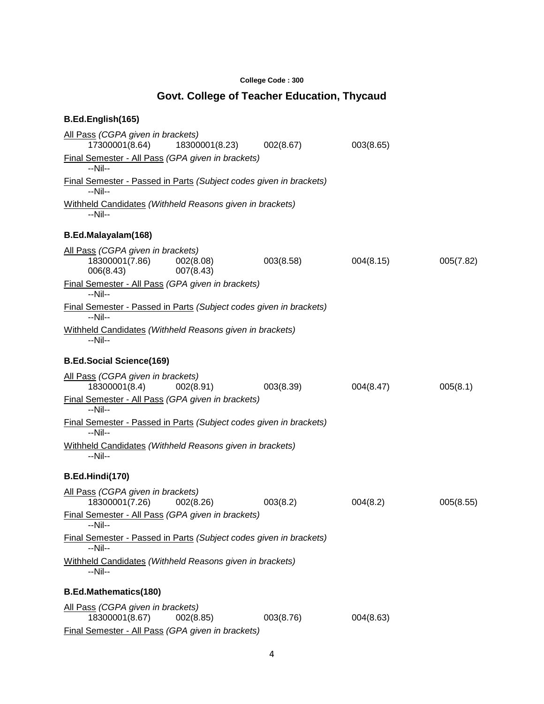### **College Code : 300**

## **Govt. College of Teacher Education, Thycaud**

| B.Ed.English(165)                                                             |                        |           |           |           |
|-------------------------------------------------------------------------------|------------------------|-----------|-----------|-----------|
| All Pass (CGPA given in brackets)<br>17300001(8.64)                           | 18300001(8.23)         | 002(8.67) | 003(8.65) |           |
| Final Semester - All Pass (GPA given in brackets)<br>--Nil--                  |                        |           |           |           |
| Final Semester - Passed in Parts (Subject codes given in brackets)<br>--Nil-- |                        |           |           |           |
| Withheld Candidates (Withheld Reasons given in brackets)<br>$-Nil-$           |                        |           |           |           |
| B.Ed.Malayalam(168)                                                           |                        |           |           |           |
| All Pass (CGPA given in brackets)<br>18300001(7.86)<br>006(8.43)              | 002(8.08)<br>007(8.43) | 003(8.58) | 004(8.15) | 005(7.82) |
| Final Semester - All Pass (GPA given in brackets)<br>$-Nil-$                  |                        |           |           |           |
| Final Semester - Passed in Parts (Subject codes given in brackets)<br>--Nil-- |                        |           |           |           |
| Withheld Candidates (Withheld Reasons given in brackets)<br>--Nil--           |                        |           |           |           |
| <b>B.Ed.Social Science(169)</b>                                               |                        |           |           |           |
| All Pass (CGPA given in brackets)<br>18300001(8.4)                            | 002(8.91)              | 003(8.39) | 004(8.47) | 005(8.1)  |
| Final Semester - All Pass (GPA given in brackets)<br>$-Nil-$                  |                        |           |           |           |
| Final Semester - Passed in Parts (Subject codes given in brackets)<br>--Nil-- |                        |           |           |           |
| Withheld Candidates (Withheld Reasons given in brackets)<br>--Nil--           |                        |           |           |           |
| B.Ed.Hindi(170)                                                               |                        |           |           |           |
| All Pass (CGPA given in brackets)<br>18300001(7.26)                           | 002(8.26)              | 003(8.2)  | 004(8.2)  | 005(8.55) |
| Final Semester - All Pass (GPA given in brackets)<br>--Nil--                  |                        |           |           |           |
| Final Semester - Passed in Parts (Subject codes given in brackets)<br>--Nil-- |                        |           |           |           |
| Withheld Candidates (Withheld Reasons given in brackets)<br>--Nil--           |                        |           |           |           |
| <b>B.Ed.Mathematics(180)</b>                                                  |                        |           |           |           |
| All Pass (CGPA given in brackets)<br>18300001(8.67)                           | 002(8.85)              | 003(8.76) | 004(8.63) |           |
| Final Semester - All Pass (GPA given in brackets)                             |                        |           |           |           |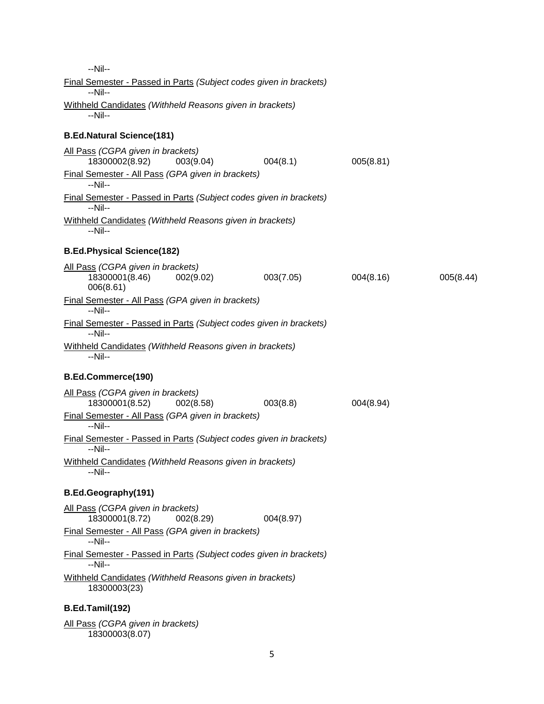--Nil-- Final Semester - Passed in Parts *(Subject codes given in brackets)* --Nil-- Withheld Candidates *(Withheld Reasons given in brackets)* --Nil-- **B.Ed.Natural Science(181)** All Pass *(CGPA given in brackets)* 18300002(8.92) 003(9.04) 004(8.1) 005(8.81) Final Semester - All Pass *(GPA given in brackets)* --Nil-- Final Semester - Passed in Parts *(Subject codes given in brackets)* --Nil-- Withheld Candidates *(Withheld Reasons given in brackets)* --Nil-- **B.Ed.Physical Science(182)** All Pass *(CGPA given in brackets)* 18300001(8.46) 002(9.02) 003(7.05) 004(8.16) 005(8.44) 006(8.61) Final Semester - All Pass *(GPA given in brackets)* --Nil-- Final Semester - Passed in Parts *(Subject codes given in brackets)* --Nil-- Withheld Candidates *(Withheld Reasons given in brackets)* --Nil-- **B.Ed.Commerce(190)** All Pass *(CGPA given in brackets)* 18300001(8.52) 002(8.58) 003(8.8) 004(8.94) Final Semester - All Pass *(GPA given in brackets)* --Nil-- Final Semester - Passed in Parts *(Subject codes given in brackets)* --Nil-- Withheld Candidates *(Withheld Reasons given in brackets)* --Nil-- **B.Ed.Geography(191)** All Pass *(CGPA given in brackets)* 18300001(8.72) 002(8.29) 004(8.97) Final Semester - All Pass *(GPA given in brackets)* --Nil-- Final Semester - Passed in Parts *(Subject codes given in brackets)* --Nil-- Withheld Candidates *(Withheld Reasons given in brackets)* 18300003(23) **B.Ed.Tamil(192)** All Pass *(CGPA given in brackets)*

18300003(8.07)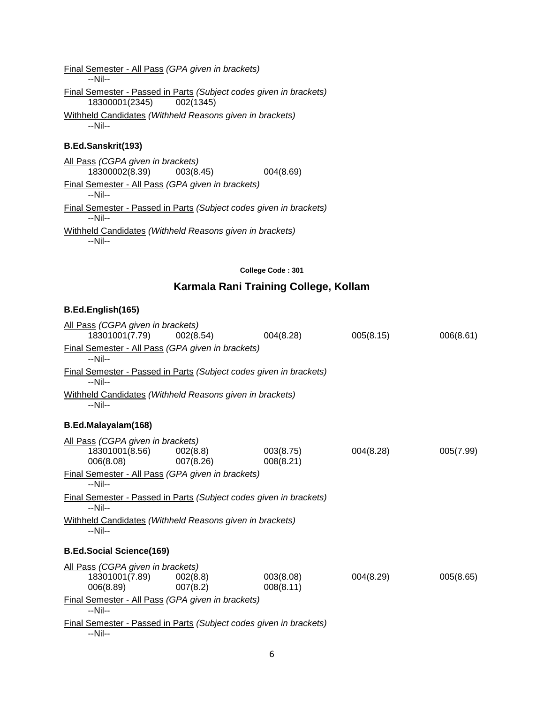| Final Semester - All Pass (GPA given in brackets)<br>--Nil--                                   |           |
|------------------------------------------------------------------------------------------------|-----------|
| Final Semester - Passed in Parts (Subject codes given in brackets)<br>18300001(2345) 002(1345) |           |
| Withheld Candidates (Withheld Reasons given in brackets)<br>$-Nil-$                            |           |
| <b>B.Ed.Sanskrit(193)</b>                                                                      |           |
| All Pass (CGPA given in brackets)<br>18300002(8.39) 003(8.45)                                  | 004(8.69) |
| Final Semester - All Pass (GPA given in brackets)<br>$-Nil-$                                   |           |
| Final Semester - Passed in Parts (Subject codes given in brackets)<br>--Nil--                  |           |
|                                                                                                |           |

Withheld Candidates *(Withheld Reasons given in brackets)* --Nil--

#### **College Code : 301**

## **Karmala Rani Training College, Kollam**

## **B.Ed.English(165)**

| All Pass (CGPA given in brackets)<br>18301001(7.79)                           | 002(8.54)             | 004(8.28)              | 005(8.15) | 006(8.61) |
|-------------------------------------------------------------------------------|-----------------------|------------------------|-----------|-----------|
| Final Semester - All Pass (GPA given in brackets)<br>--Nil--                  |                       |                        |           |           |
| Final Semester - Passed in Parts (Subject codes given in brackets)<br>$-Nil-$ |                       |                        |           |           |
| Withheld Candidates (Withheld Reasons given in brackets)<br>--Nil--           |                       |                        |           |           |
| B.Ed.Malayalam(168)                                                           |                       |                        |           |           |
| All Pass (CGPA given in brackets)<br>18301001(8.56)<br>006(8.08)              | 002(8.8)<br>007(8.26) | 003(8.75)<br>008(8.21) | 004(8.28) | 005(7.99) |
| Final Semester - All Pass (GPA given in brackets)<br>$-Nil-$                  |                       |                        |           |           |
| Final Semester - Passed in Parts (Subject codes given in brackets)<br>$-Nil-$ |                       |                        |           |           |
| Withheld Candidates (Withheld Reasons given in brackets)<br>$-Nil-$           |                       |                        |           |           |
| <b>B.Ed.Social Science(169)</b>                                               |                       |                        |           |           |
| All Pass (CGPA given in brackets)                                             |                       |                        |           |           |
| 18301001(7.89)<br>006(8.89)                                                   | 002(8.8)<br>007(8.2)  | 003(8.08)<br>008(8.11) | 004(8.29) | 005(8.65) |
| Final Semester - All Pass (GPA given in brackets)<br>$-Nil-$                  |                       |                        |           |           |
| Final Semester - Passed in Parts (Subject codes given in brackets)            |                       |                        |           |           |

--Nil--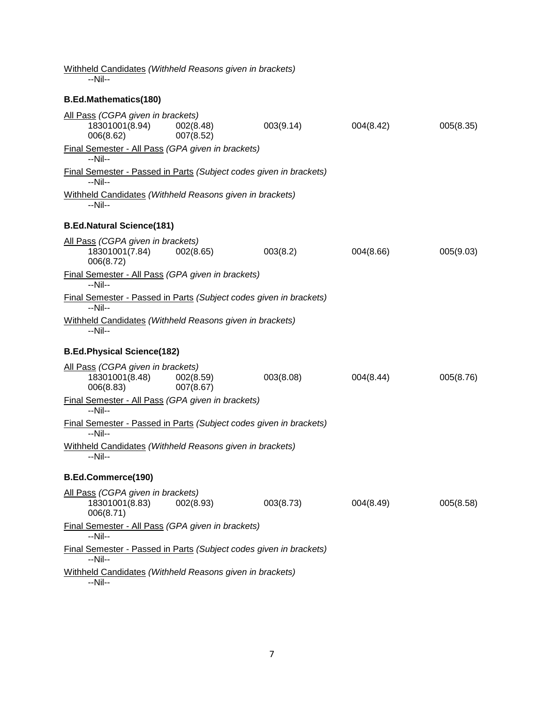| Withheld Candidates (Withheld Reasons given in brackets)<br>$-Nil-$                                                   |                        |           |           |           |
|-----------------------------------------------------------------------------------------------------------------------|------------------------|-----------|-----------|-----------|
| <b>B.Ed.Mathematics(180)</b>                                                                                          |                        |           |           |           |
| All Pass (CGPA given in brackets)<br>18301001(8.94)<br>006(8.62)<br>Final Semester - All Pass (GPA given in brackets) | 002(8.48)<br>007(8.52) | 003(9.14) | 004(8.42) | 005(8.35) |
| $-Nil-$                                                                                                               |                        |           |           |           |
| Final Semester - Passed in Parts (Subject codes given in brackets)<br>--Nil--                                         |                        |           |           |           |
| Withheld Candidates (Withheld Reasons given in brackets)<br>--Nil--                                                   |                        |           |           |           |
| <b>B.Ed.Natural Science(181)</b>                                                                                      |                        |           |           |           |
| All Pass (CGPA given in brackets)<br>18301001(7.84)<br>006(8.72)                                                      | 002(8.65)              | 003(8.2)  | 004(8.66) | 005(9.03) |
| Final Semester - All Pass (GPA given in brackets)<br>$-Nil-$                                                          |                        |           |           |           |
| Final Semester - Passed in Parts (Subject codes given in brackets)<br>$-Nil-$                                         |                        |           |           |           |
| Withheld Candidates (Withheld Reasons given in brackets)<br>--Nil--                                                   |                        |           |           |           |
| <b>B.Ed.Physical Science(182)</b>                                                                                     |                        |           |           |           |
| All Pass (CGPA given in brackets)<br>18301001(8.48)<br>006(8.83)                                                      | 002(8.59)<br>007(8.67) | 003(8.08) | 004(8.44) | 005(8.76) |
| Final Semester - All Pass (GPA given in brackets)<br>$-Nil-$                                                          |                        |           |           |           |
| Final Semester - Passed in Parts (Subject codes given in brackets)<br>$-Nil-$                                         |                        |           |           |           |
| Withheld Candidates (Withheld Reasons given in brackets)<br>--Nil--                                                   |                        |           |           |           |
| B.Ed.Commerce(190)                                                                                                    |                        |           |           |           |
| All Pass (CGPA given in brackets)<br>18301001(8.83)<br>006(8.71)                                                      | 002(8.93)              | 003(8.73) | 004(8.49) | 005(8.58) |
| Final Semester - All Pass (GPA given in brackets)<br>$-Nil-$                                                          |                        |           |           |           |
| Final Semester - Passed in Parts (Subject codes given in brackets)<br>--Nil--                                         |                        |           |           |           |
| Withheld Candidates (Withheld Reasons given in brackets)<br>$-Nil-$                                                   |                        |           |           |           |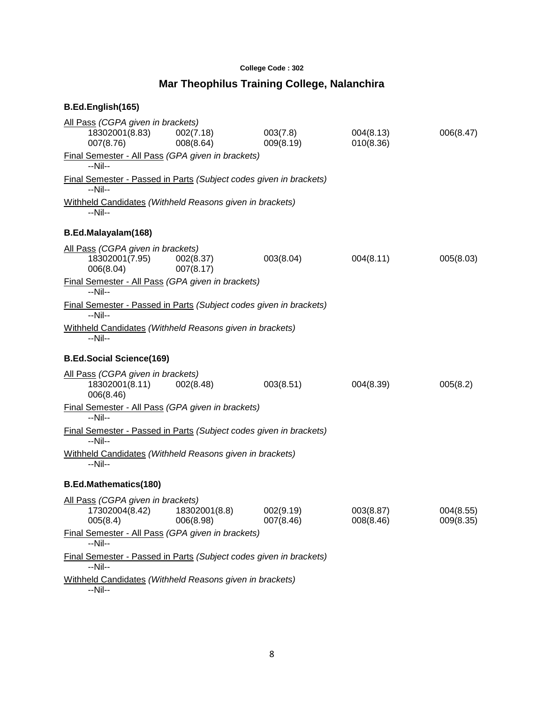## **College Code : 302**

## **Mar Theophilus Training College, Nalanchira**

| B.Ed.English(165)                                                                    |                            |                        |                        |                        |
|--------------------------------------------------------------------------------------|----------------------------|------------------------|------------------------|------------------------|
| All Pass (CGPA given in brackets)<br>18302001(8.83)<br>007(8.76)                     | 002(7.18)<br>008(8.64)     | 003(7.8)<br>009(8.19)  | 004(8.13)<br>010(8.36) | 006(8.47)              |
| Final Semester - All Pass (GPA given in brackets)<br>$-Nil-$                         |                            |                        |                        |                        |
| <b>Final Semester - Passed in Parts (Subject codes given in brackets)</b><br>$-Nil-$ |                            |                        |                        |                        |
| Withheld Candidates (Withheld Reasons given in brackets)<br>--Nil--                  |                            |                        |                        |                        |
| B.Ed.Malayalam(168)                                                                  |                            |                        |                        |                        |
| All Pass (CGPA given in brackets)<br>18302001(7.95) 002(8.37)<br>006(8.04)           | 007(8.17)                  | 003(8.04)              | 004(8.11)              | 005(8.03)              |
| Final Semester - All Pass (GPA given in brackets)<br>--Nil--                         |                            |                        |                        |                        |
| Final Semester - Passed in Parts (Subject codes given in brackets)<br>$-Nil-$        |                            |                        |                        |                        |
| Withheld Candidates (Withheld Reasons given in brackets)<br>$-Nil-$                  |                            |                        |                        |                        |
| <b>B.Ed.Social Science(169)</b>                                                      |                            |                        |                        |                        |
| All Pass (CGPA given in brackets)<br>18302001(8.11)<br>006(8.46)                     | 002(8.48)                  | 003(8.51)              | 004(8.39)              | 005(8.2)               |
| Final Semester - All Pass (GPA given in brackets)<br>--Nil--                         |                            |                        |                        |                        |
| Final Semester - Passed in Parts (Subject codes given in brackets)<br>--Nil--        |                            |                        |                        |                        |
| Withheld Candidates (Withheld Reasons given in brackets)<br>$-Nil-$                  |                            |                        |                        |                        |
| <b>B.Ed.Mathematics(180)</b>                                                         |                            |                        |                        |                        |
| All Pass (CGPA given in brackets)<br>17302004(8.42)<br>005(8.4)                      | 18302001(8.8)<br>006(8.98) | 002(9.19)<br>007(8.46) | 003(8.87)<br>008(8.46) | 004(8.55)<br>009(8.35) |
| Final Semester - All Pass (GPA given in brackets)<br>$-Nil-$                         |                            |                        |                        |                        |
| Final Semester - Passed in Parts (Subject codes given in brackets)<br>--Nil--        |                            |                        |                        |                        |
| Withheld Candidates (Withheld Reasons given in brackets)<br>--Nil--                  |                            |                        |                        |                        |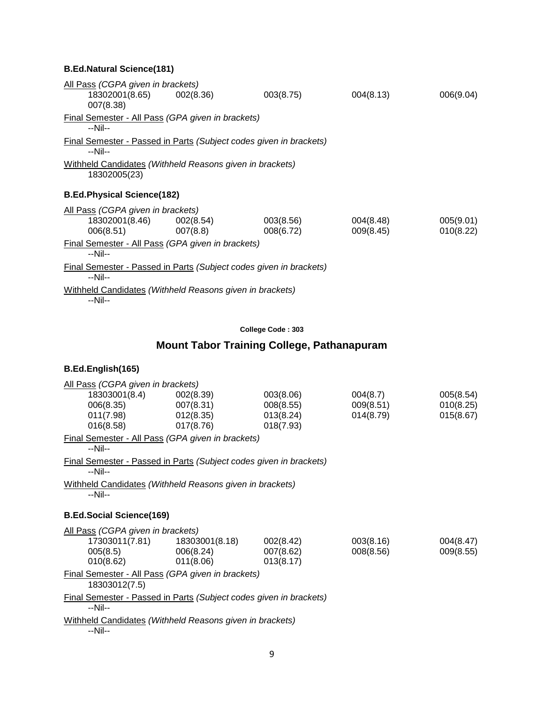## **B.Ed.Natural Science(181)**

| All Pass (CGPA given in brackets)<br>18302001(8.65) 002(8.36)<br>007(8.38)      |          | 003(8.75) | 004(8.13) | 006(9.04) |
|---------------------------------------------------------------------------------|----------|-----------|-----------|-----------|
| Final Semester - All Pass (GPA given in brackets)<br>$-Nil-$                    |          |           |           |           |
| Final Semester - Passed in Parts (Subject codes given in brackets)<br>$-N$ il-- |          |           |           |           |
| Withheld Candidates (Withheld Reasons given in brackets)<br>18302005(23)        |          |           |           |           |
| <b>B.Ed.Physical Science(182)</b>                                               |          |           |           |           |
| All Pass (CGPA given in brackets)<br>18302001(8.46) 002(8.54)                   |          | 003(8.56) | 004(8.48) | 005(9.01) |
| 006(8.51)<br>Final Semester - All Pass (GPA given in brackets)<br>$-Nil-$       | 007(8.8) | 008(6.72) | 009(8.45) | 010(8.22) |
| Final Semester - Passed in Parts (Subject codes given in brackets)<br>$-Nil-$   |          |           |           |           |
| Withheld Candidates (Withheld Reasons given in brackets)<br>$-Nil-$             |          |           |           |           |
|                                                                                 |          |           |           |           |

### **College Code : 303**

## **Mount Tabor Training College, Pathanapuram**

| All Pass (CGPA given in brackets)                                             |           |           |           |           |
|-------------------------------------------------------------------------------|-----------|-----------|-----------|-----------|
| 18303001(8.4) 002(8.39)                                                       |           | 003(8.06) | 004(8.7)  | 005(8.54) |
| $006(8.35)$ 007(8.31)                                                         |           | 008(8.55) | 009(8.51) | 010(8.25) |
| $011(7.98)$ $012(8.35)$                                                       |           | 013(8.24) | 014(8.79) | 015(8.67) |
| 016(8.58)                                                                     | 017(8.76) | 018(7.93) |           |           |
| Final Semester - All Pass (GPA given in brackets)<br>$-Nil-$                  |           |           |           |           |
| Final Semester - Passed in Parts (Subject codes given in brackets)<br>$-Nil-$ |           |           |           |           |
| Withheld Candidates (Withheld Reasons given in brackets)<br>--Nil--           |           |           |           |           |
| <b>B.Ed.Social Science(169)</b>                                               |           |           |           |           |
|                                                                               |           |           |           |           |
| All Pass (CGPA given in brackets)                                             |           |           |           |           |
|                                                                               |           | 002(8.42) | 003(8.16) | 004(8.47) |
| 005(8.5)                                                                      | 006(8.24) | 007(8.62) | 008(8.56) | 009(8.55) |
| 010(8.62)                                                                     | 011(8.06) | 013(8.17) |           |           |
| Final Semester - All Pass (GPA given in brackets)<br>18303012(7.5)            |           |           |           |           |
| Final Semester - Passed in Parts (Subject codes given in brackets)<br>$-Nil-$ |           |           |           |           |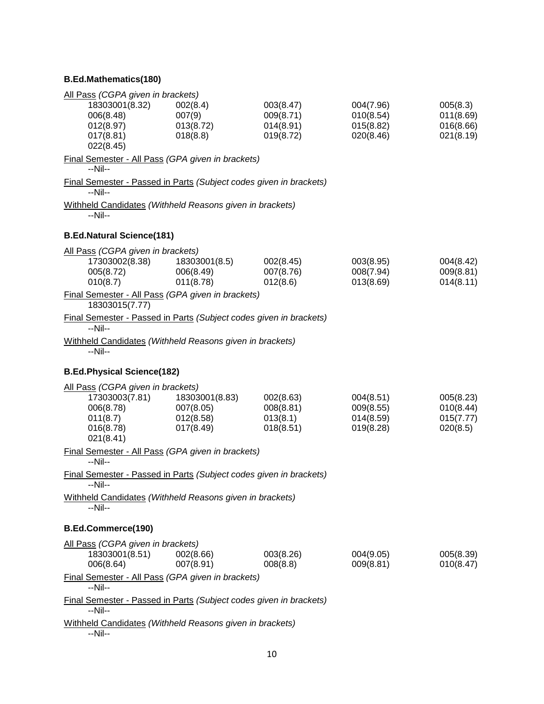## **B.Ed.Mathematics(180)**

| All Pass (CGPA given in brackets)                                             |                        |                        |                        |                        |
|-------------------------------------------------------------------------------|------------------------|------------------------|------------------------|------------------------|
| 18303001(8.32)<br>006(8.48)                                                   | 002(8.4)<br>007(9)     | 003(8.47)<br>009(8.71) | 004(7.96)<br>010(8.54) | 005(8.3)<br>011(8.69)  |
| 012(8.97)                                                                     | 013(8.72)              | 014(8.91)              | 015(8.82)              | 016(8.66)              |
| 017(8.81)<br>022(8.45)                                                        | 018(8.8)               | 019(8.72)              | 020(8.46)              | 021(8.19)              |
| Final Semester - All Pass (GPA given in brackets)<br>--Nil--                  |                        |                        |                        |                        |
| Final Semester - Passed in Parts (Subject codes given in brackets)            |                        |                        |                        |                        |
| $-Nil-$                                                                       |                        |                        |                        |                        |
| Withheld Candidates (Withheld Reasons given in brackets)<br>--Nil--           |                        |                        |                        |                        |
| <b>B.Ed.Natural Science(181)</b>                                              |                        |                        |                        |                        |
| All Pass (CGPA given in brackets)                                             |                        |                        |                        |                        |
| 17303002(8.38)                                                                | 18303001(8.5)          | 002(8.45)              | 003(8.95)              | 004(8.42)              |
| 005(8.72)<br>010(8.7)                                                         | 006(8.49)<br>011(8.78) | 007(8.76)<br>012(8.6)  | 008(7.94)<br>013(8.69) | 009(8.81)<br>014(8.11) |
| Final Semester - All Pass (GPA given in brackets)<br>18303015(7.77)           |                        |                        |                        |                        |
| Final Semester - Passed in Parts (Subject codes given in brackets)<br>$-Nil-$ |                        |                        |                        |                        |
| Withheld Candidates (Withheld Reasons given in brackets)<br>--Nil--           |                        |                        |                        |                        |
| <b>B.Ed.Physical Science(182)</b>                                             |                        |                        |                        |                        |
| All Pass (CGPA given in brackets)                                             |                        |                        |                        |                        |
| 17303003(7.81)                                                                | 18303001(8.83)         | 002(8.63)              | 004(8.51)              | 005(8.23)              |
| 006(8.78)<br>011(8.7)                                                         | 007(8.05)<br>012(8.58) | 008(8.81)<br>013(8.1)  | 009(8.55)<br>014(8.59) | 010(8.44)<br>015(7.77) |
| 016(8.78)                                                                     | 017(8.49)              | 018(8.51)              | 019(8.28)              | 020(8.5)               |
| 021(8.41)                                                                     |                        |                        |                        |                        |
| Final Semester - All Pass (GPA given in brackets)<br>$-Nil-$                  |                        |                        |                        |                        |
| Final Semester - Passed in Parts (Subject codes given in brackets)<br>--Nil-- |                        |                        |                        |                        |
| Withheld Candidates (Withheld Reasons given in brackets)                      |                        |                        |                        |                        |
| --Nil--                                                                       |                        |                        |                        |                        |
| <b>B.Ed.Commerce(190)</b>                                                     |                        |                        |                        |                        |
| All Pass (CGPA given in brackets)                                             |                        |                        |                        |                        |
| 18303001(8.51)<br>006(8.64)                                                   | 002(8.66)<br>007(8.91) | 003(8.26)<br>008(8.8)  | 004(9.05)<br>009(8.81) | 005(8.39)<br>010(8.47) |
| Final Semester - All Pass (GPA given in brackets)                             |                        |                        |                        |                        |
| --Nil--                                                                       |                        |                        |                        |                        |
| Final Semester - Passed in Parts (Subject codes given in brackets)<br>--Nil-- |                        |                        |                        |                        |
| Withheld Candidates (Withheld Reasons given in brackets)<br>--Nil--           |                        |                        |                        |                        |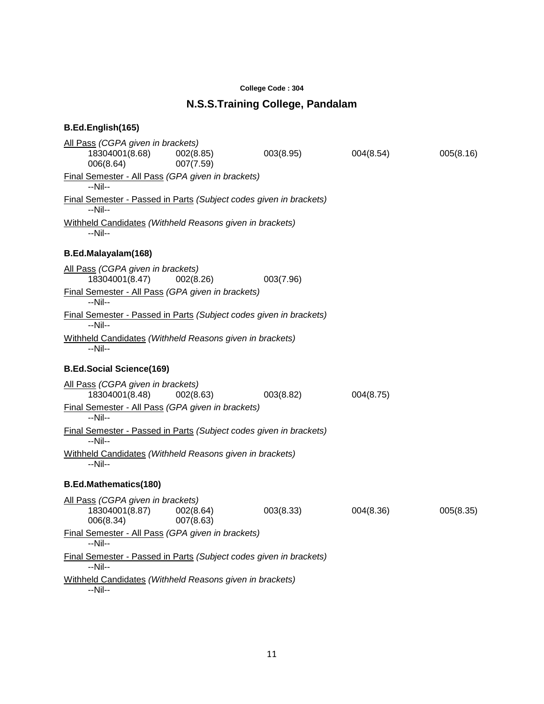#### **College Code : 304**

## **N.S.S.Training College, Pandalam**

| All Pass (CGPA given in brackets)                                             |                        |           |           |           |
|-------------------------------------------------------------------------------|------------------------|-----------|-----------|-----------|
| 18304001(8.68)<br>006(8.64)                                                   | 002(8.85)<br>007(7.59) | 003(8.95) | 004(8.54) | 005(8.16) |
| Final Semester - All Pass (GPA given in brackets)<br>--Nil--                  |                        |           |           |           |
| Final Semester - Passed in Parts (Subject codes given in brackets)<br>--Nil-- |                        |           |           |           |
| Withheld Candidates (Withheld Reasons given in brackets)<br>--Nil--           |                        |           |           |           |
| B.Ed.Malayalam(168)                                                           |                        |           |           |           |
| All Pass (CGPA given in brackets)<br>18304001(8.47)                           | 002(8.26)              | 003(7.96) |           |           |
| Final Semester - All Pass (GPA given in brackets)<br>$-Nil-$                  |                        |           |           |           |
| Final Semester - Passed in Parts (Subject codes given in brackets)<br>--Nil-- |                        |           |           |           |
| Withheld Candidates (Withheld Reasons given in brackets)<br>$-Nil-$           |                        |           |           |           |
| <b>B.Ed.Social Science(169)</b>                                               |                        |           |           |           |
| All Pass (CGPA given in brackets)<br>18304001(8.48)                           | 002(8.63)              | 003(8.82) | 004(8.75) |           |
| Final Semester - All Pass (GPA given in brackets)<br>$-Nil-$                  |                        |           |           |           |
| Final Semester - Passed in Parts (Subject codes given in brackets)<br>$-Nil-$ |                        |           |           |           |
| Withheld Candidates (Withheld Reasons given in brackets)<br>--Nil--           |                        |           |           |           |
| <b>B.Ed.Mathematics(180)</b>                                                  |                        |           |           |           |
| All Pass (CGPA given in brackets)<br>18304001(8.87)<br>006(8.34)              | 002(8.64)<br>007(8.63) | 003(8.33) | 004(8.36) | 005(8.35) |
| Final Semester - All Pass (GPA given in brackets)<br>--Nil--                  |                        |           |           |           |
| Final Semester - Passed in Parts (Subject codes given in brackets)<br>$-Nil-$ |                        |           |           |           |
| Withheld Candidates (Withheld Reasons given in brackets)<br>--Nil--           |                        |           |           |           |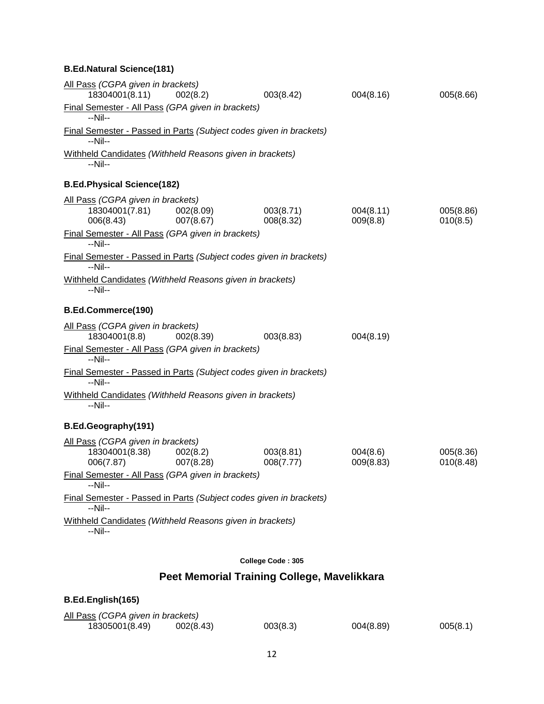## **B.Ed.Natural Science(181)**

| All Pass (CGPA given in brackets)<br>18304001(8.11)                           | 002(8.2)               | 003(8.42)                                   | 004(8.16)             | 005(8.66)              |
|-------------------------------------------------------------------------------|------------------------|---------------------------------------------|-----------------------|------------------------|
| Final Semester - All Pass (GPA given in brackets)                             |                        |                                             |                       |                        |
| --Nil--                                                                       |                        |                                             |                       |                        |
| Final Semester - Passed in Parts (Subject codes given in brackets)<br>--Nil-- |                        |                                             |                       |                        |
| Withheld Candidates (Withheld Reasons given in brackets)<br>--Nil--           |                        |                                             |                       |                        |
| <b>B.Ed.Physical Science(182)</b>                                             |                        |                                             |                       |                        |
| All Pass (CGPA given in brackets)                                             |                        |                                             |                       |                        |
| 18304001(7.81)<br>006(8.43)                                                   | 002(8.09)<br>007(8.67) | 003(8.71)<br>008(8.32)                      | 004(8.11)<br>009(8.8) | 005(8.86)<br>010(8.5)  |
| Final Semester - All Pass (GPA given in brackets)<br>$-Nil-$                  |                        |                                             |                       |                        |
| Final Semester - Passed in Parts (Subject codes given in brackets)<br>$-Nil-$ |                        |                                             |                       |                        |
| Withheld Candidates (Withheld Reasons given in brackets)<br>--Nil--           |                        |                                             |                       |                        |
| B.Ed.Commerce(190)                                                            |                        |                                             |                       |                        |
| All Pass (CGPA given in brackets)<br>18304001(8.8)                            | 002(8.39)              | 003(8.83)                                   | 004(8.19)             |                        |
| Final Semester - All Pass (GPA given in brackets)<br>--Nil--                  |                        |                                             |                       |                        |
| Final Semester - Passed in Parts (Subject codes given in brackets)<br>$-Nil-$ |                        |                                             |                       |                        |
| Withheld Candidates (Withheld Reasons given in brackets)<br>--Nil--           |                        |                                             |                       |                        |
| B.Ed.Geography(191)                                                           |                        |                                             |                       |                        |
| All Pass (CGPA given in brackets)                                             |                        |                                             |                       |                        |
| 18304001(8.38)<br>006(7.87)                                                   | 002(8.2)<br>007(8.28)  | 003(8.81)<br>008(7.77)                      | 004(8.6)<br>009(8.83) | 005(8.36)<br>010(8.48) |
| Final Semester - All Pass (GPA given in brackets)<br>--Nil--                  |                        |                                             |                       |                        |
| Final Semester - Passed in Parts (Subject codes given in brackets)<br>--Nil-- |                        |                                             |                       |                        |
| Withheld Candidates (Withheld Reasons given in brackets)<br>--Nil--           |                        |                                             |                       |                        |
|                                                                               |                        | College Code: 305                           |                       |                        |
|                                                                               |                        | Peet Memorial Training College, Mavelikkara |                       |                        |

| B.Ed.English(165)                 |           |          |           |          |
|-----------------------------------|-----------|----------|-----------|----------|
| All Pass (CGPA given in brackets) |           |          |           |          |
| 18305001(8.49)                    | 002(8.43) | 003(8.3) | 004(8.89) | 005(8.1) |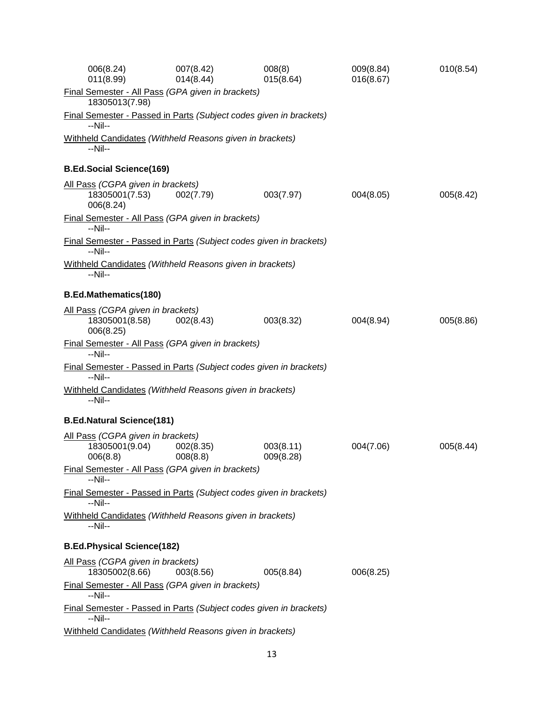| 006(8.24)<br>011(8.99)                                                               | 007(8.42)<br>014(8.44) | 008(8)<br>015(8.64)    | 009(8.84)<br>016(8.67) | 010(8.54) |
|--------------------------------------------------------------------------------------|------------------------|------------------------|------------------------|-----------|
| <b>Final Semester - All Pass (GPA given in brackets)</b><br>18305013(7.98)           |                        |                        |                        |           |
| Final Semester - Passed in Parts (Subject codes given in brackets)<br>$-Nil-$        |                        |                        |                        |           |
| Withheld Candidates (Withheld Reasons given in brackets)<br>--Nil--                  |                        |                        |                        |           |
| <b>B.Ed.Social Science(169)</b>                                                      |                        |                        |                        |           |
| All Pass (CGPA given in brackets)<br>18305001(7.53)<br>006(8.24)                     | 002(7.79)              | 003(7.97)              | 004(8.05)              | 005(8.42) |
| Final Semester - All Pass (GPA given in brackets)<br>$-Nil-$                         |                        |                        |                        |           |
| Final Semester - Passed in Parts (Subject codes given in brackets)<br>--Nil--        |                        |                        |                        |           |
| Withheld Candidates (Withheld Reasons given in brackets)<br>--Nil--                  |                        |                        |                        |           |
| <b>B.Ed.Mathematics(180)</b>                                                         |                        |                        |                        |           |
| All Pass (CGPA given in brackets)<br>18305001(8.58)<br>006(8.25)                     | 002(8.43)              | 003(8.32)              | 004(8.94)              | 005(8.86) |
| <b>Final Semester - All Pass (GPA given in brackets)</b><br>$-Nil-$                  |                        |                        |                        |           |
| <b>Final Semester - Passed in Parts (Subject codes given in brackets)</b><br>$-Nil-$ |                        |                        |                        |           |
| Withheld Candidates (Withheld Reasons given in brackets)<br>--Nil--                  |                        |                        |                        |           |
| <b>B.Ed.Natural Science(181)</b>                                                     |                        |                        |                        |           |
| All Pass (CGPA given in brackets)<br>18305001(9.04)<br>006(8.8)                      | 002(8.35)<br>008(8.8)  | 003(8.11)<br>009(8.28) | 004(7.06)              | 005(8.44) |
| Final Semester - All Pass (GPA given in brackets)<br>$-Nil-$                         |                        |                        |                        |           |
| Final Semester - Passed in Parts (Subject codes given in brackets)<br>--Nil--        |                        |                        |                        |           |
| Withheld Candidates (Withheld Reasons given in brackets)<br>--Nil--                  |                        |                        |                        |           |
| <b>B.Ed.Physical Science(182)</b>                                                    |                        |                        |                        |           |
| All Pass (CGPA given in brackets)<br>18305002(8.66)                                  | 003(8.56)              | 005(8.84)              | 006(8.25)              |           |
| Final Semester - All Pass (GPA given in brackets)<br>$-Nil-$                         |                        |                        |                        |           |
| Final Semester - Passed in Parts (Subject codes given in brackets)<br>$-Nil-$        |                        |                        |                        |           |
| Withheld Candidates (Withheld Reasons given in brackets)                             |                        |                        |                        |           |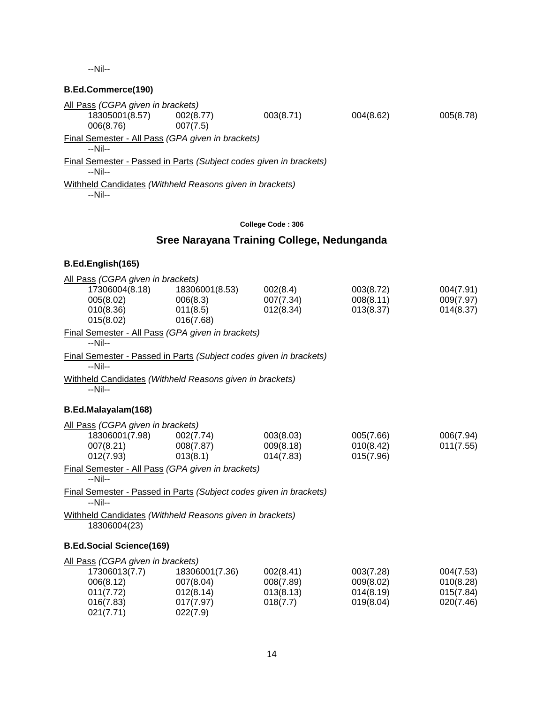--Nil--

### **B.Ed.Commerce(190)**

| All Pass (CGPA given in brackets)                                  |           |           |           |           |
|--------------------------------------------------------------------|-----------|-----------|-----------|-----------|
| 18305001(8.57)                                                     | 002(8.77) | 003(8.71) | 004(8.62) | 005(8.78) |
| 006(8.76)                                                          | 007(7.5)  |           |           |           |
| Final Semester - All Pass (GPA given in brackets)                  |           |           |           |           |
| --Nil--                                                            |           |           |           |           |
| Final Semester - Passed in Parts (Subject codes given in brackets) |           |           |           |           |
| --Nil--                                                            |           |           |           |           |
| Withheld Candidates (Withheld Reasons given in brackets)           |           |           |           |           |
| $-Nil-$                                                            |           |           |           |           |
|                                                                    |           |           |           |           |

#### **College Code : 306**

## **Sree Narayana Training College, Nedunganda**

### **B.Ed.English(165)**

021(7.71) 022(7.9)

| All Pass (CGPA given in brackets)                                             |                |           |           |           |
|-------------------------------------------------------------------------------|----------------|-----------|-----------|-----------|
| 17306004(8.18)                                                                | 18306001(8.53) | 002(8.4)  | 003(8.72) | 004(7.91) |
| 005(8.02)                                                                     | 006(8.3)       | 007(7.34) | 008(8.11) | 009(7.97) |
| 010(8.36)<br>015(8.02)                                                        | 011(8.5)       | 012(8.34) | 013(8.37) | 014(8.37) |
|                                                                               | 016(7.68)      |           |           |           |
| Final Semester - All Pass (GPA given in brackets)<br>$-Nil-$                  |                |           |           |           |
| Final Semester - Passed in Parts (Subject codes given in brackets)<br>--Nil-- |                |           |           |           |
| Withheld Candidates (Withheld Reasons given in brackets)<br>--Nil--           |                |           |           |           |
| B.Ed.Malayalam(168)                                                           |                |           |           |           |
| All Pass (CGPA given in brackets)                                             |                |           |           |           |
| 18306001(7.98)                                                                | 002(7.74)      | 003(8.03) | 005(7.66) | 006(7.94) |
| 007(8.21)                                                                     | 008(7.87)      | 009(8.18) | 010(8.42) | 011(7.55) |
| 012(7.93)                                                                     | 013(8.1)       | 014(7.83) | 015(7.96) |           |
| Final Semester - All Pass (GPA given in brackets)<br>--Nil--                  |                |           |           |           |
| Final Semester - Passed in Parts (Subject codes given in brackets)<br>$-Nil-$ |                |           |           |           |
| Withheld Candidates (Withheld Reasons given in brackets)<br>18306004(23)      |                |           |           |           |
|                                                                               |                |           |           |           |
| <b>B.Ed.Social Science(169)</b>                                               |                |           |           |           |
| All Pass (CGPA given in brackets)                                             |                |           |           |           |
| 17306013(7.7)                                                                 | 18306001(7.36) | 002(8.41) | 003(7.28) | 004(7.53) |
| 006(8.12)                                                                     | 007(8.04)      | 008(7.89) | 009(8.02) | 010(8.28) |
| 011(7.72)                                                                     | 012(8.14)      | 013(8.13) | 014(8.19) | 015(7.84) |

016(7.83) 017(7.97) 018(7.7) 019(8.04) 020(7.46)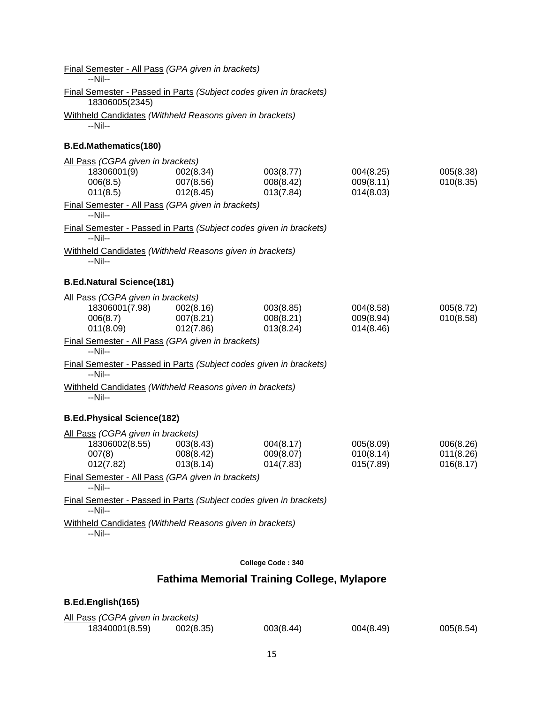| <b>Final Semester - All Pass (GPA given in brackets)</b><br>$-Nil-$                  |                        |                        |                        |                        |
|--------------------------------------------------------------------------------------|------------------------|------------------------|------------------------|------------------------|
| Final Semester - Passed in Parts (Subject codes given in brackets)<br>18306005(2345) |                        |                        |                        |                        |
| Withheld Candidates (Withheld Reasons given in brackets)<br>--Nil--                  |                        |                        |                        |                        |
| <b>B.Ed.Mathematics(180)</b>                                                         |                        |                        |                        |                        |
| All Pass (CGPA given in brackets)                                                    |                        |                        |                        |                        |
| 18306001(9)<br>006(8.5)                                                              | 002(8.34)<br>007(8.56) | 003(8.77)<br>008(8.42) | 004(8.25)<br>009(8.11) | 005(8.38)<br>010(8.35) |
| 011(8.5)                                                                             | 012(8.45)              | 013(7.84)              | 014(8.03)              |                        |
| Final Semester - All Pass (GPA given in brackets)<br>--Nil--                         |                        |                        |                        |                        |
| Final Semester - Passed in Parts (Subject codes given in brackets)<br>$-Nil-$        |                        |                        |                        |                        |
| Withheld Candidates (Withheld Reasons given in brackets)<br>--Nil--                  |                        |                        |                        |                        |
| <b>B.Ed.Natural Science(181)</b>                                                     |                        |                        |                        |                        |
| All Pass (CGPA given in brackets)                                                    |                        |                        |                        |                        |
| 18306001(7.98)<br>006(8.7)                                                           | 002(8.16)<br>007(8.21) | 003(8.85)<br>008(8.21) | 004(8.58)<br>009(8.94) | 005(8.72)<br>010(8.58) |
| 011(8.09)                                                                            | 012(7.86)              | 013(8.24)              | 014(8.46)              |                        |
| Final Semester - All Pass (GPA given in brackets)<br>$-Nil-$                         |                        |                        |                        |                        |
| Final Semester - Passed in Parts (Subject codes given in brackets)<br>$-Nil-$        |                        |                        |                        |                        |
| Withheld Candidates (Withheld Reasons given in brackets)<br>--Nil--                  |                        |                        |                        |                        |
| <b>B.Ed.Physical Science(182)</b>                                                    |                        |                        |                        |                        |
| All Pass (CGPA given in brackets)                                                    |                        |                        |                        |                        |
| 18306002(8.55)<br>007(8)                                                             | 003(8.43)<br>008(8.42) | 004(8.17)<br>009(8.07) | 005(8.09)<br>010(8.14) | 006(8.26)<br>011(8.26) |
| 012(7.82)                                                                            | 013(8.14)              | 014(7.83)              | 015(7.89)              | 016(8.17)              |
| Final Semester - All Pass (GPA given in brackets)<br>--Nil--                         |                        |                        |                        |                        |
| Final Semester - Passed in Parts (Subject codes given in brackets)                   |                        |                        |                        |                        |
| --Nil--<br>Withheld Candidates (Withheld Reasons given in brackets)                  |                        |                        |                        |                        |
| --Nil--                                                                              |                        |                        |                        |                        |
|                                                                                      |                        |                        |                        |                        |
|                                                                                      |                        | College Code: 340      |                        |                        |

## **Fathima Memorial Training College, Mylapore**

## All Pass *(CGPA given in brackets)* 18340001(8.59) 002(8.35) 003(8.44) 004(8.49) 005(8.54)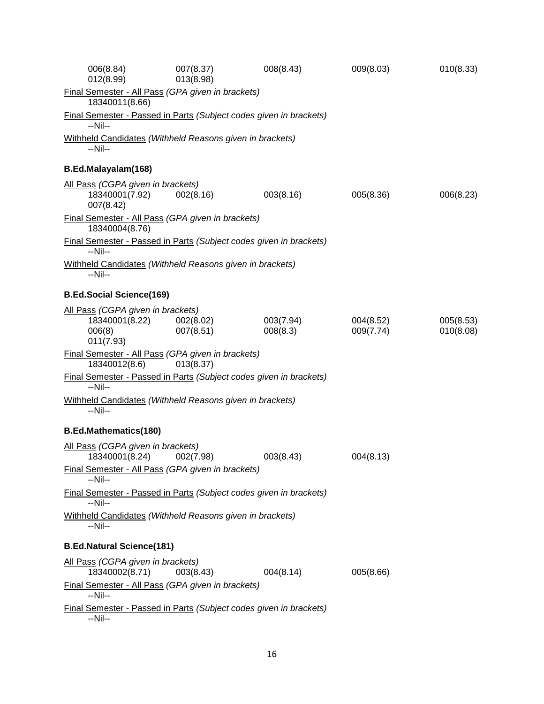| 006(8.84)<br>012(8.99)                                                        | 007(8.37)<br>013(8.98) | 008(8.43)             | 009(8.03)              | 010(8.33)              |
|-------------------------------------------------------------------------------|------------------------|-----------------------|------------------------|------------------------|
| Final Semester - All Pass (GPA given in brackets)<br>18340011(8.66)           |                        |                       |                        |                        |
| Final Semester - Passed in Parts (Subject codes given in brackets)<br>$-Nil-$ |                        |                       |                        |                        |
| Withheld Candidates (Withheld Reasons given in brackets)<br>--Nil--           |                        |                       |                        |                        |
| B.Ed.Malayalam(168)                                                           |                        |                       |                        |                        |
| All Pass (CGPA given in brackets)<br>18340001(7.92)<br>007(8.42)              | 002(8.16)              | 003(8.16)             | 005(8.36)              | 006(8.23)              |
| Final Semester - All Pass (GPA given in brackets)<br>18340004(8.76)           |                        |                       |                        |                        |
| Final Semester - Passed in Parts (Subject codes given in brackets)<br>--Nil-- |                        |                       |                        |                        |
| Withheld Candidates (Withheld Reasons given in brackets)<br>$-Nil-$           |                        |                       |                        |                        |
| <b>B.Ed.Social Science(169)</b>                                               |                        |                       |                        |                        |
| All Pass (CGPA given in brackets)<br>18340001(8.22)<br>006(8)<br>011(7.93)    | 002(8.02)<br>007(8.51) | 003(7.94)<br>008(8.3) | 004(8.52)<br>009(7.74) | 005(8.53)<br>010(8.08) |
| Final Semester - All Pass (GPA given in brackets)<br>18340012(8.6)            | 013(8.37)              |                       |                        |                        |
| Final Semester - Passed in Parts (Subject codes given in brackets)<br>$-Nil-$ |                        |                       |                        |                        |
| Withheld Candidates (Withheld Reasons given in brackets)<br>--Nil--           |                        |                       |                        |                        |
| <b>B.Ed.Mathematics(180)</b>                                                  |                        |                       |                        |                        |
| All Pass (CGPA given in brackets)<br>18340001(8.24)                           | 002(7.98)              | 003(8.43)             | 004(8.13)              |                        |
| Final Semester - All Pass (GPA given in brackets)<br>$-Nil-$                  |                        |                       |                        |                        |
| Final Semester - Passed in Parts (Subject codes given in brackets)<br>$-Nil-$ |                        |                       |                        |                        |
| Withheld Candidates (Withheld Reasons given in brackets)<br>--Nil--           |                        |                       |                        |                        |
| <b>B.Ed.Natural Science(181)</b>                                              |                        |                       |                        |                        |
| All Pass (CGPA given in brackets)<br>18340002(8.71)                           | 003(8.43)              | 004(8.14)             | 005(8.66)              |                        |
| Final Semester - All Pass (GPA given in brackets)<br>$-Nil-$                  |                        |                       |                        |                        |
| Final Semester - Passed in Parts (Subject codes given in brackets)<br>--Nil-- |                        |                       |                        |                        |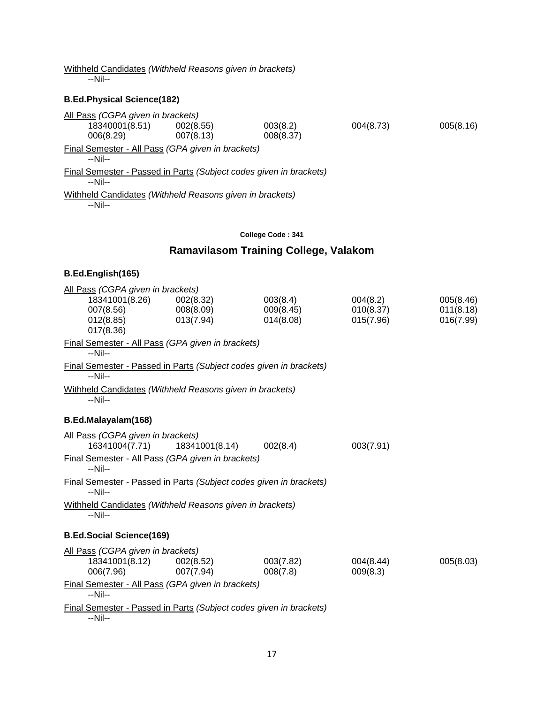Withheld Candidates *(Withheld Reasons given in brackets)*

--Nil--

## **B.Ed.Physical Science(182)**

| All Pass (CGPA given in brackets)                                             |           |           |           |           |
|-------------------------------------------------------------------------------|-----------|-----------|-----------|-----------|
| 18340001(8.51)                                                                | 002(8.55) | 003(8.2)  | 004(8.73) | 005(8.16) |
| 006(8.29)                                                                     | 007(8.13) | 008(8.37) |           |           |
| Final Semester - All Pass (GPA given in brackets)<br>--Nil--                  |           |           |           |           |
| Final Semester - Passed in Parts (Subject codes given in brackets)<br>--Nil-- |           |           |           |           |
| Withheld Candidates (Withheld Reasons given in brackets)<br>--Nil--           |           |           |           |           |

#### **College Code : 341**

## **Ramavilasom Training College, Valakom**

| All Pass (CGPA given in brackets)                                             |                |           |           |           |
|-------------------------------------------------------------------------------|----------------|-----------|-----------|-----------|
| 18341001(8.26)                                                                | 002(8.32)      | 003(8.4)  | 004(8.2)  | 005(8.46) |
| 007(8.56)                                                                     | 008(8.09)      | 009(8.45) | 010(8.37) | 011(8.18) |
| 012(8.85)                                                                     | 013(7.94)      | 014(8.08) | 015(7.96) | 016(7.99) |
| 017(8.36)                                                                     |                |           |           |           |
| Final Semester - All Pass (GPA given in brackets)<br>$-Nil-$                  |                |           |           |           |
| Final Semester - Passed in Parts (Subject codes given in brackets)<br>$-Nil-$ |                |           |           |           |
| Withheld Candidates (Withheld Reasons given in brackets)<br>--Nil--           |                |           |           |           |
| B.Ed.Malayalam(168)                                                           |                |           |           |           |
| All Pass (CGPA given in brackets)                                             |                |           |           |           |
| 16341004(7.71)                                                                | 18341001(8.14) | 002(8.4)  | 003(7.91) |           |
| Final Semester - All Pass (GPA given in brackets)<br>$-Nil-$                  |                |           |           |           |
| Final Semester - Passed in Parts (Subject codes given in brackets)<br>$-Nil-$ |                |           |           |           |
| Withheld Candidates (Withheld Reasons given in brackets)<br>--Nil--           |                |           |           |           |
| <b>B.Ed.Social Science(169)</b>                                               |                |           |           |           |
| All Pass (CGPA given in brackets)                                             |                |           |           |           |
| 18341001(8.12)                                                                | 002(8.52)      | 003(7.82) | 004(8.44) | 005(8.03) |
| 006(7.96)                                                                     | 007(7.94)      | 008(7.8)  | 009(8.3)  |           |
| Final Semester - All Pass (GPA given in brackets)<br>--Nil--                  |                |           |           |           |
| Final Semester - Passed in Parts (Subject codes given in brackets)            |                |           |           |           |
| --Nil--                                                                       |                |           |           |           |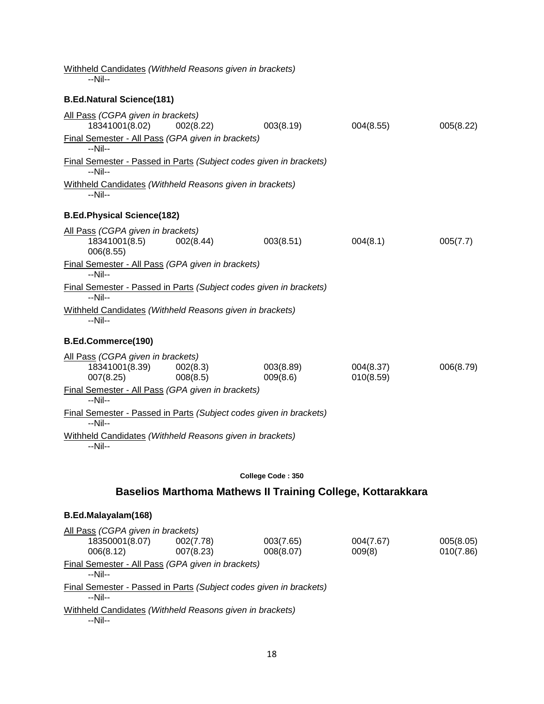| Withheld Candidates (Withheld Reasons given in brackets)<br>--Nil--           |                      |                                                                    |                        |           |
|-------------------------------------------------------------------------------|----------------------|--------------------------------------------------------------------|------------------------|-----------|
| <b>B.Ed.Natural Science(181)</b>                                              |                      |                                                                    |                        |           |
| All Pass (CGPA given in brackets)<br>18341001(8.02)                           | 002(8.22)            | 003(8.19)                                                          | 004(8.55)              | 005(8.22) |
| Final Semester - All Pass (GPA given in brackets)<br>--Nil--                  |                      |                                                                    |                        |           |
| Final Semester - Passed in Parts (Subject codes given in brackets)<br>$-Nil-$ |                      |                                                                    |                        |           |
| Withheld Candidates (Withheld Reasons given in brackets)<br>$-Nil-$           |                      |                                                                    |                        |           |
| <b>B.Ed.Physical Science(182)</b>                                             |                      |                                                                    |                        |           |
| All Pass (CGPA given in brackets)<br>18341001(8.5)<br>006(8.55)               | 002(8.44)            | 003(8.51)                                                          | 004(8.1)               | 005(7.7)  |
| Final Semester - All Pass (GPA given in brackets)<br>--Nil--                  |                      |                                                                    |                        |           |
| Final Semester - Passed in Parts (Subject codes given in brackets)<br>--Nil-- |                      |                                                                    |                        |           |
| Withheld Candidates (Withheld Reasons given in brackets)<br>$-Nil-$           |                      |                                                                    |                        |           |
| B.Ed.Commerce(190)                                                            |                      |                                                                    |                        |           |
| All Pass (CGPA given in brackets)<br>18341001(8.39)<br>007(8.25)              | 002(8.3)<br>008(8.5) | 003(8.89)<br>009(8.6)                                              | 004(8.37)<br>010(8.59) | 006(8.79) |
| Final Semester - All Pass (GPA given in brackets)<br>--Nil--                  |                      |                                                                    |                        |           |
| Final Semester - Passed in Parts (Subject codes given in brackets)<br>--Nil-- |                      |                                                                    |                        |           |
| Withheld Candidates (Withheld Reasons given in brackets)<br>--Nil--           |                      |                                                                    |                        |           |
|                                                                               |                      | College Code: 350                                                  |                        |           |
|                                                                               |                      | <b>Baselios Marthoma Mathews II Training College, Kottarakkara</b> |                        |           |
| B.Ed.Malayalam(168)                                                           |                      |                                                                    |                        |           |

| All Pass (CGPA given in brackets)                                             |           |           |           |           |
|-------------------------------------------------------------------------------|-----------|-----------|-----------|-----------|
| 18350001(8.07)                                                                | 002(7.78) | 003(7.65) | 004(7.67) | 005(8.05) |
| 006(8.12)                                                                     | 007(8.23) | 008(8.07) | 009(8)    | 010(7.86) |
| Final Semester - All Pass (GPA given in brackets)<br>$-Nil-$                  |           |           |           |           |
| Final Semester - Passed in Parts (Subject codes given in brackets)<br>--Nil-- |           |           |           |           |
| Withheld Candidates (Withheld Reasons given in brackets)<br>$-N$ il--         |           |           |           |           |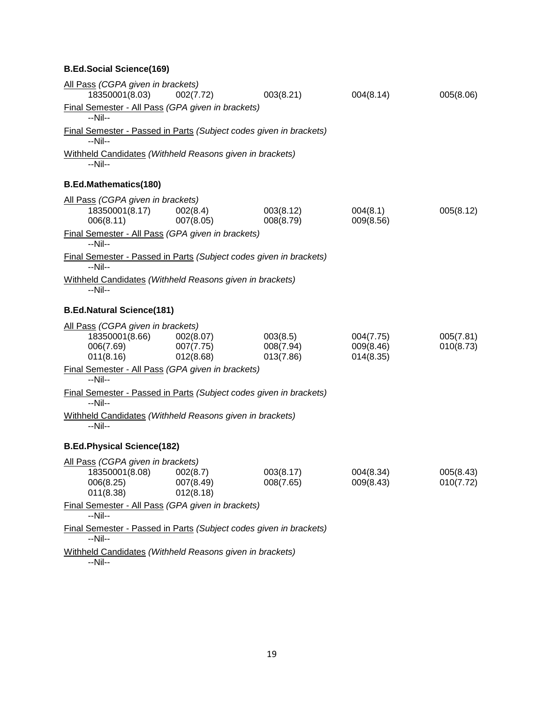## **B.Ed.Social Science(169)**

| All Pass (CGPA given in brackets)<br>18350001(8.03)                           | 002(7.72)                           | 003(8.21)                          | 004(8.14)                           | 005(8.06)              |
|-------------------------------------------------------------------------------|-------------------------------------|------------------------------------|-------------------------------------|------------------------|
| Final Semester - All Pass (GPA given in brackets)<br>--Nil--                  |                                     |                                    |                                     |                        |
| Final Semester - Passed in Parts (Subject codes given in brackets)<br>--Nil-- |                                     |                                    |                                     |                        |
| Withheld Candidates (Withheld Reasons given in brackets)<br>--Nil--           |                                     |                                    |                                     |                        |
| <b>B.Ed.Mathematics(180)</b>                                                  |                                     |                                    |                                     |                        |
| All Pass (CGPA given in brackets)                                             |                                     |                                    |                                     |                        |
| 18350001(8.17)<br>006(8.11)                                                   | 002(8.4)<br>007(8.05)               | 003(8.12)<br>008(8.79)             | 004(8.1)<br>009(8.56)               | 005(8.12)              |
| Final Semester - All Pass (GPA given in brackets)<br>--Nil--                  |                                     |                                    |                                     |                        |
| Final Semester - Passed in Parts (Subject codes given in brackets)<br>--Nil-- |                                     |                                    |                                     |                        |
| Withheld Candidates (Withheld Reasons given in brackets)<br>--Nil--           |                                     |                                    |                                     |                        |
| <b>B.Ed.Natural Science(181)</b>                                              |                                     |                                    |                                     |                        |
| All Pass (CGPA given in brackets)<br>18350001(8.66)<br>006(7.69)<br>011(8.16) | 002(8.07)<br>007(7.75)<br>012(8.68) | 003(8.5)<br>008(7.94)<br>013(7.86) | 004(7.75)<br>009(8.46)<br>014(8.35) | 005(7.81)<br>010(8.73) |
| Final Semester - All Pass (GPA given in brackets)<br>$-Nil-$                  |                                     |                                    |                                     |                        |
| Final Semester - Passed in Parts (Subject codes given in brackets)<br>--Nil-- |                                     |                                    |                                     |                        |
| Withheld Candidates (Withheld Reasons given in brackets)<br>--Nil--           |                                     |                                    |                                     |                        |
| <b>B.Ed.Physical Science(182)</b>                                             |                                     |                                    |                                     |                        |
| All Pass (CGPA given in brackets)<br>18350001(8.08)<br>006(8.25)<br>011(8.38) | 002(8.7)<br>007(8.49)<br>012(8.18)  | 003(8.17)<br>008(7.65)             | 004(8.34)<br>009(8.43)              | 005(8.43)<br>010(7.72) |
| Final Semester - All Pass (GPA given in brackets)<br>--Nil--                  |                                     |                                    |                                     |                        |
| Final Semester - Passed in Parts (Subject codes given in brackets)<br>--Nil-- |                                     |                                    |                                     |                        |
| Withheld Candidates (Withheld Reasons given in brackets)                      |                                     |                                    |                                     |                        |

--Nil--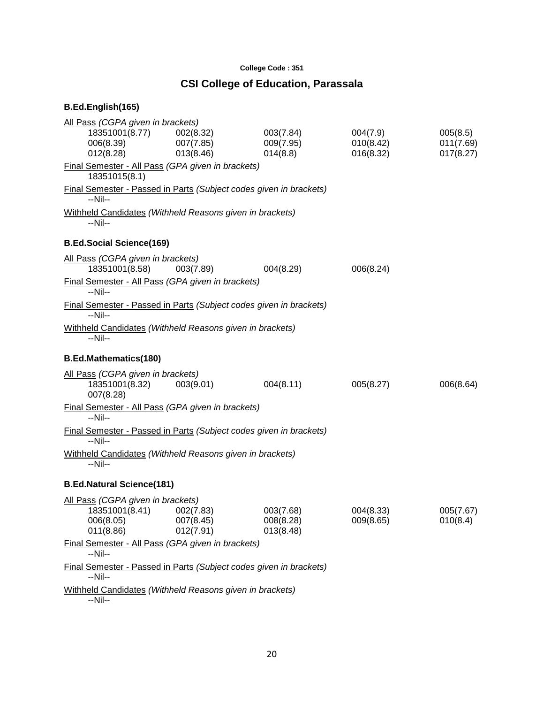#### **College Code : 351**

## **CSI College of Education, Parassala**

| All Pass (CGPA given in brackets)<br>18351001(8.77)<br>006(8.39)<br>012(8.28)           | 002(8.32)<br>007(7.85)<br>013(8.46) | 003(7.84)<br>009(7.95)<br>014(8.8)  | 004(7.9)<br>010(8.42)<br>016(8.32) | 005(8.5)<br>011(7.69)<br>017(8.27) |
|-----------------------------------------------------------------------------------------|-------------------------------------|-------------------------------------|------------------------------------|------------------------------------|
| Final Semester - All Pass (GPA given in brackets)<br>18351015(8.1)                      |                                     |                                     |                                    |                                    |
| Final Semester - Passed in Parts (Subject codes given in brackets)<br>--Nil--           |                                     |                                     |                                    |                                    |
| Withheld Candidates (Withheld Reasons given in brackets)<br>--Nil--                     |                                     |                                     |                                    |                                    |
| <b>B.Ed.Social Science(169)</b>                                                         |                                     |                                     |                                    |                                    |
| All Pass (CGPA given in brackets)<br>18351001(8.58)                                     | 003(7.89)                           | 004(8.29)                           | 006(8.24)                          |                                    |
| Final Semester - All Pass (GPA given in brackets)<br>$-Nil-$                            |                                     |                                     |                                    |                                    |
| Final Semester - Passed in Parts (Subject codes given in brackets)<br>$-Nil-$           |                                     |                                     |                                    |                                    |
| Withheld Candidates (Withheld Reasons given in brackets)<br>--Nil--                     |                                     |                                     |                                    |                                    |
| <b>B.Ed.Mathematics(180)</b>                                                            |                                     |                                     |                                    |                                    |
| All Pass (CGPA given in brackets)<br>18351001(8.32)<br>007(8.28)                        | 003(9.01)                           | 004(8.11)                           | 005(8.27)                          | 006(8.64)                          |
| Final Semester - All Pass (GPA given in brackets)<br>$-Nil-$                            |                                     |                                     |                                    |                                    |
| Final Semester - Passed in Parts (Subject codes given in brackets)<br>--Nil--           |                                     |                                     |                                    |                                    |
| Withheld Candidates (Withheld Reasons given in brackets)<br>--Nil--                     |                                     |                                     |                                    |                                    |
| <b>B.Ed.Natural Science(181)</b>                                                        |                                     |                                     |                                    |                                    |
| All Pass (CGPA given in brackets)<br>18351001(8.41) 002(7.83)<br>006(8.05)<br>011(8.86) | 007(8.45)<br>012(7.91)              | 003(7.68)<br>008(8.28)<br>013(8.48) | 004(8.33)<br>009(8.65)             | 005(7.67)<br>010(8.4)              |
| Final Semester - All Pass (GPA given in brackets)<br>--Nil--                            |                                     |                                     |                                    |                                    |
| Final Semester - Passed in Parts (Subject codes given in brackets)<br>--Nil--           |                                     |                                     |                                    |                                    |
| Withheld Candidates (Withheld Reasons given in brackets)<br>--Nil--                     |                                     |                                     |                                    |                                    |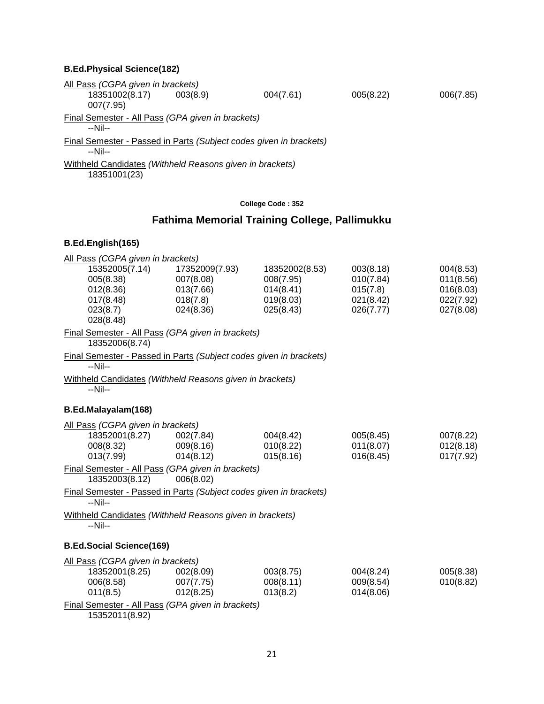#### **B.Ed.Physical Science(182)**

All Pass *(CGPA given in brackets)* 18351002(8.17) 003(8.9) 004(7.61) 005(8.22) 006(7.85) 007(7.95) Final Semester - All Pass *(GPA given in brackets)* --Nil-- Final Semester - Passed in Parts *(Subject codes given in brackets)* --Nil-- Withheld Candidates *(Withheld Reasons given in brackets)* 18351001(23)

#### **College Code : 352**

## **Fathima Memorial Training College, Pallimukku**

#### **B.Ed.English(165)**

| All Pass (CGPA given in brackets)<br>15352005(7.14)<br>005(8.38)<br>012(8.36)<br>017(8.48)<br>023(8.7)<br>028(8.48)               | 17352009(7.93)<br>007(8.08)<br>013(7.66)<br>018(7.8)<br>024(8.36) | 18352002(8.53)<br>008(7.95)<br>014(8.41)<br>019(8.03)<br>025(8.43) | 003(8.18)<br>010(7.84)<br>015(7.8)<br>021(8.42)<br>026(7.77) | 004(8.53)<br>011(8.56)<br>016(8.03)<br>022(7.92)<br>027(8.08) |
|-----------------------------------------------------------------------------------------------------------------------------------|-------------------------------------------------------------------|--------------------------------------------------------------------|--------------------------------------------------------------|---------------------------------------------------------------|
| Final Semester - All Pass (GPA given in brackets)<br>18352006(8.74)                                                               |                                                                   |                                                                    |                                                              |                                                               |
| Final Semester - Passed in Parts (Subject codes given in brackets)<br>--Nil--                                                     |                                                                   |                                                                    |                                                              |                                                               |
| Withheld Candidates (Withheld Reasons given in brackets)<br>$-Nil-$                                                               |                                                                   |                                                                    |                                                              |                                                               |
| B.Ed.Malayalam(168)                                                                                                               |                                                                   |                                                                    |                                                              |                                                               |
| All Pass (CGPA given in brackets)<br>18352001(8.27) 002(7.84)<br>008(8.32)<br>013(7.99)                                           | 009(8.16)<br>014(8.12)                                            | 004(8.42)<br>010(8.22)<br>015(8.16)                                | 005(8.45)<br>011(8.07)<br>016(8.45)                          | 007(8.22)<br>012(8.18)<br>017(7.92)                           |
| Final Semester - All Pass (GPA given in brackets)<br>18352003(8.12)                                                               | 006(8.02)                                                         |                                                                    |                                                              |                                                               |
| Final Semester - Passed in Parts (Subject codes given in brackets)<br>--Nil--                                                     |                                                                   |                                                                    |                                                              |                                                               |
| Withheld Candidates (Withheld Reasons given in brackets)<br>--Nil--                                                               |                                                                   |                                                                    |                                                              |                                                               |
| <b>B.Ed.Social Science(169)</b>                                                                                                   |                                                                   |                                                                    |                                                              |                                                               |
| All Pass (CGPA given in brackets)<br>18352001(8.25)<br>006(8.58)<br>011(8.5)<br>Final Semester - All Pass (GPA given in brackets) | 002(8.09)<br>007(7.75)<br>012(8.25)                               | 003(8.75)<br>008(8.11)<br>013(8.2)                                 | 004(8.24)<br>009(8.54)<br>014(8.06)                          | 005(8.38)<br>010(8.82)                                        |
|                                                                                                                                   |                                                                   |                                                                    |                                                              |                                                               |

15352011(8.92)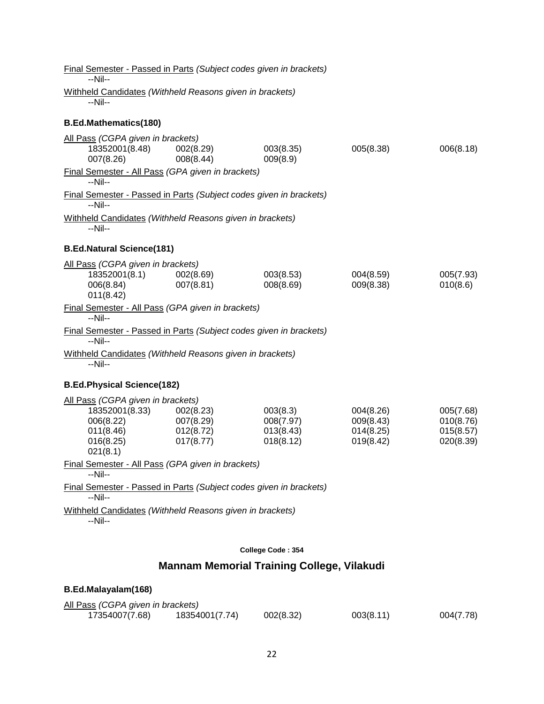| <b>Final Semester - Passed in Parts (Subject codes given in brackets)</b><br>--Nil--                   |                                                  |                                                   |                                                  |                                                  |
|--------------------------------------------------------------------------------------------------------|--------------------------------------------------|---------------------------------------------------|--------------------------------------------------|--------------------------------------------------|
| Withheld Candidates (Withheld Reasons given in brackets)<br>--Nil--                                    |                                                  |                                                   |                                                  |                                                  |
| <b>B.Ed.Mathematics(180)</b>                                                                           |                                                  |                                                   |                                                  |                                                  |
| All Pass (CGPA given in brackets)<br>18352001(8.48)<br>007(8.26)                                       | 002(8.29)<br>008(8.44)                           | 003(8.35)<br>009(8.9)                             | 005(8.38)                                        | 006(8.18)                                        |
| Final Semester - All Pass (GPA given in brackets)<br>$-Nil-$                                           |                                                  |                                                   |                                                  |                                                  |
| Final Semester - Passed in Parts (Subject codes given in brackets)<br>$-Nil-$                          |                                                  |                                                   |                                                  |                                                  |
| Withheld Candidates (Withheld Reasons given in brackets)<br>--Nil--                                    |                                                  |                                                   |                                                  |                                                  |
| <b>B.Ed.Natural Science(181)</b>                                                                       |                                                  |                                                   |                                                  |                                                  |
| All Pass (CGPA given in brackets)<br>18352001(8.1)<br>006(8.84)<br>011(8.42)                           | 002(8.69)<br>007(8.81)                           | 003(8.53)<br>008(8.69)                            | 004(8.59)<br>009(8.38)                           | 005(7.93)<br>010(8.6)                            |
| Final Semester - All Pass (GPA given in brackets)<br>--Nil--                                           |                                                  |                                                   |                                                  |                                                  |
| Final Semester - Passed in Parts (Subject codes given in brackets)<br>--Nil--                          |                                                  |                                                   |                                                  |                                                  |
| Withheld Candidates (Withheld Reasons given in brackets)<br>$-Nil-$                                    |                                                  |                                                   |                                                  |                                                  |
| <b>B.Ed.Physical Science(182)</b>                                                                      |                                                  |                                                   |                                                  |                                                  |
| All Pass (CGPA given in brackets)<br>18352001(8.33)<br>006(8.22)<br>011(8.46)<br>016(8.25)<br>021(8.1) | 002(8.23)<br>007(8.29)<br>012(8.72)<br>017(8.77) | 003(8.3)<br>008(7.97)<br>013(8.43)<br>018(8.12)   | 004(8.26)<br>009(8.43)<br>014(8.25)<br>019(8.42) | 005(7.68)<br>010(8.76)<br>015(8.57)<br>020(8.39) |
| Final Semester - All Pass (GPA given in brackets)<br>--Nil--                                           |                                                  |                                                   |                                                  |                                                  |
| Final Semester - Passed in Parts (Subject codes given in brackets)<br>--Nil--                          |                                                  |                                                   |                                                  |                                                  |
| Withheld Candidates (Withheld Reasons given in brackets)<br>--Nil--                                    |                                                  |                                                   |                                                  |                                                  |
|                                                                                                        |                                                  | College Code: 354                                 |                                                  |                                                  |
|                                                                                                        |                                                  | <b>Mannam Memorial Training College, Vilakudi</b> |                                                  |                                                  |

## **B.Ed.Malayalam(168)**

| All Pass (CGPA given in brackets) |                |           |           |           |
|-----------------------------------|----------------|-----------|-----------|-----------|
| 17354007(7.68)                    | 18354001(7.74) | 002(8.32) | 003(8.11) | 004(7.78) |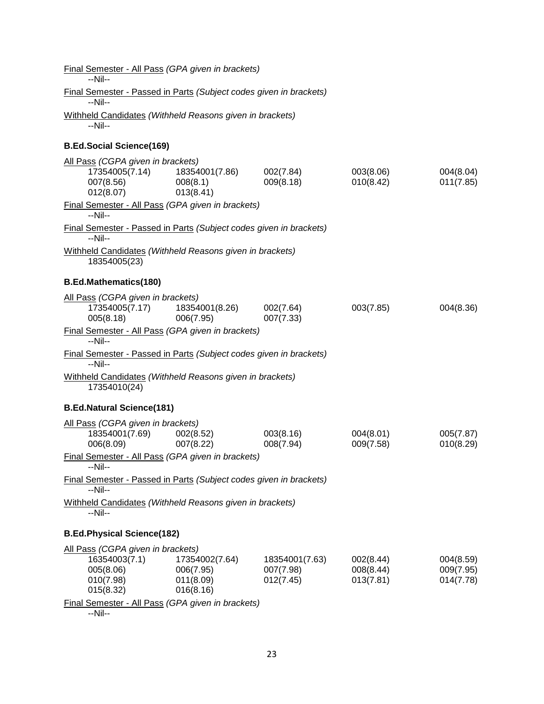| Final Semester - All Pass (GPA given in brackets)<br>--Nil--                         |                        |                |           |           |
|--------------------------------------------------------------------------------------|------------------------|----------------|-----------|-----------|
| Final Semester - Passed in Parts (Subject codes given in brackets)<br>--Nil--        |                        |                |           |           |
| Withheld Candidates (Withheld Reasons given in brackets)                             |                        |                |           |           |
| --Nil--                                                                              |                        |                |           |           |
| <b>B.Ed.Social Science(169)</b>                                                      |                        |                |           |           |
| All Pass (CGPA given in brackets)                                                    |                        |                |           |           |
| 17354005(7.14)                                                                       | 18354001(7.86)         | 002(7.84)      | 003(8.06) | 004(8.04) |
| 007(8.56)<br>012(8.07)                                                               | 008(8.1)<br>013(8.41)  | 009(8.18)      | 010(8.42) | 011(7.85) |
| Final Semester - All Pass (GPA given in brackets)                                    |                        |                |           |           |
| $-Nil-$                                                                              |                        |                |           |           |
| Final Semester - Passed in Parts (Subject codes given in brackets)<br>--Nil--        |                        |                |           |           |
| Withheld Candidates (Withheld Reasons given in brackets)<br>18354005(23)             |                        |                |           |           |
| <b>B.Ed.Mathematics(180)</b>                                                         |                        |                |           |           |
| All Pass (CGPA given in brackets)                                                    |                        |                |           |           |
| 17354005(7.17)                                                                       | 18354001(8.26)         | 002(7.64)      | 003(7.85) | 004(8.36) |
| 005(8.18)                                                                            | 006(7.95)              | 007(7.33)      |           |           |
| Final Semester - All Pass (GPA given in brackets)<br>$-Nil-$                         |                        |                |           |           |
| <b>Final Semester - Passed in Parts (Subject codes given in brackets)</b><br>$-Nil-$ |                        |                |           |           |
| Withheld Candidates (Withheld Reasons given in brackets)<br>17354010(24)             |                        |                |           |           |
| <b>B.Ed.Natural Science(181)</b>                                                     |                        |                |           |           |
| All Pass (CGPA given in brackets)                                                    |                        |                |           |           |
| 18354001(7.69)                                                                       | 002(8.52)              | 003(8.16)      | 004(8.01) | 005(7.87) |
| 006(8.09)                                                                            | 007(8.22)              | 008(7.94)      | 009(7.58) | 010(8.29) |
| Final Semester - All Pass (GPA given in brackets)<br>$-Nil-$                         |                        |                |           |           |
| Final Semester - Passed in Parts (Subject codes given in brackets)<br>--Nil--        |                        |                |           |           |
| Withheld Candidates (Withheld Reasons given in brackets)<br>--Nil--                  |                        |                |           |           |
| <b>B.Ed.Physical Science(182)</b>                                                    |                        |                |           |           |
| All Pass (CGPA given in brackets)                                                    |                        |                |           |           |
| 16354003(7.1)                                                                        | 17354002(7.64)         | 18354001(7.63) | 002(8.44) | 004(8.59) |
| 005(8.06)                                                                            | 006(7.95)              | 007(7.98)      | 008(8.44) | 009(7.95) |
| 010(7.98)<br>015(8.32)                                                               | 011(8.09)<br>016(8.16) | 012(7.45)      | 013(7.81) | 014(7.78) |
| Final Semester - All Pass (GPA given in brackets)                                    |                        |                |           |           |

--Nil--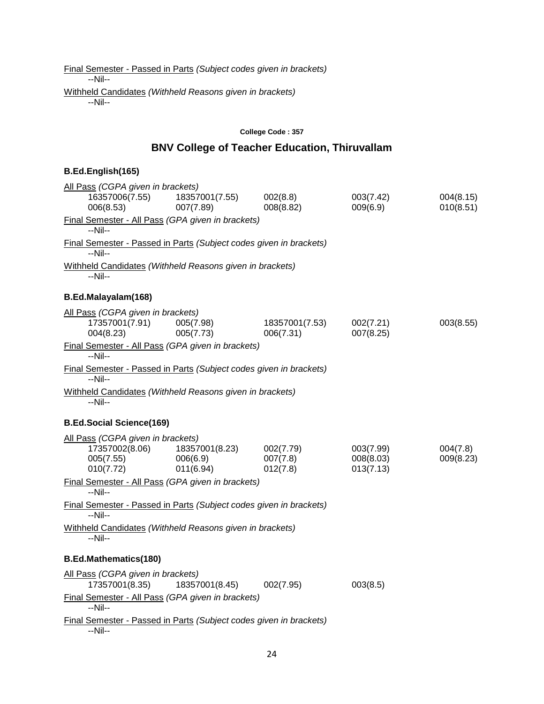Final Semester - Passed in Parts *(Subject codes given in brackets)* --Nil-- Withheld Candidates *(Withheld Reasons given in brackets)* --Nil--

#### **College Code : 357**

## **BNV College of Teacher Education, Thiruvallam**

| All Pass (CGPA given in brackets)                                             |                                         |                                   |                                     |                        |
|-------------------------------------------------------------------------------|-----------------------------------------|-----------------------------------|-------------------------------------|------------------------|
| 16357006(7.55)<br>006(8.53)                                                   | 18357001(7.55)<br>007(7.89)             | 002(8.8)<br>008(8.82)             | 003(7.42)<br>009(6.9)               | 004(8.15)<br>010(8.51) |
| Final Semester - All Pass (GPA given in brackets)<br>--Nil--                  |                                         |                                   |                                     |                        |
| Final Semester - Passed in Parts (Subject codes given in brackets)<br>--Nil-- |                                         |                                   |                                     |                        |
| Withheld Candidates (Withheld Reasons given in brackets)<br>--Nil--           |                                         |                                   |                                     |                        |
| B.Ed.Malayalam(168)                                                           |                                         |                                   |                                     |                        |
| All Pass (CGPA given in brackets)<br>17357001(7.91)<br>004(8.23)              | 005(7.98)<br>005(7.73)                  | 18357001(7.53)<br>006(7.31)       | 002(7.21)<br>007(8.25)              | 003(8.55)              |
| Final Semester - All Pass (GPA given in brackets)<br>--Nil--                  |                                         |                                   |                                     |                        |
| Final Semester - Passed in Parts (Subject codes given in brackets)<br>$-Nil-$ |                                         |                                   |                                     |                        |
| Withheld Candidates (Withheld Reasons given in brackets)<br>--Nil--           |                                         |                                   |                                     |                        |
| <b>B.Ed.Social Science(169)</b>                                               |                                         |                                   |                                     |                        |
| All Pass (CGPA given in brackets)<br>17357002(8.06)<br>005(7.55)<br>010(7.72) | 18357001(8.23)<br>006(6.9)<br>011(6.94) | 002(7.79)<br>007(7.8)<br>012(7.8) | 003(7.99)<br>008(8.03)<br>013(7.13) | 004(7.8)<br>009(8.23)  |
| Final Semester - All Pass (GPA given in brackets)<br>--Nil--                  |                                         |                                   |                                     |                        |
| Final Semester - Passed in Parts (Subject codes given in brackets)<br>--Nil-- |                                         |                                   |                                     |                        |
| Withheld Candidates (Withheld Reasons given in brackets)<br>--Nil--           |                                         |                                   |                                     |                        |
| <b>B.Ed.Mathematics(180)</b>                                                  |                                         |                                   |                                     |                        |
| All Pass (CGPA given in brackets)<br>17357001(8.35)                           | 18357001(8.45)                          | 002(7.95)                         | 003(8.5)                            |                        |
| Final Semester - All Pass (GPA given in brackets)<br>$-Nil-$                  |                                         |                                   |                                     |                        |
| Final Semester - Passed in Parts (Subject codes given in brackets)<br>--Nil-- |                                         |                                   |                                     |                        |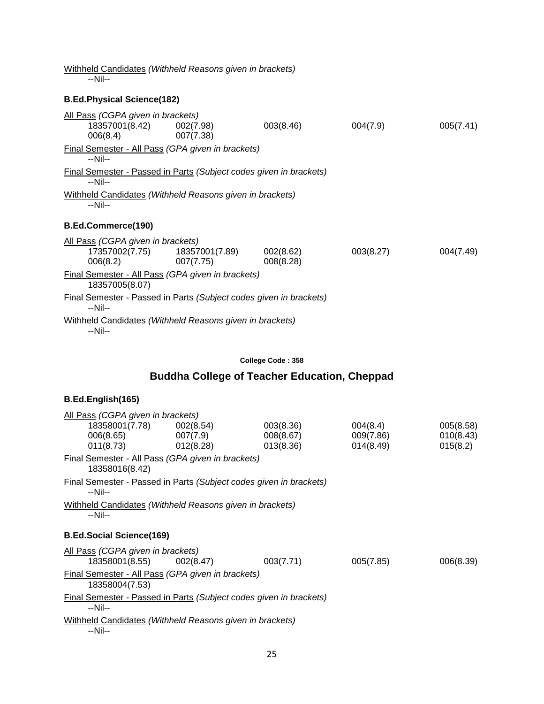Withheld Candidates *(Withheld Reasons given in brackets)* --Nil-- **B.Ed.Physical Science(182)** All Pass *(CGPA given in brackets)* 18357001(8.42) 002(7.98) 003(8.46) 004(7.9) 005(7.41) 006(8.4) 007(7.38) Final Semester - All Pass *(GPA given in brackets)* --Nil-- Final Semester - Passed in Parts *(Subject codes given in brackets)* --Nil-- Withheld Candidates *(Withheld Reasons given in brackets)* --Nil-- **B.Ed.Commerce(190)** All Pass *(CGPA given in brackets)* 17357002(7.75) 18357001(7.89) 002(8.62) 003(8.27) 004(7.49) 006(8.2) 007(7.75) 008(8.28) Final Semester - All Pass *(GPA given in brackets)* 18357005(8.07) Final Semester - Passed in Parts *(Subject codes given in brackets)* --Nil-- Withheld Candidates *(Withheld Reasons given in brackets)* --Nil-- **College Code : 358 Buddha College of Teacher Education, Cheppad**

| All Pass (CGPA given in brackets)                                   | 18358001(7.78) 002(8.54)<br>$006(8.65)$ 007(7.9)<br>$011(8.73)$ $012(8.28)$ | 003(8.36)<br>008(8.67)<br>013(8.36) | 004(8.4)<br>009(7.86)<br>014(8.49) | 005(8.58)<br>010(8.43)<br>015(8.2) |  |
|---------------------------------------------------------------------|-----------------------------------------------------------------------------|-------------------------------------|------------------------------------|------------------------------------|--|
| 18358016(8.42)                                                      | Final Semester - All Pass (GPA given in brackets)                           |                                     |                                    |                                    |  |
| $-Nil-$                                                             | <b>Final Semester - Passed in Parts (Subject codes given in brackets)</b>   |                                     |                                    |                                    |  |
| Withheld Candidates (Withheld Reasons given in brackets)<br>$-Nil-$ |                                                                             |                                     |                                    |                                    |  |
|                                                                     |                                                                             |                                     |                                    |                                    |  |
| <b>B.Ed.Social Science(169)</b>                                     |                                                                             |                                     |                                    |                                    |  |
| All Pass (CGPA given in brackets)                                   | 18358001(8.55) 002(8.47)                                                    | 003(7.71)                           | 005(7.85)                          | 006(8.39)                          |  |
| 18358004(7.53)                                                      | Final Semester - All Pass (GPA given in brackets)                           |                                     |                                    |                                    |  |
| $-Nil-$                                                             | <b>Final Semester - Passed in Parts (Subject codes given in brackets)</b>   |                                     |                                    |                                    |  |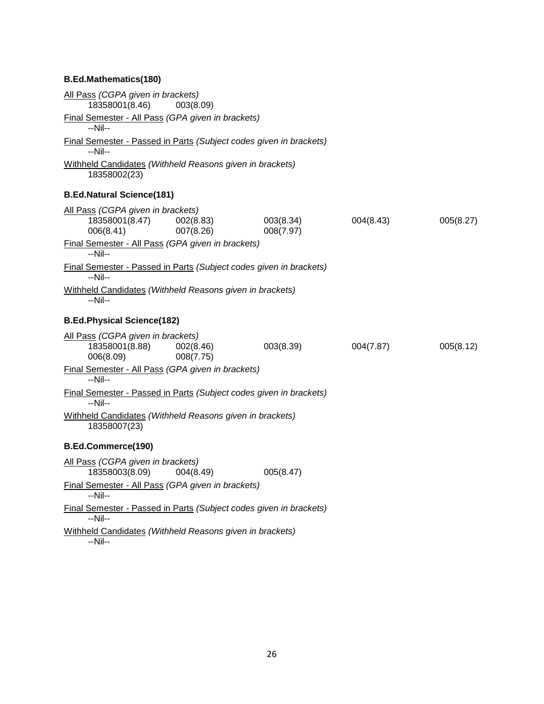### **B.Ed.Mathematics(180)**

| All Pass (CGPA given in brackets)<br>18358001(8.46)                      | 003(8.09)              |                                                                    |           |           |
|--------------------------------------------------------------------------|------------------------|--------------------------------------------------------------------|-----------|-----------|
| Final Semester - All Pass (GPA given in brackets)<br>--Nil--             |                        |                                                                    |           |           |
| --Nil--                                                                  |                        | Final Semester - Passed in Parts (Subject codes given in brackets) |           |           |
| Withheld Candidates (Withheld Reasons given in brackets)<br>18358002(23) |                        |                                                                    |           |           |
| <b>B.Ed.Natural Science(181)</b>                                         |                        |                                                                    |           |           |
| All Pass (CGPA given in brackets)<br>18358001(8.47)<br>006(8.41)         | 002(8.83)<br>007(8.26) | 003(8.34)<br>008(7.97)                                             | 004(8.43) | 005(8.27) |
| Final Semester - All Pass (GPA given in brackets)<br>$-Nil-$             |                        |                                                                    |           |           |
| --Nil--                                                                  |                        | Final Semester - Passed in Parts (Subject codes given in brackets) |           |           |
| Withheld Candidates (Withheld Reasons given in brackets)<br>--Nil--      |                        |                                                                    |           |           |
| <b>B.Ed.Physical Science(182)</b>                                        |                        |                                                                    |           |           |
| All Pass (CGPA given in brackets)<br>18358001(8.88)<br>006(8.09)         | 002(8.46)<br>008(7.75) | 003(8.39)                                                          | 004(7.87) | 005(8.12) |
| Final Semester - All Pass (GPA given in brackets)<br>$-Nil-$             |                        |                                                                    |           |           |
| $-Nil-$                                                                  |                        | Final Semester - Passed in Parts (Subject codes given in brackets) |           |           |
| Withheld Candidates (Withheld Reasons given in brackets)<br>18358007(23) |                        |                                                                    |           |           |
| <b>B.Ed.Commerce(190)</b>                                                |                        |                                                                    |           |           |
| All Pass (CGPA given in brackets)<br>18358003(8.09)                      | 004(8.49)              | 005(8.47)                                                          |           |           |
| Final Semester - All Pass (GPA given in brackets)<br>$-Nil-$             |                        |                                                                    |           |           |
| $-Nil-$                                                                  |                        | Final Semester - Passed in Parts (Subject codes given in brackets) |           |           |
| Withheld Candidates (Withheld Reasons given in brackets)<br>--Nil--      |                        |                                                                    |           |           |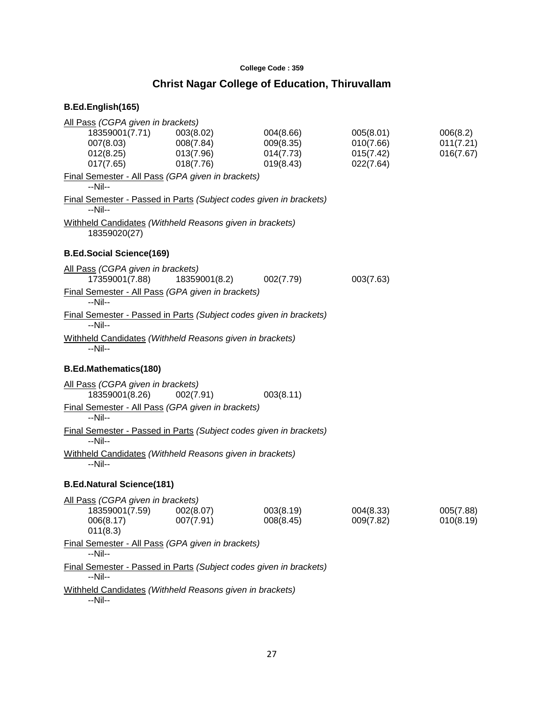### **College Code : 359**

## **Christ Nagar College of Education, Thiruvallam**

| All Pass (CGPA given in brackets)                                             |                                                  |                                                  |                                                  |                                    |
|-------------------------------------------------------------------------------|--------------------------------------------------|--------------------------------------------------|--------------------------------------------------|------------------------------------|
| 18359001(7.71)<br>007(8.03)<br>012(8.25)<br>017(7.65)                         | 003(8.02)<br>008(7.84)<br>013(7.96)<br>018(7.76) | 004(8.66)<br>009(8.35)<br>014(7.73)<br>019(8.43) | 005(8.01)<br>010(7.66)<br>015(7.42)<br>022(7.64) | 006(8.2)<br>011(7.21)<br>016(7.67) |
| Final Semester - All Pass (GPA given in brackets)<br>$-Nil-$                  |                                                  |                                                  |                                                  |                                    |
| Final Semester - Passed in Parts (Subject codes given in brackets)<br>$-Nil-$ |                                                  |                                                  |                                                  |                                    |
| Withheld Candidates (Withheld Reasons given in brackets)<br>18359020(27)      |                                                  |                                                  |                                                  |                                    |
| <b>B.Ed.Social Science(169)</b>                                               |                                                  |                                                  |                                                  |                                    |
| All Pass (CGPA given in brackets)<br>17359001(7.88)                           | 18359001(8.2)                                    | 002(7.79)                                        | 003(7.63)                                        |                                    |
| Final Semester - All Pass (GPA given in brackets)<br>--Nil--                  |                                                  |                                                  |                                                  |                                    |
| Final Semester - Passed in Parts (Subject codes given in brackets)<br>$-Nil-$ |                                                  |                                                  |                                                  |                                    |
| Withheld Candidates (Withheld Reasons given in brackets)<br>$-Nil-$           |                                                  |                                                  |                                                  |                                    |
| <b>B.Ed.Mathematics(180)</b>                                                  |                                                  |                                                  |                                                  |                                    |
| All Pass (CGPA given in brackets)<br>18359001(8.26)                           | 002(7.91)                                        | 003(8.11)                                        |                                                  |                                    |
| Final Semester - All Pass (GPA given in brackets)<br>$-Nil-$                  |                                                  |                                                  |                                                  |                                    |
| Final Semester - Passed in Parts (Subject codes given in brackets)<br>$-Nil-$ |                                                  |                                                  |                                                  |                                    |
| Withheld Candidates (Withheld Reasons given in brackets)<br>$-Nil-$           |                                                  |                                                  |                                                  |                                    |
| <b>B.Ed.Natural Science(181)</b>                                              |                                                  |                                                  |                                                  |                                    |
| All Pass (CGPA given in brackets)<br>18359001(7.59)<br>006(8.17)<br>011(8.3)  | 002(8.07)<br>007(7.91)                           | 003(8.19)<br>008(8.45)                           | 004(8.33)<br>009(7.82)                           | 005(7.88)<br>010(8.19)             |
| Final Semester - All Pass (GPA given in brackets)<br>$-Nil-$                  |                                                  |                                                  |                                                  |                                    |
| Final Semester - Passed in Parts (Subject codes given in brackets)<br>$-Nil-$ |                                                  |                                                  |                                                  |                                    |
| Withheld Candidates (Withheld Reasons given in brackets)<br>--Nil--           |                                                  |                                                  |                                                  |                                    |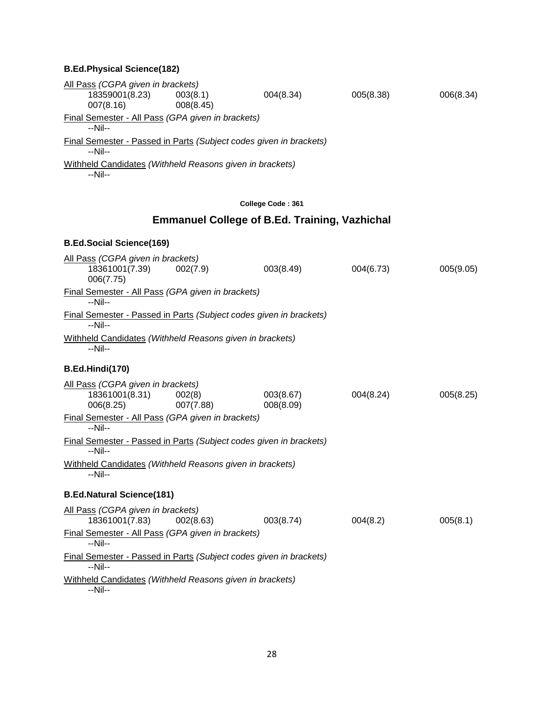#### **B.Ed.Physical Science(182)**

| All Pass (CGPA given in brackets)<br>18359001(8.23)<br>007(8.16)                     | 003(8.1)<br>008(8.45) | 004(8.34)                                            | 005(8.38) | 006(8.34) |
|--------------------------------------------------------------------------------------|-----------------------|------------------------------------------------------|-----------|-----------|
| Final Semester - All Pass (GPA given in brackets)                                    |                       |                                                      |           |           |
| $-Nil-$                                                                              |                       |                                                      |           |           |
| <b>Final Semester - Passed in Parts (Subject codes given in brackets)</b><br>$-Nil-$ |                       |                                                      |           |           |
| Withheld Candidates (Withheld Reasons given in brackets)<br>--Nil--                  |                       |                                                      |           |           |
|                                                                                      |                       | College Code: 361                                    |           |           |
|                                                                                      |                       | <b>Emmanuel College of B.Ed. Training, Vazhichal</b> |           |           |
| <b>B.Ed.Social Science(169)</b>                                                      |                       |                                                      |           |           |
| All Pass (CGPA given in brackets)<br>18361001(7.39)<br>006(7.75)                     | 002(7.9)              | 003(8.49)                                            | 004(6.73) | 005(9.05) |
| Final Semester - All Pass (GPA given in brackets)<br>$-Nil-$                         |                       |                                                      |           |           |
| Final Semester - Passed in Parts (Subject codes given in brackets)                   |                       |                                                      |           |           |
| --Nil--<br>Withheld Candidates (Withheld Reasons given in brackets)<br>--Nil--       |                       |                                                      |           |           |
| B.Ed.Hindi(170)                                                                      |                       |                                                      |           |           |
| All Pass (CGPA given in brackets)<br>18361001(8.31)<br>006(8.25)                     | 002(8)<br>007(7.88)   | 003(8.67)<br>008(8.09)                               | 004(8.24) | 005(8.25) |
| Final Semester - All Pass (GPA given in brackets)<br>$-Nil-$                         |                       |                                                      |           |           |
| Final Semester - Passed in Parts (Subject codes given in brackets)<br>$-Nil-$        |                       |                                                      |           |           |
| Withheld Candidates (Withheld Reasons given in brackets)<br>--Nil--                  |                       |                                                      |           |           |
| <b>B.Ed.Natural Science(181)</b>                                                     |                       |                                                      |           |           |
| All Pass (CGPA given in brackets)<br>18361001(7.83)                                  | 002(8.63)             | 003(8.74)                                            | 004(8.2)  | 005(8.1)  |
| Final Semester - All Pass (GPA given in brackets)<br>--Nil--                         |                       |                                                      |           |           |
| Final Semester - Passed in Parts (Subject codes given in brackets)<br>--Nil--        |                       |                                                      |           |           |
| Withheld Candidates (Withheld Reasons given in brackets)<br>$-Nil-$                  |                       |                                                      |           |           |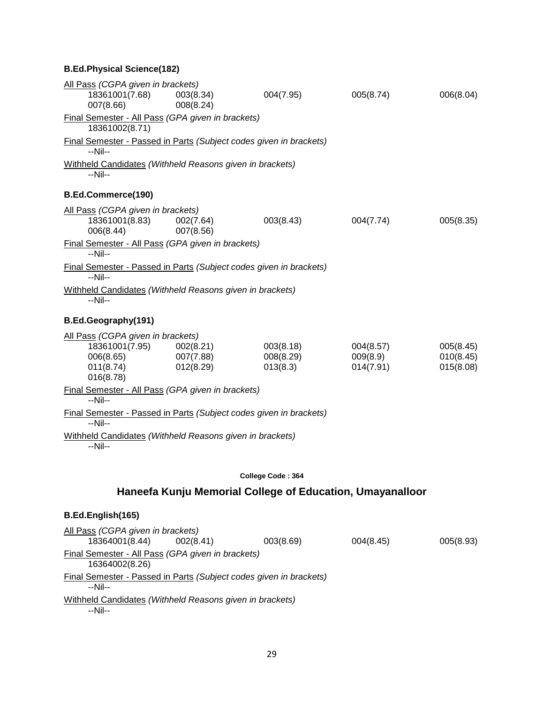## **B.Ed.Physical Science(182)**

| All Pass (CGPA given in brackets)<br>18361001(7.68)<br>007(8.66)                                                                 | 003(8.34)<br>008(8.24)              | 004(7.95)                                                 | 005(8.74)                          | 006(8.04)                           |
|----------------------------------------------------------------------------------------------------------------------------------|-------------------------------------|-----------------------------------------------------------|------------------------------------|-------------------------------------|
| Final Semester - All Pass (GPA given in brackets)<br>18361002(8.71)                                                              |                                     |                                                           |                                    |                                     |
| Final Semester - Passed in Parts (Subject codes given in brackets)<br>--Nil--                                                    |                                     |                                                           |                                    |                                     |
| Withheld Candidates (Withheld Reasons given in brackets)<br>$-Nil-$                                                              |                                     |                                                           |                                    |                                     |
| B.Ed.Commerce(190)                                                                                                               |                                     |                                                           |                                    |                                     |
| All Pass (CGPA given in brackets)<br>18361001(8.83)<br>006(8.44)<br>Final Semester - All Pass (GPA given in brackets)<br>--Nil-- | 002(7.64)<br>007(8.56)              | 003(8.43)                                                 | 004(7.74)                          | 005(8.35)                           |
| Final Semester - Passed in Parts (Subject codes given in brackets)<br>--Nil--                                                    |                                     |                                                           |                                    |                                     |
| Withheld Candidates (Withheld Reasons given in brackets)<br>--Nil--                                                              |                                     |                                                           |                                    |                                     |
| B.Ed.Geography(191)                                                                                                              |                                     |                                                           |                                    |                                     |
| All Pass (CGPA given in brackets)<br>18361001(7.95)<br>006(8.65)<br>011(8.74)<br>016(8.78)                                       | 002(8.21)<br>007(7.88)<br>012(8.29) | 003(8.18)<br>008(8.29)<br>013(8.3)                        | 004(8.57)<br>009(8.9)<br>014(7.91) | 005(8.45)<br>010(8.45)<br>015(8.08) |
| Final Semester - All Pass (GPA given in brackets)<br>$-Nil-$                                                                     |                                     |                                                           |                                    |                                     |
| Final Semester - Passed in Parts (Subject codes given in brackets)<br>$-Nil-$                                                    |                                     |                                                           |                                    |                                     |
| Withheld Candidates (Withheld Reasons given in brackets)<br>--Nil--                                                              |                                     |                                                           |                                    |                                     |
|                                                                                                                                  |                                     | College Code: 364                                         |                                    |                                     |
|                                                                                                                                  |                                     | Haneefa Kunju Memorial College of Education, Umayanalloor |                                    |                                     |
| B.Ed.English(165)                                                                                                                |                                     |                                                           |                                    |                                     |

| All Pass (CGPA given in brackets)                                   |           |                                                                    |           |           |
|---------------------------------------------------------------------|-----------|--------------------------------------------------------------------|-----------|-----------|
| 18364001(8.44)                                                      | 002(8.41) | 003(8.69)                                                          | 004(8.45) | 005(8.93) |
| Final Semester - All Pass (GPA given in brackets)<br>16364002(8.26) |           |                                                                    |           |           |
| --Nil--                                                             |           | Final Semester - Passed in Parts (Subject codes given in brackets) |           |           |
| Withheld Candidates (Withheld Reasons given in brackets)<br>--Nil-- |           |                                                                    |           |           |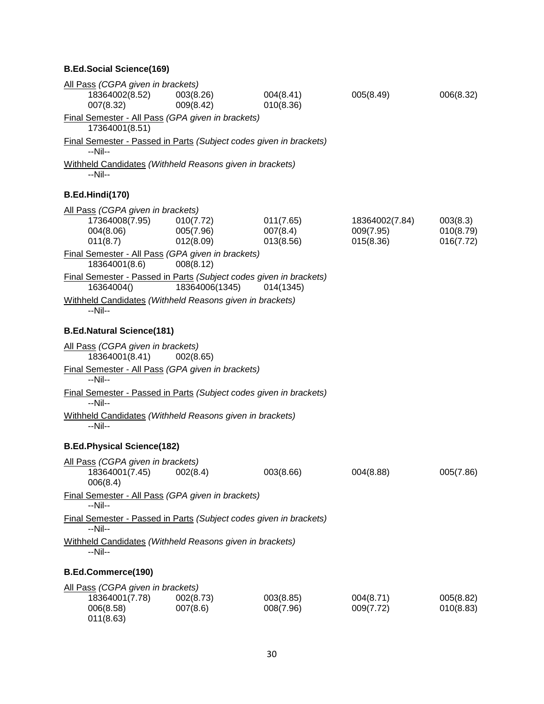#### **B.Ed.Social Science(169)**

| All Pass (CGPA given in brackets)                                                |                        |                        |                             |                        |
|----------------------------------------------------------------------------------|------------------------|------------------------|-----------------------------|------------------------|
| 18364002(8.52)<br>007(8.32)                                                      | 003(8.26)<br>009(8.42) | 004(8.41)<br>010(8.36) | 005(8.49)                   | 006(8.32)              |
| Final Semester - All Pass (GPA given in brackets)<br>17364001(8.51)              |                        |                        |                             |                        |
| Final Semester - Passed in Parts (Subject codes given in brackets)<br>--Nil--    |                        |                        |                             |                        |
| Withheld Candidates (Withheld Reasons given in brackets)<br>--Nil--              |                        |                        |                             |                        |
| B.Ed.Hindi(170)                                                                  |                        |                        |                             |                        |
| All Pass (CGPA given in brackets)                                                |                        |                        |                             |                        |
| 17364008(7.95)<br>004(8.06)                                                      | 010(7.72)<br>005(7.96) | 011(7.65)<br>007(8.4)  | 18364002(7.84)<br>009(7.95) | 003(8.3)<br>010(8.79)  |
| 011(8.7)                                                                         | 012(8.09)              | 013(8.56)              | 015(8.36)                   | 016(7.72)              |
| Final Semester - All Pass (GPA given in brackets)<br>18364001(8.6)               | 008(8.12)              |                        |                             |                        |
| Final Semester - Passed in Parts (Subject codes given in brackets)<br>16364004() | 18364006(1345)         | 014(1345)              |                             |                        |
| Withheld Candidates (Withheld Reasons given in brackets)<br>--Nil--              |                        |                        |                             |                        |
| <b>B.Ed.Natural Science(181)</b>                                                 |                        |                        |                             |                        |
| All Pass (CGPA given in brackets)                                                |                        |                        |                             |                        |
| 18364001(8.41)                                                                   | 002(8.65)              |                        |                             |                        |
| Final Semester - All Pass (GPA given in brackets)<br>$-Nil-$                     |                        |                        |                             |                        |
| Final Semester - Passed in Parts (Subject codes given in brackets)<br>$-Nil-$    |                        |                        |                             |                        |
| Withheld Candidates (Withheld Reasons given in brackets)<br>$-Nil-$              |                        |                        |                             |                        |
| <b>B.Ed.Physical Science(182)</b>                                                |                        |                        |                             |                        |
| All Pass (CGPA given in brackets)<br>18364001(7.45)<br>006(8.4)                  | 002(8.4)               | 003(8.66)              | 004(8.88)                   | 005(7.86)              |
| Final Semester - All Pass (GPA given in brackets)<br>--Nil--                     |                        |                        |                             |                        |
| Final Semester - Passed in Parts (Subject codes given in brackets)<br>$-Nil-$    |                        |                        |                             |                        |
| Withheld Candidates (Withheld Reasons given in brackets)<br>--Nil--              |                        |                        |                             |                        |
| B.Ed.Commerce(190)                                                               |                        |                        |                             |                        |
| All Pass (CGPA given in brackets)                                                |                        |                        |                             |                        |
| 18364001(7.78)<br>006(8.58)<br>011(8.63)                                         | 002(8.73)<br>007(8.6)  | 003(8.85)<br>008(7.96) | 004(8.71)<br>009(7.72)      | 005(8.82)<br>010(8.83) |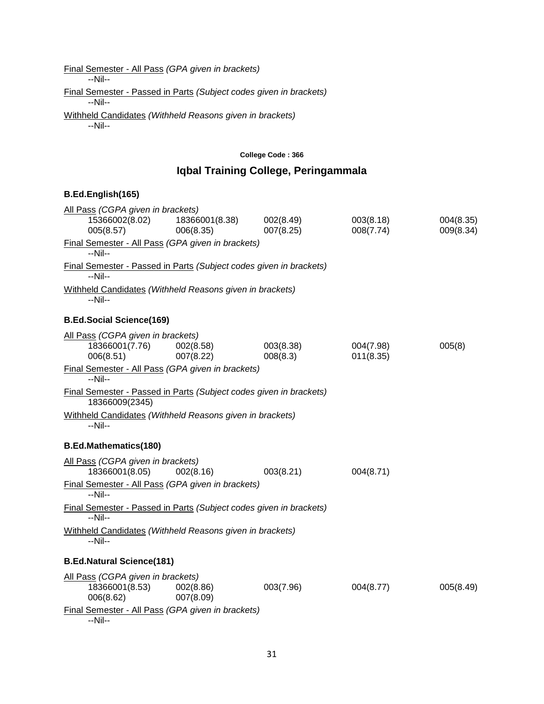Final Semester - All Pass *(GPA given in brackets)*

--Nil--

Final Semester - Passed in Parts *(Subject codes given in brackets)* --Nil--

Withheld Candidates *(Withheld Reasons given in brackets)* --Nil--

#### **College Code : 366**

## **Iqbal Training College, Peringammala**

| All Pass (CGPA given in brackets)                                                    |                             |                        |                        |                        |
|--------------------------------------------------------------------------------------|-----------------------------|------------------------|------------------------|------------------------|
| 15366002(8.02)<br>005(8.57)                                                          | 18366001(8.38)<br>006(8.35) | 002(8.49)<br>007(8.25) | 003(8.18)<br>008(7.74) | 004(8.35)<br>009(8.34) |
| Final Semester - All Pass (GPA given in brackets)<br>$-Nil-$                         |                             |                        |                        |                        |
| Final Semester - Passed in Parts (Subject codes given in brackets)<br>$-Nil-$        |                             |                        |                        |                        |
| Withheld Candidates (Withheld Reasons given in brackets)<br>$-Nil-$                  |                             |                        |                        |                        |
| <b>B.Ed.Social Science(169)</b>                                                      |                             |                        |                        |                        |
| All Pass (CGPA given in brackets)<br>18366001(7.76)<br>006(8.51)                     | 002(8.58)<br>007(8.22)      | 003(8.38)<br>008(8.3)  | 004(7.98)<br>011(8.35) | 005(8)                 |
| Final Semester - All Pass (GPA given in brackets)<br>--Nil--                         |                             |                        |                        |                        |
| Final Semester - Passed in Parts (Subject codes given in brackets)<br>18366009(2345) |                             |                        |                        |                        |
| Withheld Candidates (Withheld Reasons given in brackets)<br>--Nil--                  |                             |                        |                        |                        |
| <b>B.Ed.Mathematics(180)</b>                                                         |                             |                        |                        |                        |
| All Pass (CGPA given in brackets)<br>18366001(8.05)                                  | 002(8.16)                   | 003(8.21)              | 004(8.71)              |                        |
| Final Semester - All Pass (GPA given in brackets)<br>--Nil--                         |                             |                        |                        |                        |
| Final Semester - Passed in Parts (Subject codes given in brackets)<br>$-Nil-$        |                             |                        |                        |                        |
| Withheld Candidates (Withheld Reasons given in brackets)<br>--Nil--                  |                             |                        |                        |                        |
| <b>B.Ed.Natural Science(181)</b>                                                     |                             |                        |                        |                        |
| All Pass (CGPA given in brackets)<br>18366001(8.53)<br>006(8.62)                     | 002(8.86)<br>007(8.09)      | 003(7.96)              | 004(8.77)              | 005(8.49)              |
| Final Semester - All Pass (GPA given in brackets)<br>--Nil--                         |                             |                        |                        |                        |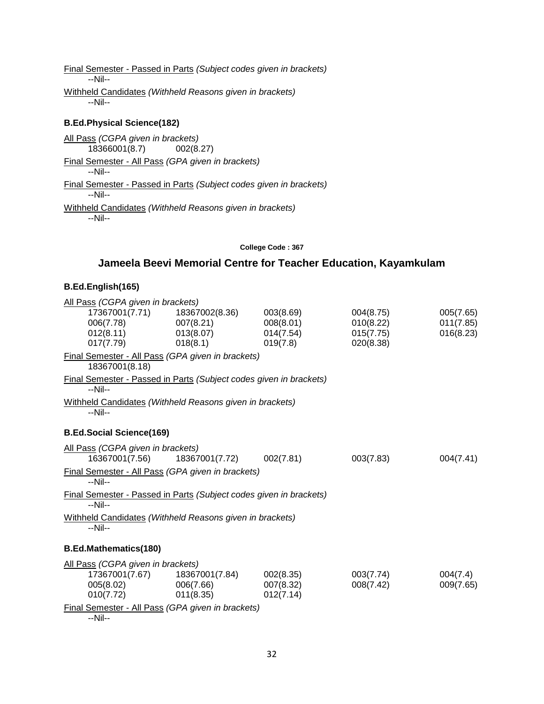Final Semester - Passed in Parts *(Subject codes given in brackets)* --Nil-- Withheld Candidates *(Withheld Reasons given in brackets)* --Nil--

#### **B.Ed.Physical Science(182)**

All Pass *(CGPA given in brackets)* 18366001(8.7) 002(8.27) Final Semester - All Pass *(GPA given in brackets)* --Nil-- Final Semester - Passed in Parts *(Subject codes given in brackets)* --Nil-- Withheld Candidates *(Withheld Reasons given in brackets)* --Nil--

#### **College Code : 367**

## **Jameela Beevi Memorial Centre for Teacher Education, Kayamkulam**

#### **B.Ed.English(165)**

| All Pass (CGPA given in brackets)                                             |                |           |           |           |
|-------------------------------------------------------------------------------|----------------|-----------|-----------|-----------|
| 17367001(7.71)                                                                | 18367002(8.36) | 003(8.69) | 004(8.75) | 005(7.65) |
| 006(7.78)                                                                     | 007(8.21)      | 008(8.01) | 010(8.22) | 011(7.85) |
| 012(8.11)                                                                     | 013(8.07)      | 014(7.54) | 015(7.75) | 016(8.23) |
| 017(7.79)                                                                     | 018(8.1)       | 019(7.8)  | 020(8.38) |           |
| Final Semester - All Pass (GPA given in brackets)<br>18367001(8.18)           |                |           |           |           |
| Final Semester - Passed in Parts (Subject codes given in brackets)<br>$-Nil-$ |                |           |           |           |
| Withheld Candidates (Withheld Reasons given in brackets)<br>--Nil--           |                |           |           |           |
| <b>B.Ed.Social Science(169)</b>                                               |                |           |           |           |
| All Pass (CGPA given in brackets)                                             |                |           |           |           |
| 16367001(7.56)                                                                | 18367001(7.72) | 002(7.81) | 003(7.83) | 004(7.41) |
| Final Semester - All Pass (GPA given in brackets)<br>--Nil--                  |                |           |           |           |
| Final Semester - Passed in Parts (Subject codes given in brackets)<br>$-Nil-$ |                |           |           |           |
| Withheld Candidates (Withheld Reasons given in brackets)<br>$-Nil-$           |                |           |           |           |
| <b>B.Ed.Mathematics(180)</b>                                                  |                |           |           |           |
| All Pass (CGPA given in brackets)                                             |                |           |           |           |
| 17367001(7.67)                                                                | 18367001(7.84) | 002(8.35) | 003(7.74) | 004(7.4)  |
| 005(8.02)                                                                     | 006(7.66)      | 007(8.32) | 008(7.42) | 009(7.65) |
| 010(7.72)                                                                     | 011(8.35)      | 012(7.14) |           |           |
| Final Semester - All Pass (GPA given in brackets)                             |                |           |           |           |

--Nil--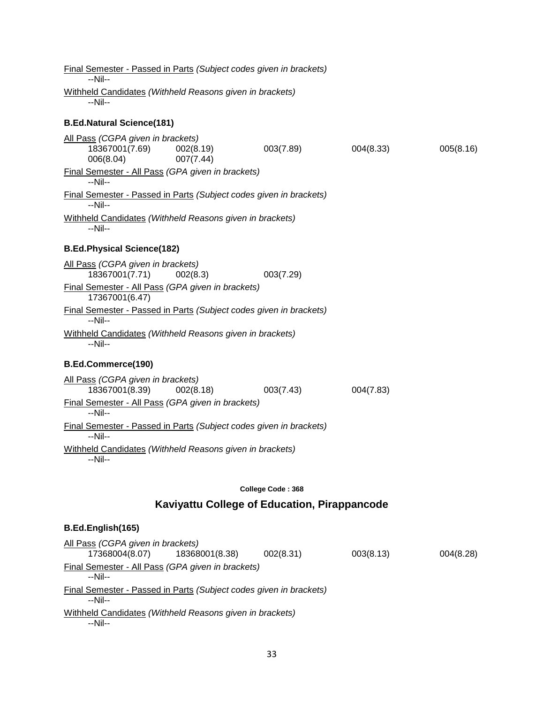| Final Semester - Passed in Parts (Subject codes given in brackets)<br>$-Nil-$              |                          |           |           |
|--------------------------------------------------------------------------------------------|--------------------------|-----------|-----------|
| Withheld Candidates (Withheld Reasons given in brackets)                                   |                          |           |           |
| $-Nil-$                                                                                    |                          |           |           |
| <b>B.Ed.Natural Science(181)</b>                                                           |                          |           |           |
| All Pass (CGPA given in brackets)<br>18367001(7.69)<br>002(8.19)<br>006(8.04)<br>007(7.44) | 003(7.89)                | 004(8.33) | 005(8.16) |
| Final Semester - All Pass (GPA given in brackets)<br>$-Nil-$                               |                          |           |           |
| Final Semester - Passed in Parts (Subject codes given in brackets)<br>$-Nil-$              |                          |           |           |
| Withheld Candidates (Withheld Reasons given in brackets)<br>$-Nil-$                        |                          |           |           |
| <b>B.Ed.Physical Science(182)</b>                                                          |                          |           |           |
| All Pass (CGPA given in brackets)<br>18367001(7.71)<br>002(8.3)                            | 003(7.29)                |           |           |
| Final Semester - All Pass (GPA given in brackets)<br>17367001(6.47)                        |                          |           |           |
| Final Semester - Passed in Parts (Subject codes given in brackets)<br>$-Nil-$              |                          |           |           |
| Withheld Candidates (Withheld Reasons given in brackets)<br>$-Nil-$                        |                          |           |           |
| B.Ed.Commerce(190)                                                                         |                          |           |           |
| All Pass (CGPA given in brackets)<br>18367001(8.39)<br>002(8.18)                           | 003(7.43)                | 004(7.83) |           |
| Final Semester - All Pass (GPA given in brackets)<br>$-Nil-$                               |                          |           |           |
| Final Semester - Passed in Parts (Subject codes given in brackets)<br>$-Nil-$              |                          |           |           |
| Withheld Candidates (Withheld Reasons given in brackets)<br>--Nil--                        |                          |           |           |
|                                                                                            | <b>College Code: 368</b> |           |           |
| Kaviyattu College of Education, Pirappancode                                               |                          |           |           |
| B.Ed.English(165)                                                                          |                          |           |           |
| All Pass (CGPA given in brackets)<br>17368004(8.07)<br>18368001(8.38)                      | 002(8.31)                | 003(8.13) | 004(8.28) |
| Final Semester - All Pass (GPA given in brackets)<br>$-Nil-$                               |                          |           |           |
| Final Semester - Passed in Parts (Subject codes given in brackets)<br>--Nil--              |                          |           |           |
|                                                                                            |                          |           |           |

Withheld Candidates *(Withheld Reasons given in brackets)* --Nil--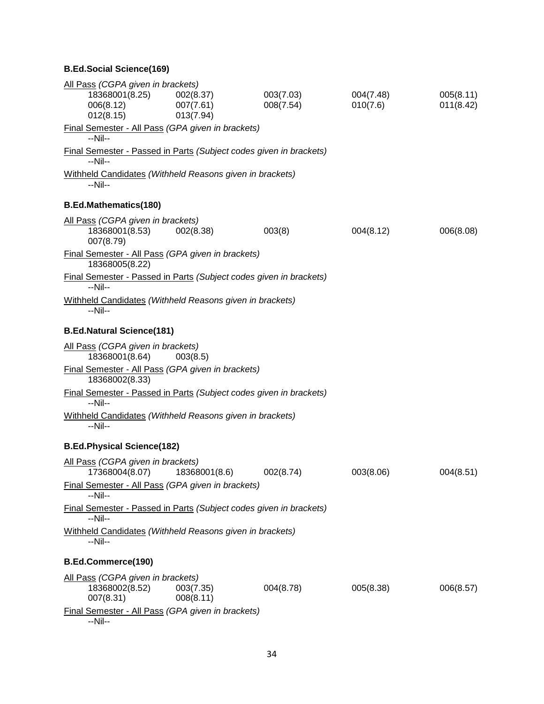### **B.Ed.Social Science(169)**

| All Pass (CGPA given in brackets)                                             |                        |           |           |           |
|-------------------------------------------------------------------------------|------------------------|-----------|-----------|-----------|
| 18368001(8.25)                                                                | 002(8.37)              | 003(7.03) | 004(7.48) | 005(8.11) |
| 006(8.12)                                                                     | 007(7.61)              | 008(7.54) | 010(7.6)  | 011(8.42) |
| 012(8.15)                                                                     | 013(7.94)              |           |           |           |
| Final Semester - All Pass (GPA given in brackets)                             |                        |           |           |           |
| $-Nil-$                                                                       |                        |           |           |           |
| Final Semester - Passed in Parts (Subject codes given in brackets)            |                        |           |           |           |
| --Nil--                                                                       |                        |           |           |           |
| Withheld Candidates (Withheld Reasons given in brackets)                      |                        |           |           |           |
| $-Nil-$                                                                       |                        |           |           |           |
| <b>B.Ed.Mathematics(180)</b>                                                  |                        |           |           |           |
| All Pass (CGPA given in brackets)                                             |                        |           |           |           |
| 18368001(8.53)<br>007(8.79)                                                   | 002(8.38)              | 003(8)    | 004(8.12) | 006(8.08) |
| Final Semester - All Pass (GPA given in brackets)<br>18368005(8.22)           |                        |           |           |           |
| Final Semester - Passed in Parts (Subject codes given in brackets)<br>$-Nil-$ |                        |           |           |           |
| Withheld Candidates (Withheld Reasons given in brackets)<br>--Nil--           |                        |           |           |           |
| <b>B.Ed.Natural Science(181)</b>                                              |                        |           |           |           |
| All Pass (CGPA given in brackets)                                             |                        |           |           |           |
| 18368001(8.64)                                                                | 003(8.5)               |           |           |           |
| Final Semester - All Pass (GPA given in brackets)<br>18368002(8.33)           |                        |           |           |           |
| Final Semester - Passed in Parts (Subject codes given in brackets)<br>$-Nil-$ |                        |           |           |           |
| Withheld Candidates (Withheld Reasons given in brackets)<br>--Nil--           |                        |           |           |           |
| <b>B.Ed.Physical Science(182)</b>                                             |                        |           |           |           |
| All Pass (CGPA given in brackets)<br>17368004(8.07)                           | 18368001(8.6)          | 002(8.74) | 003(8.06) | 004(8.51) |
| Final Semester - All Pass (GPA given in brackets)<br>$-Nil-$                  |                        |           |           |           |
| Final Semester - Passed in Parts (Subject codes given in brackets)<br>--Nil-- |                        |           |           |           |
| Withheld Candidates (Withheld Reasons given in brackets)<br>--Nil--           |                        |           |           |           |
| <b>B.Ed.Commerce(190)</b>                                                     |                        |           |           |           |
| All Pass (CGPA given in brackets)                                             |                        |           |           |           |
| 18368002(8.52)<br>007(8.31)                                                   | 003(7.35)<br>008(8.11) | 004(8.78) | 005(8.38) | 006(8.57) |
| Final Semester - All Pass (GPA given in brackets)<br>--Nil--                  |                        |           |           |           |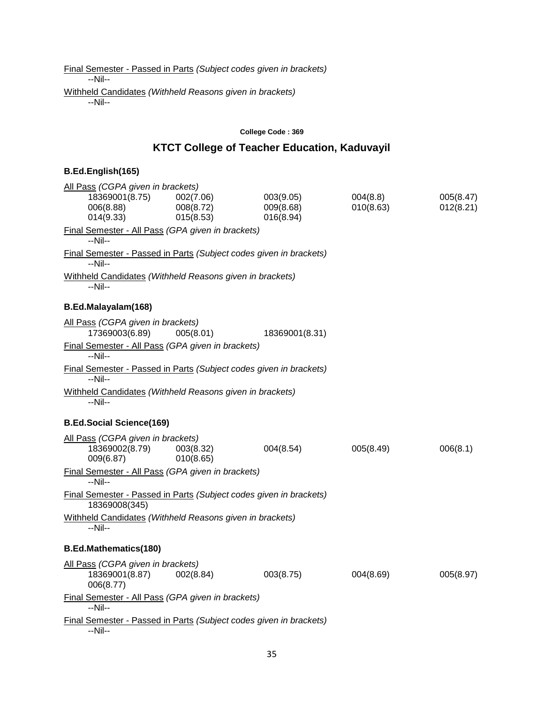Final Semester - Passed in Parts *(Subject codes given in brackets)* --Nil-- Withheld Candidates *(Withheld Reasons given in brackets)* --Nil--

#### **College Code : 369**

## **KTCT College of Teacher Education, Kaduvayil**

| All Pass (CGPA given in brackets)                                                   |                                     |                                     |                       |                        |
|-------------------------------------------------------------------------------------|-------------------------------------|-------------------------------------|-----------------------|------------------------|
| 18369001(8.75)<br>006(8.88)<br>014(9.33)                                            | 002(7.06)<br>008(8.72)<br>015(8.53) | 003(9.05)<br>009(8.68)<br>016(8.94) | 004(8.8)<br>010(8.63) | 005(8.47)<br>012(8.21) |
| Final Semester - All Pass (GPA given in brackets)<br>$-Nil-$                        |                                     |                                     |                       |                        |
| Final Semester - Passed in Parts (Subject codes given in brackets)<br>--Nil--       |                                     |                                     |                       |                        |
| Withheld Candidates (Withheld Reasons given in brackets)<br>--Nil--                 |                                     |                                     |                       |                        |
| B.Ed.Malayalam(168)                                                                 |                                     |                                     |                       |                        |
| All Pass (CGPA given in brackets)<br>17369003(6.89)                                 | 005(8.01)                           | 18369001(8.31)                      |                       |                        |
| Final Semester - All Pass (GPA given in brackets)<br>--Nil--                        |                                     |                                     |                       |                        |
| Final Semester - Passed in Parts (Subject codes given in brackets)<br>$-Nil-$       |                                     |                                     |                       |                        |
| Withheld Candidates (Withheld Reasons given in brackets)<br>$-Nil-$                 |                                     |                                     |                       |                        |
| <b>B.Ed.Social Science(169)</b>                                                     |                                     |                                     |                       |                        |
| All Pass (CGPA given in brackets)<br>18369002(8.79)<br>009(6.87)                    | 003(8.32)<br>010(8.65)              | 004(8.54)                           | 005(8.49)             | 006(8.1)               |
| Final Semester - All Pass (GPA given in brackets)<br>$-Nil-$                        |                                     |                                     |                       |                        |
| Final Semester - Passed in Parts (Subject codes given in brackets)<br>18369008(345) |                                     |                                     |                       |                        |
| Withheld Candidates (Withheld Reasons given in brackets)<br>$-Nil-$                 |                                     |                                     |                       |                        |
| <b>B.Ed.Mathematics(180)</b>                                                        |                                     |                                     |                       |                        |
| All Pass (CGPA given in brackets)<br>18369001(8.87)<br>006(8.77)                    | 002(8.84)                           | 003(8.75)                           | 004(8.69)             | 005(8.97)              |
| Final Semester - All Pass (GPA given in brackets)<br>$-Nil-$                        |                                     |                                     |                       |                        |
| Final Semester - Passed in Parts (Subject codes given in brackets)<br>--Nil--       |                                     |                                     |                       |                        |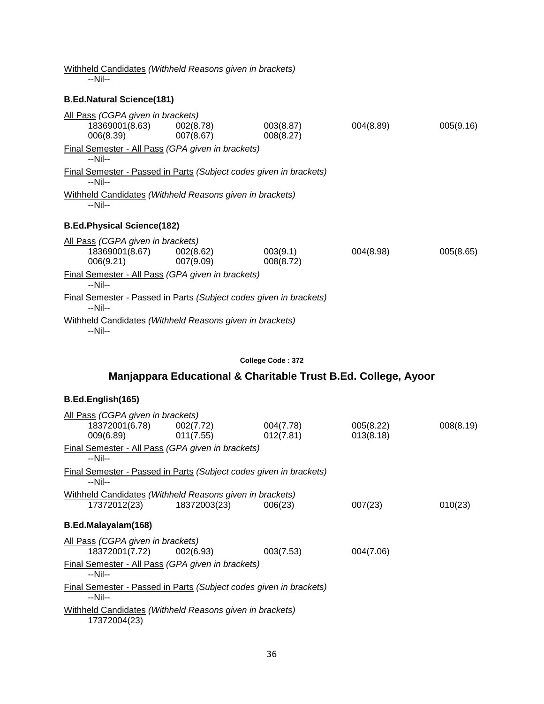| 005(9.16) |
|-----------|
|           |
|           |
|           |
|           |
| 005(8.65) |
|           |
|           |
|           |
|           |

Withheld Candidates *(Withheld Reasons given in brackets)*

#### **College Code : 372**

## **Manjappara Educational & Charitable Trust B.Ed. College, Ayoor**

| All Pass (CGPA given in brackets)                                               |           |           |           |
|---------------------------------------------------------------------------------|-----------|-----------|-----------|
| 18372001(6.78) 002(7.72)                                                        | 004(7.78) | 005(8.22) | 008(8.19) |
| $009(6.89)$ 011(7.55)                                                           | 012(7.81) | 013(8.18) |           |
| Final Semester - All Pass (GPA given in brackets)<br>$-Nil-$                    |           |           |           |
| Final Semester - Passed in Parts (Subject codes given in brackets)<br>--Nil--   |           |           |           |
| Withheld Candidates (Withheld Reasons given in brackets)                        |           |           |           |
| 17372012(23) 18372003(23)                                                       | 006(23)   | 007(23)   | 010(23)   |
| B.Ed.Malayalam(168)                                                             |           |           |           |
| All Pass (CGPA given in brackets)                                               |           |           |           |
| 18372001(7.72) 002(6.93)                                                        | 003(7.53) | 004(7.06) |           |
| Final Semester - All Pass (GPA given in brackets)<br>--Nil--                    |           |           |           |
| Final Semester - Passed in Parts (Subject codes given in brackets)<br>$-N$ il-- |           |           |           |
| Withheld Candidates (Withheld Reasons given in brackets)<br>17372004(23)        |           |           |           |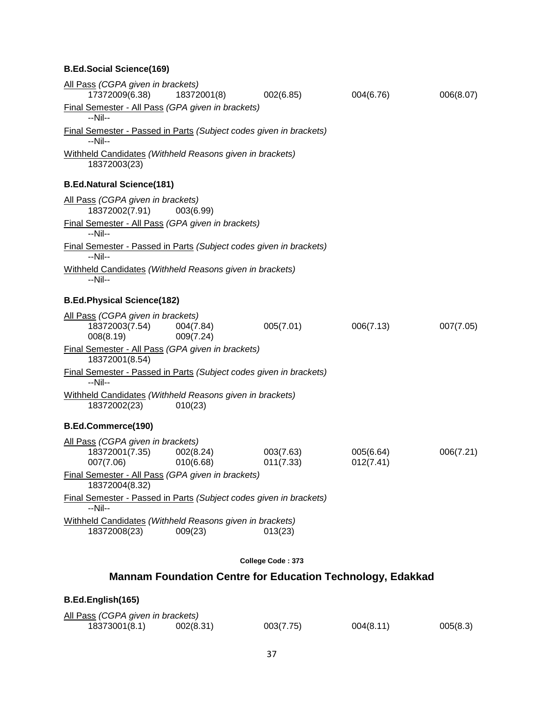# **B.Ed.Social Science(169)**

| All Pass (CGPA given in brackets)<br>17372009(6.38)                           | 18372001(8)            | 002(6.85)              | 004(6.76)              | 006(8.07) |
|-------------------------------------------------------------------------------|------------------------|------------------------|------------------------|-----------|
| Final Semester - All Pass (GPA given in brackets)<br>$-Nil-$                  |                        |                        |                        |           |
|                                                                               |                        |                        |                        |           |
| Final Semester - Passed in Parts (Subject codes given in brackets)<br>--Nil-- |                        |                        |                        |           |
| Withheld Candidates (Withheld Reasons given in brackets)<br>18372003(23)      |                        |                        |                        |           |
| <b>B.Ed.Natural Science(181)</b>                                              |                        |                        |                        |           |
| All Pass (CGPA given in brackets)<br>18372002(7.91)                           | 003(6.99)              |                        |                        |           |
| Final Semester - All Pass (GPA given in brackets)<br>$-Nil-$                  |                        |                        |                        |           |
| Final Semester - Passed in Parts (Subject codes given in brackets)<br>$-Nil-$ |                        |                        |                        |           |
| Withheld Candidates (Withheld Reasons given in brackets)<br>--Nil--           |                        |                        |                        |           |
| <b>B.Ed.Physical Science(182)</b>                                             |                        |                        |                        |           |
| All Pass (CGPA given in brackets)                                             |                        |                        |                        |           |
| 18372003(7.54) 004(7.84)<br>008(8.19)                                         | 009(7.24)              | 005(7.01)              | 006(7.13)              | 007(7.05) |
| Final Semester - All Pass (GPA given in brackets)<br>18372001(8.54)           |                        |                        |                        |           |
| Final Semester - Passed in Parts (Subject codes given in brackets)<br>$-Nil-$ |                        |                        |                        |           |
| Withheld Candidates (Withheld Reasons given in brackets)<br>18372002(23)      | 010(23)                |                        |                        |           |
| B.Ed.Commerce(190)                                                            |                        |                        |                        |           |
| All Pass (CGPA given in brackets)                                             |                        |                        |                        |           |
| 18372001(7.35)<br>007(7.06)                                                   | 002(8.24)<br>010(6.68) | 003(7.63)<br>011(7.33) | 005(6.64)<br>012(7.41) | 006(7.21) |
| Final Semester - All Pass (GPA given in brackets)<br>18372004(8.32)           |                        |                        |                        |           |
| Final Semester - Passed in Parts (Subject codes given in brackets)<br>--Nil-- |                        |                        |                        |           |
| Withheld Candidates (Withheld Reasons given in brackets)                      |                        |                        |                        |           |
| 18372008(23)                                                                  | 009(23)                | 013(23)                |                        |           |
|                                                                               |                        | College Code: 373      |                        |           |

# **Mannam Foundation Centre for Education Technology, Edakkad**

| B.Ed.English(165)                 |           |           |           |          |
|-----------------------------------|-----------|-----------|-----------|----------|
| All Pass (CGPA given in brackets) |           |           |           |          |
| 18373001(8.1)                     | 002(8.31) | 003(7.75) | 004(8.11) | 005(8.3) |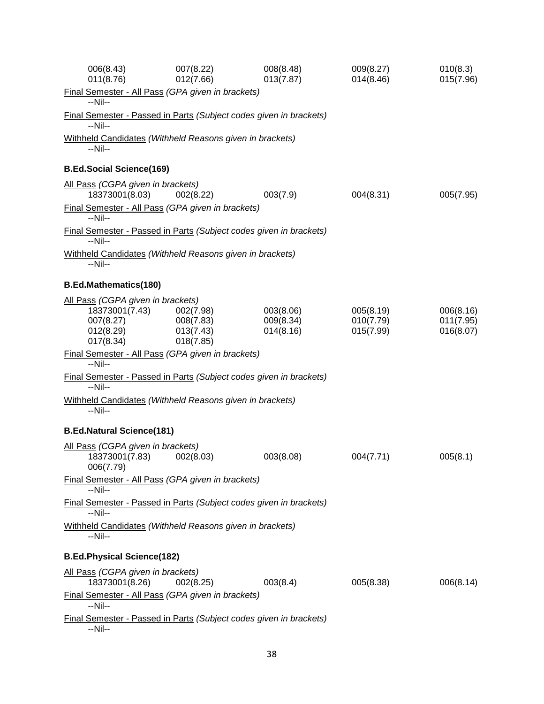| 006(8.43)<br>011(8.76)                                                                     | 007(8.22)<br>012(7.66)                           | 008(8.48)<br>013(7.87)              | 009(8.27)<br>014(8.46)              | 010(8.3)<br>015(7.96)               |
|--------------------------------------------------------------------------------------------|--------------------------------------------------|-------------------------------------|-------------------------------------|-------------------------------------|
| Final Semester - All Pass (GPA given in brackets)<br>--Nil--                               |                                                  |                                     |                                     |                                     |
| Final Semester - Passed in Parts (Subject codes given in brackets)<br>--Nil--              |                                                  |                                     |                                     |                                     |
| Withheld Candidates (Withheld Reasons given in brackets)<br>--Nil--                        |                                                  |                                     |                                     |                                     |
| <b>B.Ed.Social Science(169)</b>                                                            |                                                  |                                     |                                     |                                     |
| All Pass (CGPA given in brackets)<br>18373001(8.03)                                        | 002(8.22)                                        | 003(7.9)                            | 004(8.31)                           | 005(7.95)                           |
| Final Semester - All Pass (GPA given in brackets)<br>$-Nil-$                               |                                                  |                                     |                                     |                                     |
| Final Semester - Passed in Parts (Subject codes given in brackets)<br>--Nil--              |                                                  |                                     |                                     |                                     |
| Withheld Candidates (Withheld Reasons given in brackets)<br>--Nil--                        |                                                  |                                     |                                     |                                     |
| <b>B.Ed.Mathematics(180)</b>                                                               |                                                  |                                     |                                     |                                     |
| All Pass (CGPA given in brackets)<br>18373001(7.43)<br>007(8.27)<br>012(8.29)<br>017(8.34) | 002(7.98)<br>008(7.83)<br>013(7.43)<br>018(7.85) | 003(8.06)<br>009(8.34)<br>014(8.16) | 005(8.19)<br>010(7.79)<br>015(7.99) | 006(8.16)<br>011(7.95)<br>016(8.07) |
| Final Semester - All Pass (GPA given in brackets)<br>$-Nil-$                               |                                                  |                                     |                                     |                                     |
| Final Semester - Passed in Parts (Subject codes given in brackets)<br>$-Nil-$              |                                                  |                                     |                                     |                                     |
| Withheld Candidates (Withheld Reasons given in brackets)<br>--Nil--                        |                                                  |                                     |                                     |                                     |
| <b>B.Ed.Natural Science(181)</b>                                                           |                                                  |                                     |                                     |                                     |
| All Pass (CGPA given in brackets)<br>18373001(7.83)<br>006(7.79)                           | 002(8.03)                                        | 003(8.08)                           | 004(7.71)                           | 005(8.1)                            |
| Final Semester - All Pass (GPA given in brackets)<br>--Nil--                               |                                                  |                                     |                                     |                                     |
| Final Semester - Passed in Parts (Subject codes given in brackets)<br>--Nil--              |                                                  |                                     |                                     |                                     |
| Withheld Candidates (Withheld Reasons given in brackets)<br>--Nil--                        |                                                  |                                     |                                     |                                     |
| <b>B.Ed.Physical Science(182)</b>                                                          |                                                  |                                     |                                     |                                     |
| All Pass (CGPA given in brackets)<br>18373001(8.26)                                        | 002(8.25)                                        | 003(8.4)                            | 005(8.38)                           | 006(8.14)                           |
| Final Semester - All Pass (GPA given in brackets)<br>$-Nil-$                               |                                                  |                                     |                                     |                                     |
| Final Semester - Passed in Parts (Subject codes given in brackets)<br>--Nil--              |                                                  |                                     |                                     |                                     |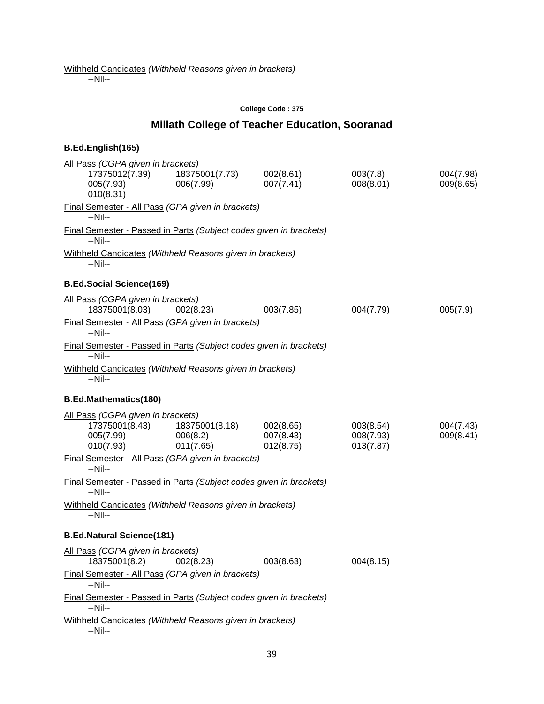--Nil--

#### **College Code : 375**

# **Millath College of Teacher Education, Sooranad**

| All Pass (CGPA given in brackets)<br>17375012(7.39)<br>005(7.93)<br>010(8.31)                                                      | 18375001(7.73)<br>006(7.99)             | 002(8.61)<br>007(7.41)              | 003(7.8)<br>008(8.01)               | 004(7.98)<br>009(8.65) |
|------------------------------------------------------------------------------------------------------------------------------------|-----------------------------------------|-------------------------------------|-------------------------------------|------------------------|
| Final Semester - All Pass (GPA given in brackets)<br>--Nil--                                                                       |                                         |                                     |                                     |                        |
| Final Semester - Passed in Parts (Subject codes given in brackets)<br>--Nil--                                                      |                                         |                                     |                                     |                        |
| Withheld Candidates (Withheld Reasons given in brackets)<br>$-Nil-$                                                                |                                         |                                     |                                     |                        |
| <b>B.Ed.Social Science(169)</b>                                                                                                    |                                         |                                     |                                     |                        |
| All Pass (CGPA given in brackets)<br>18375001(8.03)                                                                                | 002(8.23)                               | 003(7.85)                           | 004(7.79)                           | 005(7.9)               |
| Final Semester - All Pass (GPA given in brackets)<br>--Nil--                                                                       |                                         |                                     |                                     |                        |
| Final Semester - Passed in Parts (Subject codes given in brackets)<br>$-Nil-$                                                      |                                         |                                     |                                     |                        |
| Withheld Candidates (Withheld Reasons given in brackets)<br>--Nil--                                                                |                                         |                                     |                                     |                        |
| <b>B.Ed.Mathematics(180)</b>                                                                                                       |                                         |                                     |                                     |                        |
| All Pass (CGPA given in brackets)<br>17375001(8.43)<br>005(7.99)<br>010(7.93)<br>Final Semester - All Pass (GPA given in brackets) | 18375001(8.18)<br>006(8.2)<br>011(7.65) | 002(8.65)<br>007(8.43)<br>012(8.75) | 003(8.54)<br>008(7.93)<br>013(7.87) | 004(7.43)<br>009(8.41) |
| --Nil--                                                                                                                            |                                         |                                     |                                     |                        |
| Final Semester - Passed in Parts (Subject codes given in brackets)<br>--Nil--                                                      |                                         |                                     |                                     |                        |
| Withheld Candidates (Withheld Reasons given in brackets)<br>--Nil--                                                                |                                         |                                     |                                     |                        |
| <b>B.Ed.Natural Science(181)</b>                                                                                                   |                                         |                                     |                                     |                        |
| All Pass (CGPA given in brackets)<br>18375001(8.2)                                                                                 | 002(8.23)                               | 003(8.63)                           | 004(8.15)                           |                        |
| Final Semester - All Pass (GPA given in brackets)<br>--Nil--                                                                       |                                         |                                     |                                     |                        |
| Final Semester - Passed in Parts (Subject codes given in brackets)<br>--Nil--                                                      |                                         |                                     |                                     |                        |
| Withheld Candidates (Withheld Reasons given in brackets)<br>--Nil--                                                                |                                         |                                     |                                     |                        |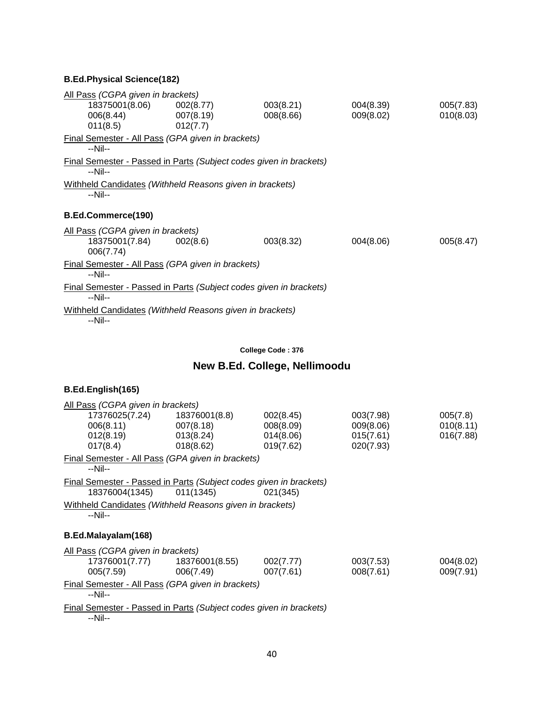# **B.Ed.Physical Science(182)**

| All Pass (CGPA given in brackets)                                               |                                                          |           |           |           |
|---------------------------------------------------------------------------------|----------------------------------------------------------|-----------|-----------|-----------|
| 18375001(8.06) 002(8.77)                                                        |                                                          | 003(8.21) | 004(8.39) | 005(7.83) |
| 006(8.44)                                                                       | 007(8.19)                                                | 008(8.66) | 009(8.02) | 010(8.03) |
| 011(8.5)                                                                        | 012(7.7)                                                 |           |           |           |
| Final Semester - All Pass (GPA given in brackets)<br>--Nil--                    |                                                          |           |           |           |
| Final Semester - Passed in Parts (Subject codes given in brackets)<br>$-N$ il-- |                                                          |           |           |           |
| Withheld Candidates (Withheld Reasons given in brackets)<br>$-Nil-$             |                                                          |           |           |           |
| B.Ed.Commerce(190)                                                              |                                                          |           |           |           |
| All Pass (CGPA given in brackets)                                               |                                                          |           |           |           |
| 18375001(7.84)<br>006(7.74)                                                     | 002(8.6)                                                 | 003(8.32) | 004(8.06) | 005(8.47) |
| Final Semester - All Pass (GPA given in brackets)<br>$-Nil-$                    |                                                          |           |           |           |
| Final Semester - Passed in Parts (Subject codes given in brackets)<br>$-Nil-$   |                                                          |           |           |           |
|                                                                                 | Withheld Candidates (Withheld Reasons given in brackets) |           |           |           |

#### **College Code : 376**

# **New B.Ed. College, Nellimoodu**

# **B.Ed.English(165)**

| All Pass (CGPA given in brackets)                                                                                                                                                                                                     |                                |           |           |           |
|---------------------------------------------------------------------------------------------------------------------------------------------------------------------------------------------------------------------------------------|--------------------------------|-----------|-----------|-----------|
| 17376025(7.24)  18376001(8.8)                                                                                                                                                                                                         |                                | 002(8.45) | 003(7.98) | 005(7.8)  |
| 006(8.11)                                                                                                                                                                                                                             | 007(8.18)                      | 008(8.09) | 009(8.06) | 010(8.11) |
| 012(8.19)                                                                                                                                                                                                                             | 013(8.24)                      | 014(8.06) | 015(7.61) | 016(7.88) |
| 017(8.4)                                                                                                                                                                                                                              | 018(8.62)                      | 019(7.62) | 020(7.93) |           |
| Final Semester - All Pass (GPA given in brackets)                                                                                                                                                                                     |                                |           |           |           |
| $-Nil-$                                                                                                                                                                                                                               |                                |           |           |           |
| Final Semester - Passed in Parts (Subject codes given in brackets)                                                                                                                                                                    |                                |           |           |           |
| 18376004(1345)                                                                                                                                                                                                                        | 011(1345)                      | 021(345)  |           |           |
| Withheld Candidates (Withheld Reasons given in brackets)<br>$-Nil-$                                                                                                                                                                   |                                |           |           |           |
| B.Ed.Malayalam(168)                                                                                                                                                                                                                   |                                |           |           |           |
| All Pass (CGPA given in brackets)                                                                                                                                                                                                     |                                |           |           |           |
|                                                                                                                                                                                                                                       | 17376001(7.77)  18376001(8.55) | 002(7.77) | 003(7.53) | 004(8.02) |
| 005(7.59)                                                                                                                                                                                                                             | 006(7.49)                      | 007(7.61) | 008(7.61) | 009(7.91) |
| Final Semester - All Pass (GPA given in brackets)                                                                                                                                                                                     |                                |           |           |           |
| $-Nil-$                                                                                                                                                                                                                               |                                |           |           |           |
| $\blacksquare$ . In the second contract of the second contract of the second second second second second second second second second second second second second second second second second second second second second second secon |                                |           |           |           |

Final Semester - Passed in Parts *(Subject codes given in brackets)* --Nil--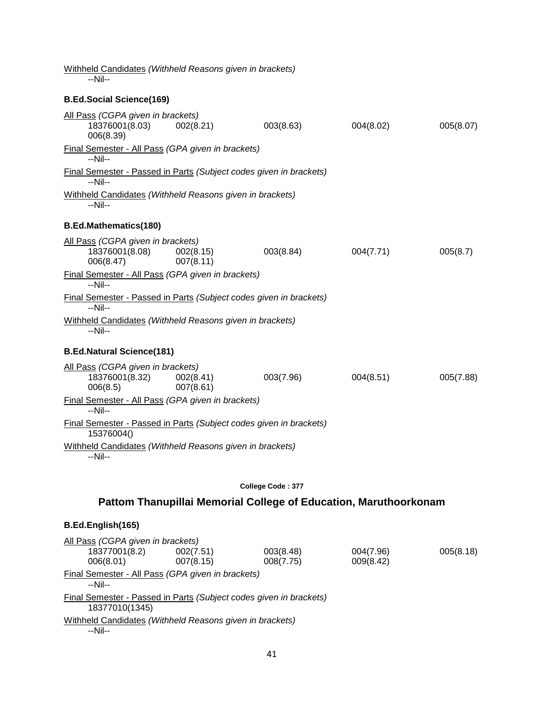| Withheld Candidates (Withheld Reasons given in brackets)<br>--Nil--              |                        |                                                                  |           |           |
|----------------------------------------------------------------------------------|------------------------|------------------------------------------------------------------|-----------|-----------|
| <b>B.Ed.Social Science(169)</b>                                                  |                        |                                                                  |           |           |
| All Pass (CGPA given in brackets)<br>18376001(8.03)<br>006(8.39)                 | 002(8.21)              | 003(8.63)                                                        | 004(8.02) | 005(8.07) |
| Final Semester - All Pass (GPA given in brackets)<br>--Nil--                     |                        |                                                                  |           |           |
| Final Semester - Passed in Parts (Subject codes given in brackets)<br>--Nil--    |                        |                                                                  |           |           |
| Withheld Candidates (Withheld Reasons given in brackets)<br>--Nil--              |                        |                                                                  |           |           |
| <b>B.Ed.Mathematics(180)</b>                                                     |                        |                                                                  |           |           |
| All Pass (CGPA given in brackets)<br>18376001(8.08)<br>006(8.47)                 | 002(8.15)<br>007(8.11) | 003(8.84)                                                        | 004(7.71) | 005(8.7)  |
| Final Semester - All Pass (GPA given in brackets)<br>--Nil--                     |                        |                                                                  |           |           |
| Final Semester - Passed in Parts (Subject codes given in brackets)<br>--Nil--    |                        |                                                                  |           |           |
| Withheld Candidates (Withheld Reasons given in brackets)<br>--Nil--              |                        |                                                                  |           |           |
| <b>B.Ed.Natural Science(181)</b>                                                 |                        |                                                                  |           |           |
| All Pass (CGPA given in brackets)<br>18376001(8.32)<br>006(8.5)                  | 002(8.41)<br>007(8.61) | 003(7.96)                                                        | 004(8.51) | 005(7.88) |
| Final Semester - All Pass (GPA given in brackets)<br>$-Nil-$                     |                        |                                                                  |           |           |
| Final Semester - Passed in Parts (Subject codes given in brackets)<br>15376004() |                        |                                                                  |           |           |
| Withheld Candidates (Withheld Reasons given in brackets)<br>--Nil--              |                        |                                                                  |           |           |
|                                                                                  |                        | College Code: 377                                                |           |           |
|                                                                                  |                        | Pattom Thanupillai Memorial College of Education, Maruthoorkonam |           |           |
| B.Ed.English(165)                                                                |                        |                                                                  |           |           |
| All Pass (CGPA given in brackets)<br>18377001(8.2)                               | 002(7.51)              | 003(8.48)                                                        | 004(7.96) | 005(8.18) |

006(8.01) 007(8.15) 008(7.75) 009(8.42) Final Semester - All Pass *(GPA given in brackets)* --Nil-- Final Semester - Passed in Parts *(Subject codes given in brackets)* 18377010(1345) Withheld Candidates *(Withheld Reasons given in brackets)* --Nil--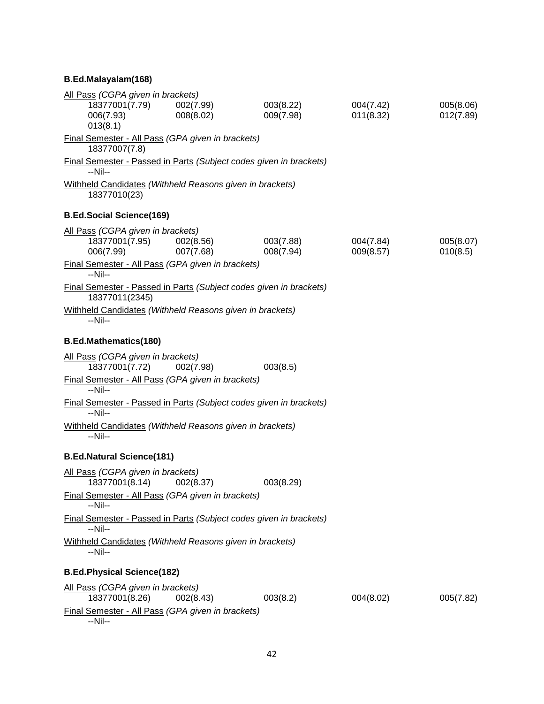# **B.Ed.Malayalam(168)**

| All Pass (CGPA given in brackets)                                        |                        |                                                                    |                        |                        |
|--------------------------------------------------------------------------|------------------------|--------------------------------------------------------------------|------------------------|------------------------|
| 18377001(7.79)<br>006(7.93)<br>013(8.1)                                  | 002(7.99)<br>008(8.02) | 003(8.22)<br>009(7.98)                                             | 004(7.42)<br>011(8.32) | 005(8.06)<br>012(7.89) |
| Final Semester - All Pass (GPA given in brackets)<br>18377007(7.8)       |                        |                                                                    |                        |                        |
|                                                                          |                        | Final Semester - Passed in Parts (Subject codes given in brackets) |                        |                        |
| $-Nil-$                                                                  |                        |                                                                    |                        |                        |
| Withheld Candidates (Withheld Reasons given in brackets)<br>18377010(23) |                        |                                                                    |                        |                        |
| <b>B.Ed.Social Science(169)</b>                                          |                        |                                                                    |                        |                        |
| All Pass (CGPA given in brackets)                                        |                        |                                                                    |                        |                        |
| 18377001(7.95)<br>006(7.99)                                              | 002(8.56)<br>007(7.68) | 003(7.88)<br>008(7.94)                                             | 004(7.84)<br>009(8.57) | 005(8.07)<br>010(8.5)  |
| Final Semester - All Pass (GPA given in brackets)<br>--Nil--             |                        |                                                                    |                        |                        |
| 18377011(2345)                                                           |                        | Final Semester - Passed in Parts (Subject codes given in brackets) |                        |                        |
| Withheld Candidates (Withheld Reasons given in brackets)<br>--Nil--      |                        |                                                                    |                        |                        |
| <b>B.Ed.Mathematics(180)</b>                                             |                        |                                                                    |                        |                        |
| All Pass (CGPA given in brackets)<br>18377001(7.72)                      | 002(7.98)              | 003(8.5)                                                           |                        |                        |
| Final Semester - All Pass (GPA given in brackets)<br>$-Nil-$             |                        |                                                                    |                        |                        |
| $-Nil-$                                                                  |                        | Final Semester - Passed in Parts (Subject codes given in brackets) |                        |                        |
| Withheld Candidates (Withheld Reasons given in brackets)<br>--Nil--      |                        |                                                                    |                        |                        |
| <b>B.Ed.Natural Science(181)</b>                                         |                        |                                                                    |                        |                        |
| All Pass (CGPA given in brackets)<br>18377001(8.14)                      | 002(8.37)              | 003(8.29)                                                          |                        |                        |
| Final Semester - All Pass (GPA given in brackets)<br>$-Nil-$             |                        |                                                                    |                        |                        |
| $-Nil-$                                                                  |                        | Final Semester - Passed in Parts (Subject codes given in brackets) |                        |                        |
| Withheld Candidates (Withheld Reasons given in brackets)<br>--Nil--      |                        |                                                                    |                        |                        |
| <b>B.Ed.Physical Science(182)</b>                                        |                        |                                                                    |                        |                        |
| All Pass (CGPA given in brackets)<br>18377001(8.26)                      | 002(8.43)              | 003(8.2)                                                           | 004(8.02)              | 005(7.82)              |
| Final Semester - All Pass (GPA given in brackets)<br>--Nil--             |                        |                                                                    |                        |                        |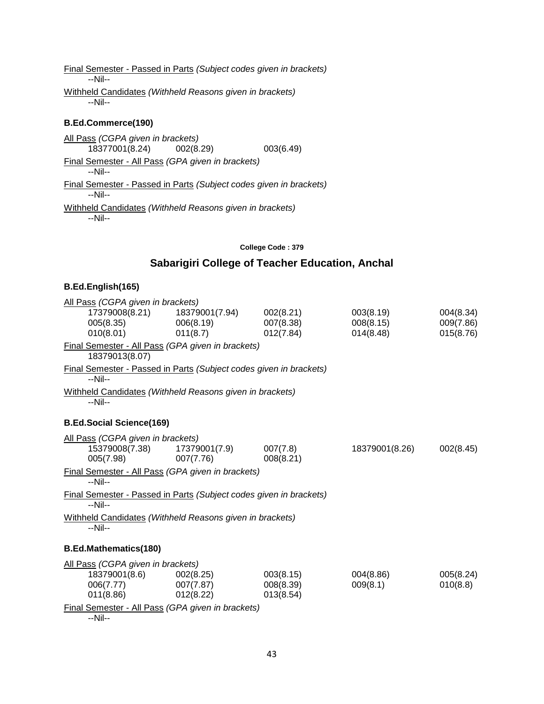Final Semester - Passed in Parts *(Subject codes given in brackets)* --Nil-- Withheld Candidates *(Withheld Reasons given in brackets)* --Nil--

### **B.Ed.Commerce(190)**

All Pass *(CGPA given in brackets)* 18377001(8.24) 002(8.29) 003(6.49) Final Semester - All Pass *(GPA given in brackets)* --Nil-- Final Semester - Passed in Parts *(Subject codes given in brackets)* --Nil-- Withheld Candidates *(Withheld Reasons given in brackets)* --Nil--

#### **College Code : 379**

# **Sabarigiri College of Teacher Education, Anchal**

#### **B.Ed.English(165)**

| All Pass (CGPA given in brackets)                                             |                |           |                |           |
|-------------------------------------------------------------------------------|----------------|-----------|----------------|-----------|
| 17379008(8.21)                                                                | 18379001(7.94) | 002(8.21) | 003(8.19)      | 004(8.34) |
| 005(8.35)                                                                     | 006(8.19)      | 007(8.38) | 008(8.15)      | 009(7.86) |
| 010(8.01)                                                                     | 011(8.7)       | 012(7.84) | 014(8.48)      | 015(8.76) |
| Final Semester - All Pass (GPA given in brackets)<br>18379013(8.07)           |                |           |                |           |
| Final Semester - Passed in Parts (Subject codes given in brackets)<br>$-Nil-$ |                |           |                |           |
| Withheld Candidates (Withheld Reasons given in brackets)<br>--Nil--           |                |           |                |           |
| <b>B.Ed.Social Science(169)</b>                                               |                |           |                |           |
| All Pass (CGPA given in brackets)                                             |                |           |                |           |
| 15379008(7.38)                                                                | 17379001(7.9)  | 007(7.8)  | 18379001(8.26) | 002(8.45) |
| 005(7.98)                                                                     | 007(7.76)      | 008(8.21) |                |           |
| Final Semester - All Pass (GPA given in brackets)<br>--Nil--                  |                |           |                |           |
| Final Semester - Passed in Parts (Subject codes given in brackets)<br>--Nil-- |                |           |                |           |
| Withheld Candidates (Withheld Reasons given in brackets)<br>--Nil--           |                |           |                |           |
| <b>B.Ed.Mathematics(180)</b>                                                  |                |           |                |           |
| All Pass (CGPA given in brackets)                                             |                |           |                |           |
| 18379001(8.6)                                                                 | 002(8.25)      | 003(8.15) | 004(8.86)      | 005(8.24) |
| 006(7.77)                                                                     | 007(7.87)      | 008(8.39) | 009(8.1)       | 010(8.8)  |
| 011(8.86)                                                                     | 012(8.22)      | 013(8.54) |                |           |
| Final Semester - All Pass (GPA given in brackets)                             |                |           |                |           |

--Nil--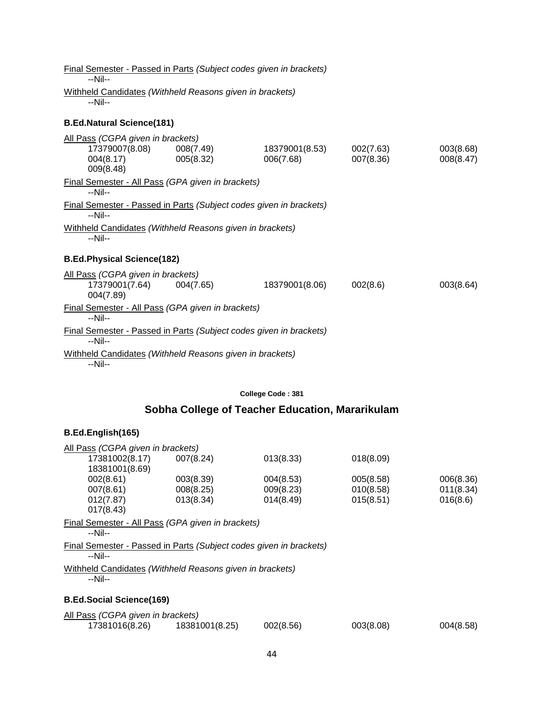Final Semester - Passed in Parts *(Subject codes given in brackets)* --Nil-- Withheld Candidates *(Withheld Reasons given in brackets)* --Nil--

# **B.Ed.Natural Science(181)**

| All Pass (CGPA given in brackets)                                               |           |                |           |           |
|---------------------------------------------------------------------------------|-----------|----------------|-----------|-----------|
|                                                                                 |           | 18379001(8.53) | 002(7.63) | 003(8.68) |
| 004(8.17)                                                                       | 005(8.32) | 006(7.68)      | 007(8.36) | 008(8.47) |
| 009(8.48)                                                                       |           |                |           |           |
| Final Semester - All Pass (GPA given in brackets)<br>$-Nil-$                    |           |                |           |           |
| Final Semester - Passed in Parts (Subject codes given in brackets)<br>$-N$ il-- |           |                |           |           |
| Withheld Candidates (Withheld Reasons given in brackets)                        |           |                |           |           |
| $-Nil-$                                                                         |           |                |           |           |
|                                                                                 |           |                |           |           |
| <b>B.Ed.Physical Science(182)</b>                                               |           |                |           |           |
| All Pass (CGPA given in brackets)                                               |           |                |           |           |
| 17379001(7.64)                                                                  | 004(7.65) | 18379001(8.06) | 002(8.6)  | 003(8.64) |
| 004(7.89)                                                                       |           |                |           |           |
| Final Semester - All Pass (GPA given in brackets)                               |           |                |           |           |
| $-Nil-$                                                                         |           |                |           |           |
| Final Semester - Passed in Parts (Subject codes given in brackets)              |           |                |           |           |
| $-Nil-$                                                                         |           |                |           |           |
| Withheld Candidates (Withheld Reasons given in brackets)                        |           |                |           |           |
|                                                                                 |           |                |           |           |

**College Code : 381**

# **Sobha College of Teacher Education, Mararikulam**

| All Pass (CGPA given in brackets)                                  |           |           |           |           |
|--------------------------------------------------------------------|-----------|-----------|-----------|-----------|
| 17381002(8.17)                                                     | 007(8.24) | 013(8.33) | 018(8.09) |           |
| 18381001(8.69)                                                     |           |           |           |           |
| 002(8.61)                                                          | 003(8.39) | 004(8.53) | 005(8.58) | 006(8.36) |
| 007(8.61)                                                          | 008(8.25) | 009(8.23) | 010(8.58) | 011(8.34) |
| 012(7.87)                                                          | 013(8.34) | 014(8.49) | 015(8.51) | 016(8.6)  |
| 017(8.43)                                                          |           |           |           |           |
| Final Semester - All Pass (GPA given in brackets)                  |           |           |           |           |
| $-Nil-$                                                            |           |           |           |           |
| Final Semester - Passed in Parts (Subject codes given in brackets) |           |           |           |           |
| --Nil--                                                            |           |           |           |           |
| Withheld Candidates (Withheld Reasons given in brackets)           |           |           |           |           |
| $-Nil-$                                                            |           |           |           |           |
|                                                                    |           |           |           |           |
| <b>B.Ed.Social Science(169)</b>                                    |           |           |           |           |
| All Pass (CGPA given in brackets)                                  |           |           |           |           |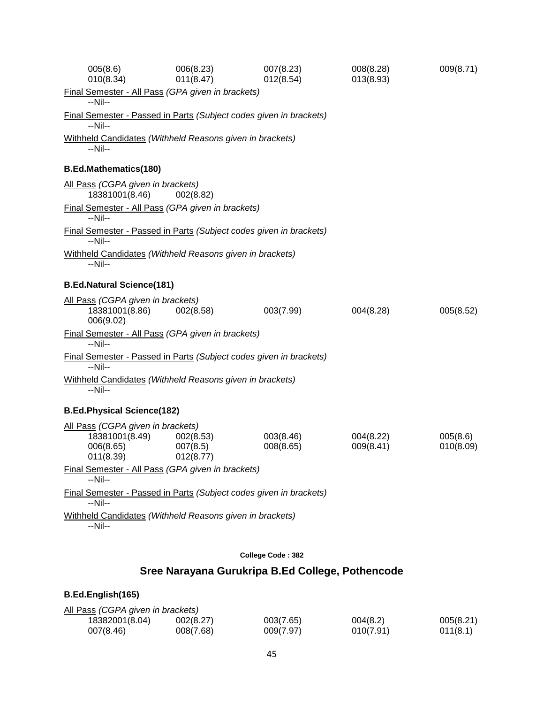| 005(8.6)<br>010(8.34)                                                         | 006(8.23)<br>011(8.47)                                             | 007(8.23)<br>012(8.54) | 008(8.28)<br>013(8.93) | 009(8.71)             |
|-------------------------------------------------------------------------------|--------------------------------------------------------------------|------------------------|------------------------|-----------------------|
| $-Nil-$                                                                       | Final Semester - All Pass (GPA given in brackets)                  |                        |                        |                       |
| --Nil--                                                                       | Final Semester - Passed in Parts (Subject codes given in brackets) |                        |                        |                       |
| --Nil--                                                                       | Withheld Candidates (Withheld Reasons given in brackets)           |                        |                        |                       |
| <b>B.Ed.Mathematics(180)</b>                                                  |                                                                    |                        |                        |                       |
| All Pass (CGPA given in brackets)<br>18381001(8.46)                           | 002(8.82)                                                          |                        |                        |                       |
| --Nil--                                                                       | Final Semester - All Pass (GPA given in brackets)                  |                        |                        |                       |
| --Nil--                                                                       | Final Semester - Passed in Parts (Subject codes given in brackets) |                        |                        |                       |
| --Nil--                                                                       | Withheld Candidates (Withheld Reasons given in brackets)           |                        |                        |                       |
| <b>B.Ed.Natural Science(181)</b>                                              |                                                                    |                        |                        |                       |
| All Pass (CGPA given in brackets)<br>18381001(8.86)<br>006(9.02)              | 002(8.58)                                                          | 003(7.99)              | 004(8.28)              | 005(8.52)             |
| --Nil--                                                                       | Final Semester - All Pass (GPA given in brackets)                  |                        |                        |                       |
| $-Nil-$                                                                       | Final Semester - Passed in Parts (Subject codes given in brackets) |                        |                        |                       |
| --Nil--                                                                       | Withheld Candidates (Withheld Reasons given in brackets)           |                        |                        |                       |
| <b>B.Ed.Physical Science(182)</b>                                             |                                                                    |                        |                        |                       |
| All Pass (CGPA given in brackets)<br>18381001(8.49)<br>006(8.65)<br>011(8.39) | 002(8.53)<br>007(8.5)<br>012(8.77)                                 | 003(8.46)<br>008(8.65) | 004(8.22)<br>009(8.41) | 005(8.6)<br>010(8.09) |
|                                                                               | Final Semester - All Pass (GPA given in brackets)                  |                        |                        |                       |
| --Nil--                                                                       | Final Semester - Passed in Parts (Subject codes given in brackets) |                        |                        |                       |
| --Nil--                                                                       |                                                                    |                        |                        |                       |
| --Nil--                                                                       | Withheld Candidates (Withheld Reasons given in brackets)           |                        |                        |                       |
|                                                                               |                                                                    |                        |                        |                       |
|                                                                               |                                                                    | College Code: 382      |                        |                       |

# **Sree Narayana Gurukripa B.Ed College, Pothencode**

| All Pass (CGPA given in brackets) |           |           |           |           |  |  |
|-----------------------------------|-----------|-----------|-----------|-----------|--|--|
| 18382001(8.04)                    | 002(8.27) | 003(7.65) | 004(8.2)  | 005(8.21) |  |  |
| 007(8.46)                         | 008(7.68) | 009(7.97) | 010(7.91) | 011(8.1)  |  |  |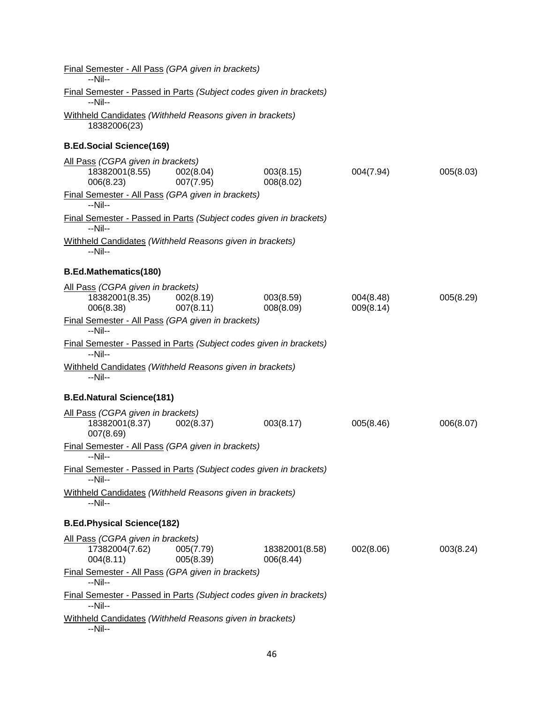| Final Semester - All Pass (GPA given in brackets)<br>--Nil--                                                          |                        |                             |                        |           |
|-----------------------------------------------------------------------------------------------------------------------|------------------------|-----------------------------|------------------------|-----------|
| Final Semester - Passed in Parts (Subject codes given in brackets)<br>--Nil--                                         |                        |                             |                        |           |
| Withheld Candidates (Withheld Reasons given in brackets)<br>18382006(23)                                              |                        |                             |                        |           |
| <b>B.Ed.Social Science(169)</b>                                                                                       |                        |                             |                        |           |
| All Pass (CGPA given in brackets)<br>18382001(8.55)<br>006(8.23)                                                      | 002(8.04)<br>007(7.95) | 003(8.15)<br>008(8.02)      | 004(7.94)              | 005(8.03) |
| Final Semester - All Pass (GPA given in brackets)<br>$-Nil-$                                                          |                        |                             |                        |           |
| Final Semester - Passed in Parts (Subject codes given in brackets)<br>--Nil--                                         |                        |                             |                        |           |
| Withheld Candidates (Withheld Reasons given in brackets)<br>--Nil--                                                   |                        |                             |                        |           |
| <b>B.Ed.Mathematics(180)</b>                                                                                          |                        |                             |                        |           |
| All Pass (CGPA given in brackets)<br>18382001(8.35)<br>006(8.38)<br>Final Semester - All Pass (GPA given in brackets) | 002(8.19)<br>007(8.11) | 003(8.59)<br>008(8.09)      | 004(8.48)<br>009(8.14) | 005(8.29) |
| $-Nil-$                                                                                                               |                        |                             |                        |           |
| <b>Final Semester - Passed in Parts (Subject codes given in brackets)</b><br>$-Nil-$                                  |                        |                             |                        |           |
| Withheld Candidates (Withheld Reasons given in brackets)<br>--Nil--                                                   |                        |                             |                        |           |
| <b>B.Ed.Natural Science(181)</b>                                                                                      |                        |                             |                        |           |
| All Pass (CGPA given in brackets)<br>18382001(8.37) 002(8.37)<br>007(8.69)                                            |                        | 003(8.17)                   | 005(8.46)              | 006(8.07) |
| Final Semester - All Pass (GPA given in brackets)<br>$-Nil-$                                                          |                        |                             |                        |           |
| Final Semester - Passed in Parts (Subject codes given in brackets)<br>--Nil--                                         |                        |                             |                        |           |
| Withheld Candidates (Withheld Reasons given in brackets)<br>--Nil--                                                   |                        |                             |                        |           |
| <b>B.Ed.Physical Science(182)</b>                                                                                     |                        |                             |                        |           |
| All Pass (CGPA given in brackets)<br>17382004(7.62)<br>004(8.11)                                                      | 005(7.79)<br>005(8.39) | 18382001(8.58)<br>006(8.44) | 002(8.06)              | 003(8.24) |
| Final Semester - All Pass (GPA given in brackets)<br>--Nil--                                                          |                        |                             |                        |           |
| <b>Final Semester - Passed in Parts (Subject codes given in brackets)</b><br>$-Nil-$                                  |                        |                             |                        |           |
| Withheld Candidates (Withheld Reasons given in brackets)<br>--Nil--                                                   |                        |                             |                        |           |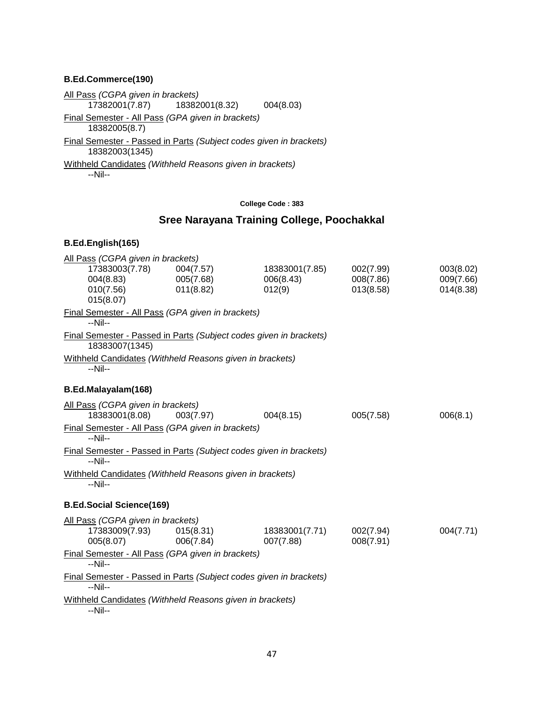#### **B.Ed.Commerce(190)**

All Pass *(CGPA given in brackets)* 18382001(8.32) 004(8.03) Final Semester - All Pass *(GPA given in brackets)* 18382005(8.7) Final Semester - Passed in Parts *(Subject codes given in brackets)* 18382003(1345) Withheld Candidates *(Withheld Reasons given in brackets)* --Nil--

#### **College Code : 383**

# **Sree Narayana Training College, Poochakkal**

| All Pass (CGPA given in brackets)                                                    |           |                |           |           |
|--------------------------------------------------------------------------------------|-----------|----------------|-----------|-----------|
| 17383003(7.78)                                                                       | 004(7.57) | 18383001(7.85) | 002(7.99) | 003(8.02) |
| 004(8.83)                                                                            | 005(7.68) | 006(8.43)      | 008(7.86) | 009(7.66) |
| 010(7.56)                                                                            | 011(8.82) | 012(9)         | 013(8.58) | 014(8.38) |
| 015(8.07)                                                                            |           |                |           |           |
| Final Semester - All Pass (GPA given in brackets)<br>$-Nil-$                         |           |                |           |           |
| Final Semester - Passed in Parts (Subject codes given in brackets)<br>18383007(1345) |           |                |           |           |
| Withheld Candidates (Withheld Reasons given in brackets)<br>$-Nil-$                  |           |                |           |           |
| B.Ed.Malayalam(168)                                                                  |           |                |           |           |
| All Pass (CGPA given in brackets)                                                    |           |                |           |           |
| 18383001(8.08)                                                                       | 003(7.97) | 004(8.15)      | 005(7.58) | 006(8.1)  |
| Final Semester - All Pass (GPA given in brackets)<br>$-Nil-$                         |           |                |           |           |
| Final Semester - Passed in Parts (Subject codes given in brackets)<br>$-Nil-$        |           |                |           |           |
| Withheld Candidates (Withheld Reasons given in brackets)<br>--Nil--                  |           |                |           |           |
| <b>B.Ed.Social Science(169)</b>                                                      |           |                |           |           |
| All Pass (CGPA given in brackets)                                                    |           |                |           |           |
| 17383009(7.93)                                                                       | 015(8.31) | 18383001(7.71) | 002(7.94) | 004(7.71) |
| 005(8.07)                                                                            | 006(7.84) | 007(7.88)      | 008(7.91) |           |
| Final Semester - All Pass (GPA given in brackets)<br>$-Nil-$                         |           |                |           |           |
| Final Semester - Passed in Parts (Subject codes given in brackets)<br>$-Nil-$        |           |                |           |           |
| Withheld Candidates (Withheld Reasons given in brackets)<br>--Nil--                  |           |                |           |           |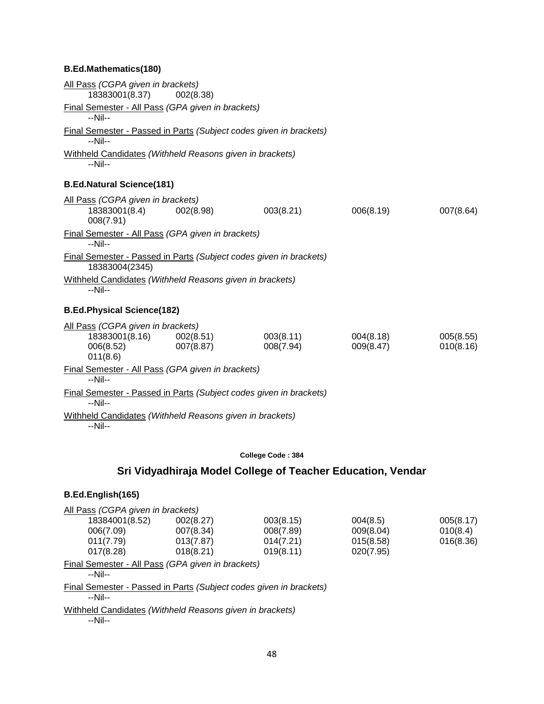#### **B.Ed.Mathematics(180)**

| All Pass (CGPA given in brackets)                                                    |                        |                        |                        |                        |
|--------------------------------------------------------------------------------------|------------------------|------------------------|------------------------|------------------------|
| 18383001(8.37)                                                                       | 002(8.38)              |                        |                        |                        |
| Final Semester - All Pass (GPA given in brackets)<br>$-Nil-$                         |                        |                        |                        |                        |
| Final Semester - Passed in Parts (Subject codes given in brackets)<br>--Nil--        |                        |                        |                        |                        |
| Withheld Candidates (Withheld Reasons given in brackets)<br>--Nil--                  |                        |                        |                        |                        |
| <b>B.Ed.Natural Science(181)</b>                                                     |                        |                        |                        |                        |
| All Pass (CGPA given in brackets)<br>18383001(8.4)<br>008(7.91)                      | 002(8.98)              | 003(8.21)              | 006(8.19)              | 007(8.64)              |
| Final Semester - All Pass (GPA given in brackets)<br>--Nil--                         |                        |                        |                        |                        |
| Final Semester - Passed in Parts (Subject codes given in brackets)<br>18383004(2345) |                        |                        |                        |                        |
| Withheld Candidates (Withheld Reasons given in brackets)<br>$-Nil-$                  |                        |                        |                        |                        |
| <b>B.Ed.Physical Science(182)</b>                                                    |                        |                        |                        |                        |
| All Pass (CGPA given in brackets)<br>18383001(8.16)<br>006(8.52)<br>011(8.6)         | 002(8.51)<br>007(8.87) | 003(8.11)<br>008(7.94) | 004(8.18)<br>009(8.47) | 005(8.55)<br>010(8.16) |
| Final Semester - All Pass (GPA given in brackets)<br>$-Nil-$                         |                        |                        |                        |                        |
| Final Semester - Passed in Parts (Subject codes given in brackets)<br>--Nil--        |                        |                        |                        |                        |
| Withheld Candidates (Withheld Reasons given in brackets)<br>--Nil--                  |                        |                        |                        |                        |

#### **College Code : 384**

# **Sri Vidyadhiraja Model College of Teacher Education, Vendar**

#### **B.Ed.English(165)**

| 002(8.27) | 003(8.15)                         | 004(8.5)  | 005(8.17) |
|-----------|-----------------------------------|-----------|-----------|
| 007(8.34) | 008(7.89)                         | 009(8.04) | 010(8.4)  |
| 013(7.87) | 014(7.21)                         | 015(8.58) | 016(8.36) |
| 018(8.21) | 019(8.11)                         | 020(7.95) |           |
|           | All Pass (CGPA given in brackets) |           |           |

Final Semester - All Pass *(GPA given in brackets)*

--Nil--

Final Semester - Passed in Parts *(Subject codes given in brackets)* --Nil--

Withheld Candidates *(Withheld Reasons given in brackets)*

--Nil--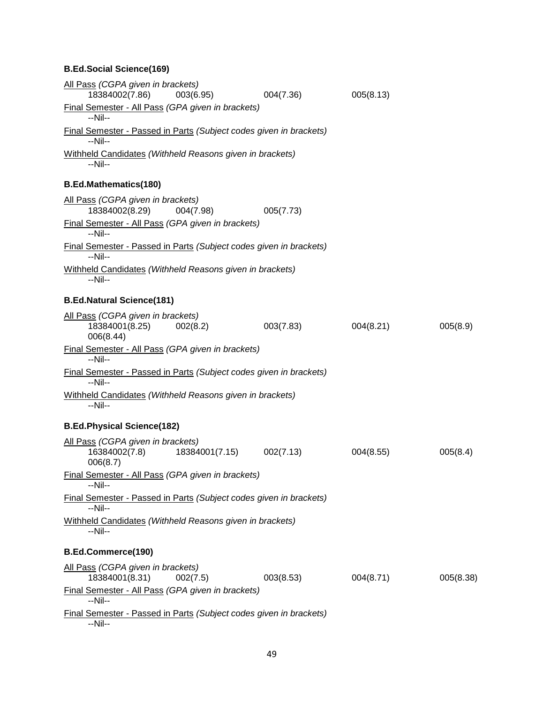# **B.Ed.Social Science(169)**

| All Pass (CGPA given in brackets)<br>18384002(7.86)                                  | 003(6.95)                | 004(7.36) | 005(8.13) |           |
|--------------------------------------------------------------------------------------|--------------------------|-----------|-----------|-----------|
| Final Semester - All Pass (GPA given in brackets)<br>$-Nil-$                         |                          |           |           |           |
| <b>Final Semester - Passed in Parts (Subject codes given in brackets)</b><br>$-Nil-$ |                          |           |           |           |
| Withheld Candidates (Withheld Reasons given in brackets)<br>--Nil--                  |                          |           |           |           |
| <b>B.Ed.Mathematics(180)</b>                                                         |                          |           |           |           |
| All Pass (CGPA given in brackets)<br>18384002(8.29)                                  | 004(7.98)                | 005(7.73) |           |           |
| Final Semester - All Pass (GPA given in brackets)<br>--Nil--                         |                          |           |           |           |
| Final Semester - Passed in Parts (Subject codes given in brackets)<br>$-Nil-$        |                          |           |           |           |
| Withheld Candidates (Withheld Reasons given in brackets)<br>--Nil--                  |                          |           |           |           |
| <b>B.Ed.Natural Science(181)</b>                                                     |                          |           |           |           |
| All Pass (CGPA given in brackets)<br>18384001(8.25)<br>006(8.44)                     | 002(8.2)                 | 003(7.83) | 004(8.21) | 005(8.9)  |
| Final Semester - All Pass (GPA given in brackets)<br>$-Nil-$                         |                          |           |           |           |
| Final Semester - Passed in Parts (Subject codes given in brackets)<br>--Nil--        |                          |           |           |           |
| Withheld Candidates (Withheld Reasons given in brackets)<br>$-Nil-$                  |                          |           |           |           |
| <b>B.Ed.Physical Science(182)</b>                                                    |                          |           |           |           |
| All Pass (CGPA given in brackets)<br>16384002(7.8)<br>006(8.7)                       | 18384001(7.15) 002(7.13) |           | 004(8.55) | 005(8.4)  |
| Final Semester - All Pass (GPA given in brackets)<br>$-Nil-$                         |                          |           |           |           |
| Final Semester - Passed in Parts (Subject codes given in brackets)<br>--Nil--        |                          |           |           |           |
| Withheld Candidates (Withheld Reasons given in brackets)<br>--Nil--                  |                          |           |           |           |
| <b>B.Ed.Commerce(190)</b>                                                            |                          |           |           |           |
| All Pass (CGPA given in brackets)<br>18384001(8.31)                                  | 002(7.5)                 | 003(8.53) | 004(8.71) | 005(8.38) |
| Final Semester - All Pass (GPA given in brackets)<br>$-Nil-$                         |                          |           |           |           |
| Final Semester - Passed in Parts (Subject codes given in brackets)<br>$-Nil-$        |                          |           |           |           |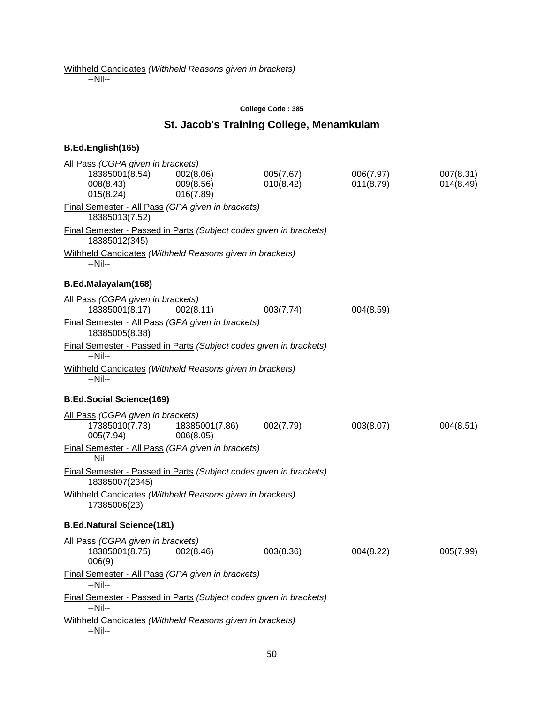--Nil--

#### **College Code : 385**

#### **St. Jacob's Training College, Menamkulam**

# **B.Ed.English(165)** All Pass *(CGPA given in brackets)* 18385001(8.54) 002(8.06) 005(7.67) 006(7.97) 007(8.31) 008(8.43) 009(8.56) 010(8.42) 011(8.79) 014(8.49) 015(8.24) 016(7.89) Final Semester - All Pass *(GPA given in brackets)* 18385013(7.52) Final Semester - Passed in Parts *(Subject codes given in brackets)* 18385012(345) Withheld Candidates *(Withheld Reasons given in brackets)* --Nil-- **B.Ed.Malayalam(168)** All Pass *(CGPA given in brackets)* 18385001(8.17) 002(8.11) 003(7.74) 004(8.59) Final Semester - All Pass *(GPA given in brackets)* 18385005(8.38) Final Semester - Passed in Parts *(Subject codes given in brackets)* --Nil-- Withheld Candidates *(Withheld Reasons given in brackets)* --Nil-- **B.Ed.Social Science(169)** All Pass *(CGPA given in brackets)* 17385010(7.73) 18385001(7.86) 002(7.79) 003(8.07) 004(8.51) 005(7.94) 006(8.05) Final Semester - All Pass *(GPA given in brackets)* --Nil-- Final Semester - Passed in Parts *(Subject codes given in brackets)* 18385007(2345) Withheld Candidates *(Withheld Reasons given in brackets)* 17385006(23) **B.Ed.Natural Science(181)** All Pass *(CGPA given in brackets)* 18385001(8.75) 002(8.46) 003(8.36) 004(8.22) 005(7.99) 006(9) Final Semester - All Pass *(GPA given in brackets)* --Nil-- Final Semester - Passed in Parts *(Subject codes given in brackets)* --Nil-- Withheld Candidates *(Withheld Reasons given in brackets)* --Nil--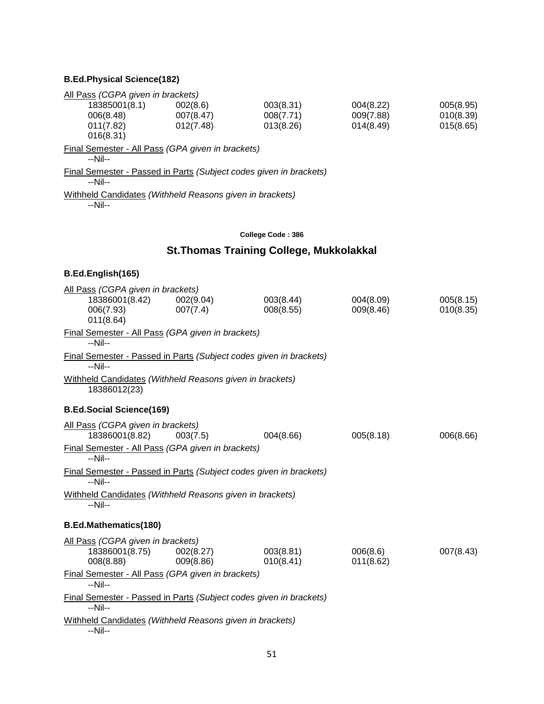# **B.Ed.Physical Science(182)**

| All Pass (CGPA given in brackets)                                               |           |           |           |           |
|---------------------------------------------------------------------------------|-----------|-----------|-----------|-----------|
| 18385001(8.1)                                                                   | 002(8.6)  | 003(8.31) | 004(8.22) | 005(8.95) |
| 006(8.48)                                                                       | 007(8.47) | 008(7.71) | 009(7.88) | 010(8.39) |
| 011(7.82)                                                                       | 012(7.48) | 013(8.26) | 014(8.49) | 015(8.65) |
| 016(8.31)                                                                       |           |           |           |           |
| Final Semester - All Pass (GPA given in brackets)<br>$-Nil-$                    |           |           |           |           |
| Final Semester - Passed in Parts (Subject codes given in brackets)<br>$-N$ il-- |           |           |           |           |
| Withheld Candidates (Withheld Reasons given in brackets)<br>$-Nil-$             |           |           |           |           |
|                                                                                 |           |           |           |           |

### **College Code : 386**

# **St.Thomas Training College, Mukkolakkal**

| All Pass (CGPA given in brackets)                                                                                     |                        |                        |                        |                        |
|-----------------------------------------------------------------------------------------------------------------------|------------------------|------------------------|------------------------|------------------------|
| 18386001(8.42)<br>006(7.93)<br>011(8.64)                                                                              | 002(9.04)<br>007(7.4)  | 003(8.44)<br>008(8.55) | 004(8.09)<br>009(8.46) | 005(8.15)<br>010(8.35) |
| Final Semester - All Pass (GPA given in brackets)<br>$-Nil-$                                                          |                        |                        |                        |                        |
| Final Semester - Passed in Parts (Subject codes given in brackets)<br>$-Nil-$                                         |                        |                        |                        |                        |
| Withheld Candidates (Withheld Reasons given in brackets)<br>18386012(23)                                              |                        |                        |                        |                        |
| <b>B.Ed.Social Science(169)</b>                                                                                       |                        |                        |                        |                        |
| All Pass (CGPA given in brackets)<br>18386001(8.82)<br>Final Semester - All Pass (GPA given in brackets)<br>$-Nil-$   | 003(7.5)               | 004(8.66)              | 005(8.18)              | 006(8.66)              |
| Final Semester - Passed in Parts (Subject codes given in brackets)<br>--Nil--                                         |                        |                        |                        |                        |
| Withheld Candidates (Withheld Reasons given in brackets)<br>$-Nil-$                                                   |                        |                        |                        |                        |
| <b>B.Ed.Mathematics(180)</b>                                                                                          |                        |                        |                        |                        |
| All Pass (CGPA given in brackets)<br>18386001(8.75)<br>008(8.88)<br>Final Semester - All Pass (GPA given in brackets) | 002(8.27)<br>009(8.86) | 003(8.81)<br>010(8.41) | 006(8.6)<br>011(8.62)  | 007(8.43)              |
| --Nil--                                                                                                               |                        |                        |                        |                        |
| Final Semester - Passed in Parts (Subject codes given in brackets)<br>$-Nil-$                                         |                        |                        |                        |                        |
| Withheld Candidates (Withheld Reasons given in brackets)<br>--Nil--                                                   |                        |                        |                        |                        |
|                                                                                                                       |                        |                        |                        |                        |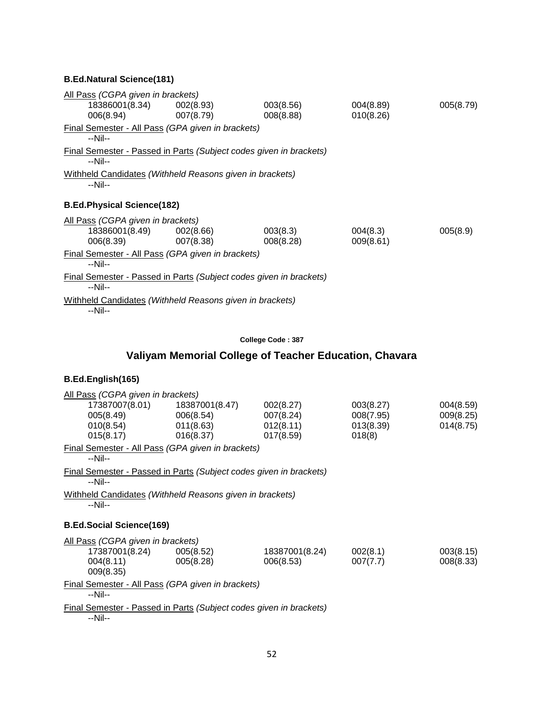| All Pass (CGPA given in brackets) |                                                          |                                                                           |           |           |
|-----------------------------------|----------------------------------------------------------|---------------------------------------------------------------------------|-----------|-----------|
|                                   | 18386001(8.34) 002(8.93)                                 | 003(8.56)                                                                 | 004(8.89) | 005(8.79) |
|                                   | 006(8.94) 007(8.79)                                      | 008(8.88)                                                                 | 010(8.26) |           |
| $-Nil-$                           | <b>Final Semester - All Pass (GPA given in brackets)</b> |                                                                           |           |           |
| $-N$ il--                         |                                                          | <b>Final Semester - Passed in Parts (Subject codes given in brackets)</b> |           |           |
| $-Nil-$                           | Withheld Candidates (Withheld Reasons given in brackets) |                                                                           |           |           |
| <b>B.Ed.Physical Science(182)</b> |                                                          |                                                                           |           |           |
| All Pass (CGPA given in brackets) |                                                          |                                                                           |           |           |
|                                   | 18386001(8.49) 002(8.66)                                 | 003(8.3)                                                                  | 004(8.3)  | 005(8.9)  |
| 006(8.39)                         | 007(8.38)                                                | 008(8.28)                                                                 | 009(8.61) |           |
| $-Nil-$                           | Final Semester - All Pass (GPA given in brackets)        |                                                                           |           |           |
| $-N$ il--                         |                                                          | <b>Final Semester - Passed in Parts (Subject codes given in brackets)</b> |           |           |
| $-Nil-$                           | Withheld Candidates (Withheld Reasons given in brackets) |                                                                           |           |           |

### **College Code : 387**

# **Valiyam Memorial College of Teacher Education, Chavara**

|         | All Pass (CGPA given in brackets)                 |                                                                    |                |           |           |  |  |
|---------|---------------------------------------------------|--------------------------------------------------------------------|----------------|-----------|-----------|--|--|
|         |                                                   |                                                                    | 002(8.27)      | 003(8.27) | 004(8.59) |  |  |
|         | 005(8.49)                                         | 006(8.54)                                                          | 007(8.24)      | 008(7.95) | 009(8.25) |  |  |
|         | 010(8.54)                                         | 011(8.63)                                                          | 012(8.11)      | 013(8.39) | 014(8.75) |  |  |
|         | 015(8.17)                                         | 016(8.37)                                                          | 017(8.59)      | 018(8)    |           |  |  |
| --Nil-- |                                                   | Final Semester - All Pass (GPA given in brackets)                  |                |           |           |  |  |
| --Nil-- |                                                   | Final Semester - Passed in Parts (Subject codes given in brackets) |                |           |           |  |  |
|         |                                                   | Withheld Candidates (Withheld Reasons given in brackets)           |                |           |           |  |  |
| $-Nil-$ |                                                   |                                                                    |                |           |           |  |  |
|         |                                                   |                                                                    |                |           |           |  |  |
|         | <b>B.Ed.Social Science(169)</b>                   |                                                                    |                |           |           |  |  |
|         | All Pass (CGPA given in brackets)                 |                                                                    |                |           |           |  |  |
|         | 17387001(8.24) 005(8.52)                          |                                                                    | 18387001(8.24) | 002(8.1)  | 003(8.15) |  |  |
|         | 004(8.11)                                         | 005(8.28)                                                          | 006(8.53)      | 007(7.7)  | 008(8.33) |  |  |
|         | 009(8.35)                                         |                                                                    |                |           |           |  |  |
|         | Final Semester - All Pass (GPA given in brackets) |                                                                    |                |           |           |  |  |
|         | --Nil--                                           |                                                                    |                |           |           |  |  |
| $-Nil-$ |                                                   | Final Semester - Passed in Parts (Subject codes given in brackets) |                |           |           |  |  |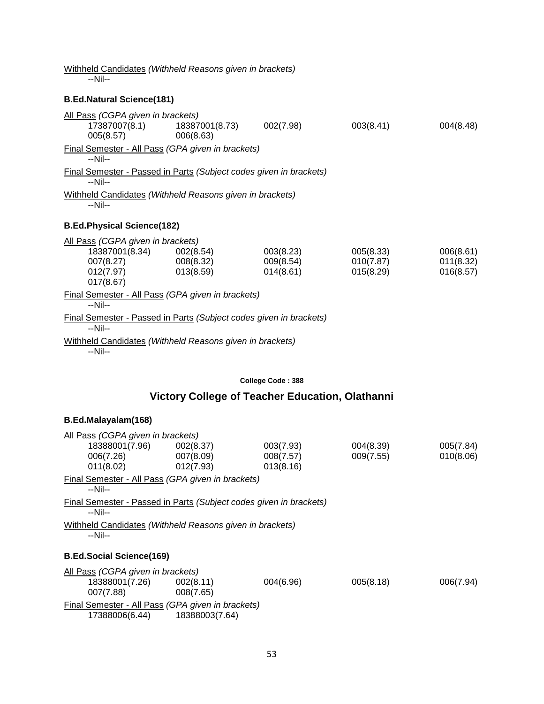Withheld Candidates *(Withheld Reasons given in brackets)*

--Nil--

### **B.Ed.Natural Science(181)**

| All Pass (CGPA given in brackets)<br>17387007(8.1)<br>005(8.57)                                                | 18387001(8.73)<br>006(8.63) | 002(7.98)                           | 003(8.41)                           | 004(8.48)                           |
|----------------------------------------------------------------------------------------------------------------|-----------------------------|-------------------------------------|-------------------------------------|-------------------------------------|
| Final Semester - All Pass (GPA given in brackets)<br>$-Nil-$                                                   |                             |                                     |                                     |                                     |
| Final Semester - Passed in Parts (Subject codes given in brackets)<br>$-Nil-$                                  |                             |                                     |                                     |                                     |
| Withheld Candidates (Withheld Reasons given in brackets)<br>$-Nil-$                                            |                             |                                     |                                     |                                     |
| <b>B.Ed.Physical Science(182)</b>                                                                              |                             |                                     |                                     |                                     |
| All Pass (CGPA given in brackets)<br>18387001(8.34) 002(8.54)<br>007(8.27) 008(8.32)<br>012(7.97)<br>017(8.67) | 013(8.59)                   | 003(8.23)<br>009(8.54)<br>014(8.61) | 005(8.33)<br>010(7.87)<br>015(8.29) | 006(8.61)<br>011(8.32)<br>016(8.57) |
| Final Semester - All Pass (GPA given in brackets)<br>--Nil--                                                   |                             |                                     |                                     |                                     |
| Final Semester - Passed in Parts (Subject codes given in brackets)<br>$-Nil-$                                  |                             |                                     |                                     |                                     |
| Withheld Candidates (Withheld Reasons given in brackets)<br>--Nil--                                            |                             |                                     |                                     |                                     |

#### **College Code : 388**

# **Victory College of Teacher Education, Olathanni**

### **B.Ed.Malayalam(168)**

| All Pass (CGPA given in brackets)                 |                                                                    |           |           |           |  |  |  |
|---------------------------------------------------|--------------------------------------------------------------------|-----------|-----------|-----------|--|--|--|
| 18388001(7.96)                                    | 002(8.37)                                                          | 003(7.93) | 004(8.39) | 005(7.84) |  |  |  |
| 006(7.26)                                         | 007(8.09)                                                          | 008(7.57) | 009(7.55) | 010(8.06) |  |  |  |
| 011(8.02)                                         | 012(7.93)                                                          | 013(8.16) |           |           |  |  |  |
| --Nil--                                           | Final Semester - All Pass (GPA given in brackets)                  |           |           |           |  |  |  |
| --Nil--                                           | Final Semester - Passed in Parts (Subject codes given in brackets) |           |           |           |  |  |  |
| $-Nil-$                                           | Withheld Candidates (Withheld Reasons given in brackets)           |           |           |           |  |  |  |
| <b>B.Ed.Social Science(169)</b>                   |                                                                    |           |           |           |  |  |  |
| All Pass (CGPA given in brackets)                 |                                                                    |           |           |           |  |  |  |
| 18388001(7.26)                                    | 002(8.11)                                                          | 004(6.96) | 005(8.18) | 006(7.94) |  |  |  |
| 007(7.88)                                         | 008(7.65)                                                          |           |           |           |  |  |  |
| Final Semester - All Pass (GPA given in brackets) |                                                                    |           |           |           |  |  |  |
| 17388006(6.44)                                    | 18388003(7.64)                                                     |           |           |           |  |  |  |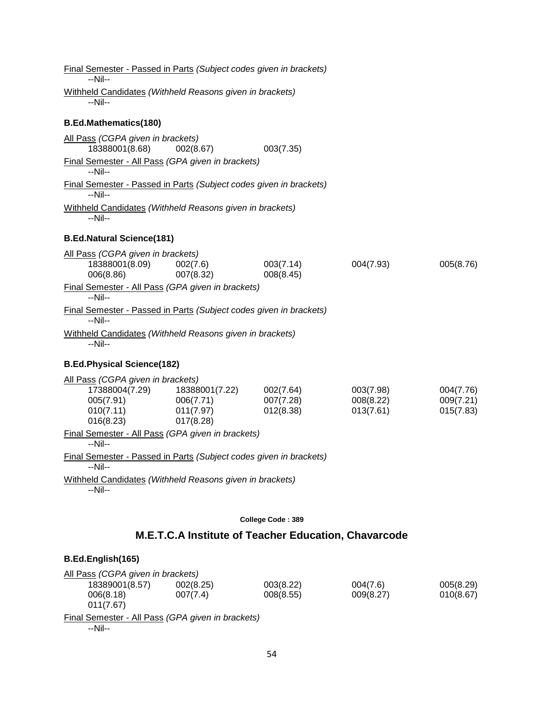| Final Semester - Passed in Parts (Subject codes given in brackets)<br>--Nil--                                         |                                                       |                                     |                                     |                                     |
|-----------------------------------------------------------------------------------------------------------------------|-------------------------------------------------------|-------------------------------------|-------------------------------------|-------------------------------------|
| Withheld Candidates (Withheld Reasons given in brackets)<br>--Nil--                                                   |                                                       |                                     |                                     |                                     |
| <b>B.Ed.Mathematics(180)</b>                                                                                          |                                                       |                                     |                                     |                                     |
| All Pass (CGPA given in brackets)<br>18388001(8.68)<br>Final Semester - All Pass (GPA given in brackets)<br>$-Nil-$   | 002(8.67)                                             | 003(7.35)                           |                                     |                                     |
| Final Semester - Passed in Parts (Subject codes given in brackets)<br>--Nil--                                         |                                                       |                                     |                                     |                                     |
| Withheld Candidates (Withheld Reasons given in brackets)<br>--Nil--                                                   |                                                       |                                     |                                     |                                     |
| <b>B.Ed.Natural Science(181)</b>                                                                                      |                                                       |                                     |                                     |                                     |
| All Pass (CGPA given in brackets)<br>18388001(8.09)<br>006(8.86)<br>Final Semester - All Pass (GPA given in brackets) | 002(7.6)<br>007(8.32)                                 | 003(7.14)<br>008(8.45)              | 004(7.93)                           | 005(8.76)                           |
| $-Nil-$<br>Final Semester - Passed in Parts (Subject codes given in brackets)                                         |                                                       |                                     |                                     |                                     |
| $-Nil-$                                                                                                               |                                                       |                                     |                                     |                                     |
| Withheld Candidates (Withheld Reasons given in brackets)<br>$-Nil-$                                                   |                                                       |                                     |                                     |                                     |
| <b>B.Ed.Physical Science(182)</b>                                                                                     |                                                       |                                     |                                     |                                     |
| All Pass (CGPA given in brackets)<br>17388004(7.29)<br>005(7.91)<br>010(7.11)<br>016(8.23)                            | 18388001(7.22)<br>006(7.71)<br>011(7.97)<br>017(8.28) | 002(7.64)<br>007(7.28)<br>012(8.38) | 003(7.98)<br>008(8.22)<br>013(7.61) | 004(7.76)<br>009(7.21)<br>015(7.83) |
| Final Semester - All Pass (GPA given in brackets)<br>$-Nil-$                                                          |                                                       |                                     |                                     |                                     |
| Final Semester - Passed in Parts (Subject codes given in brackets)<br>--Nil--                                         |                                                       |                                     |                                     |                                     |
| Withheld Candidates (Withheld Reasons given in brackets)<br>--Nil--                                                   |                                                       |                                     |                                     |                                     |
|                                                                                                                       |                                                       | College Code: 389                   |                                     |                                     |

# **M.E.T.C.A Institute of Teacher Education, Chavarcode**

| All Pass (CGPA given in brackets)                 |           |           |           |           |
|---------------------------------------------------|-----------|-----------|-----------|-----------|
| 18389001(8.57)                                    | 002(8.25) | 003(8.22) | 004(7.6)  | 005(8.29) |
| 006(8.18)<br>011(7.67)                            | 007(7.4)  | 008(8.55) | 009(8.27) | 010(8.67) |
| Final Semester - All Pass (GPA given in brackets) |           |           |           |           |
| --Nil--                                           |           |           |           |           |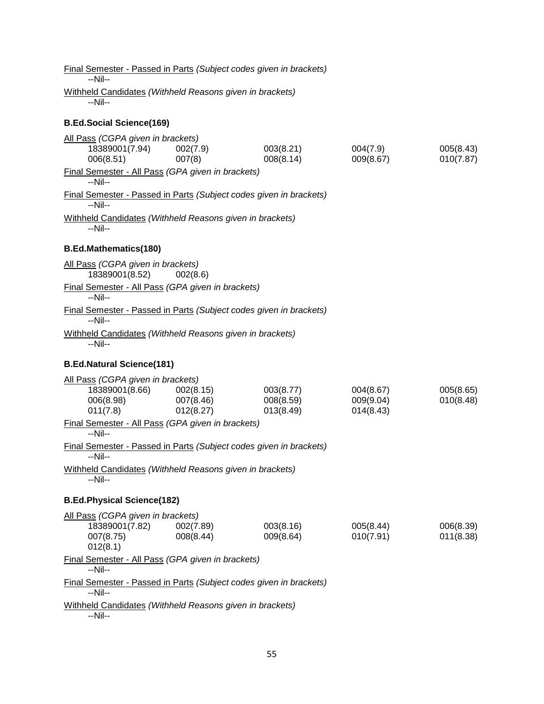| Final Semester - Passed in Parts (Subject codes given in brackets)<br>$-Nil-$        |                                     |                                     |                                     |                        |
|--------------------------------------------------------------------------------------|-------------------------------------|-------------------------------------|-------------------------------------|------------------------|
| Withheld Candidates (Withheld Reasons given in brackets)                             |                                     |                                     |                                     |                        |
| --Nil--                                                                              |                                     |                                     |                                     |                        |
| <b>B.Ed.Social Science(169)</b>                                                      |                                     |                                     |                                     |                        |
| All Pass (CGPA given in brackets)<br>18389001(7.94)<br>006(8.51)                     | 002(7.9)<br>007(8)                  | 003(8.21)<br>008(8.14)              | 004(7.9)<br>009(8.67)               | 005(8.43)<br>010(7.87) |
| Final Semester - All Pass (GPA given in brackets)<br>$-Nil-$                         |                                     |                                     |                                     |                        |
| Final Semester - Passed in Parts (Subject codes given in brackets)<br>$-Nil-$        |                                     |                                     |                                     |                        |
| Withheld Candidates (Withheld Reasons given in brackets)<br>$-Nil-$                  |                                     |                                     |                                     |                        |
| <b>B.Ed.Mathematics(180)</b>                                                         |                                     |                                     |                                     |                        |
| All Pass (CGPA given in brackets)<br>18389001(8.52)                                  | 002(8.6)                            |                                     |                                     |                        |
| Final Semester - All Pass (GPA given in brackets)<br>$-Nil-$                         |                                     |                                     |                                     |                        |
| Final Semester - Passed in Parts (Subject codes given in brackets)<br>$-Nil-$        |                                     |                                     |                                     |                        |
| Withheld Candidates (Withheld Reasons given in brackets)<br>$-Nil-$                  |                                     |                                     |                                     |                        |
| <b>B.Ed.Natural Science(181)</b>                                                     |                                     |                                     |                                     |                        |
| All Pass (CGPA given in brackets)<br>18389001(8.66)<br>006(8.98)<br>011(7.8)         | 002(8.15)<br>007(8.46)<br>012(8.27) | 003(8.77)<br>008(8.59)<br>013(8.49) | 004(8.67)<br>009(9.04)<br>014(8.43) | 005(8.65)<br>010(8.48) |
| Final Semester - All Pass (GPA given in brackets)<br>$-Nil-$                         |                                     |                                     |                                     |                        |
| <b>Final Semester - Passed in Parts (Subject codes given in brackets)</b><br>$-Nil-$ |                                     |                                     |                                     |                        |
| Withheld Candidates (Withheld Reasons given in brackets)<br>--Nil--                  |                                     |                                     |                                     |                        |
| <b>B.Ed.Physical Science(182)</b>                                                    |                                     |                                     |                                     |                        |
| All Pass (CGPA given in brackets)<br>18389001(7.82)<br>007(8.75)<br>012(8.1)         | 002(7.89)<br>008(8.44)              | 003(8.16)<br>009(8.64)              | 005(8.44)<br>010(7.91)              | 006(8.39)<br>011(8.38) |
| Final Semester - All Pass (GPA given in brackets)<br>--Nil--                         |                                     |                                     |                                     |                        |
| Final Semester - Passed in Parts (Subject codes given in brackets)<br>--Nil--        |                                     |                                     |                                     |                        |
| Withheld Candidates (Withheld Reasons given in brackets)<br>--Nil--                  |                                     |                                     |                                     |                        |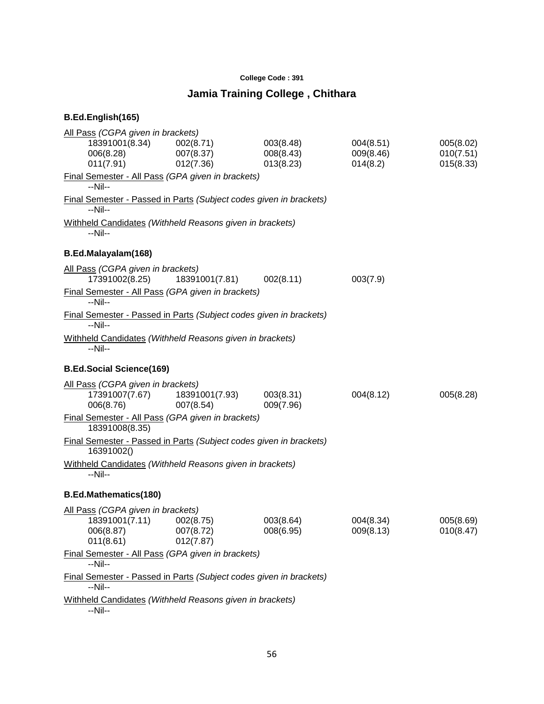### **College Code : 391**

# **Jamia Training College , Chithara**

| All Pass (CGPA given in brackets)<br>18391001(8.34)<br>006(8.28)<br>011(7.91)           | 002(8.71)<br>007(8.37)<br>012(7.36) | 003(8.48)<br>008(8.43)<br>013(8.23) | 004(8.51)<br>009(8.46)<br>014(8.2) | 005(8.02)<br>010(7.51)<br>015(8.33) |
|-----------------------------------------------------------------------------------------|-------------------------------------|-------------------------------------|------------------------------------|-------------------------------------|
| Final Semester - All Pass (GPA given in brackets)<br>--Nil--                            |                                     |                                     |                                    |                                     |
| Final Semester - Passed in Parts (Subject codes given in brackets)<br>--Nil--           |                                     |                                     |                                    |                                     |
| Withheld Candidates (Withheld Reasons given in brackets)<br>--Nil--                     |                                     |                                     |                                    |                                     |
| B.Ed.Malayalam(168)                                                                     |                                     |                                     |                                    |                                     |
| All Pass (CGPA given in brackets)<br>17391002(8.25)                                     | 18391001(7.81)                      | 002(8.11)                           | 003(7.9)                           |                                     |
| Final Semester - All Pass (GPA given in brackets)<br>$-Nil-$                            |                                     |                                     |                                    |                                     |
| Final Semester - Passed in Parts (Subject codes given in brackets)<br>--Nil--           |                                     |                                     |                                    |                                     |
| Withheld Candidates (Withheld Reasons given in brackets)<br>--Nil--                     |                                     |                                     |                                    |                                     |
| <b>B.Ed.Social Science(169)</b>                                                         |                                     |                                     |                                    |                                     |
| All Pass (CGPA given in brackets)<br>17391007(7.67)<br>006(8.76)                        | 18391001(7.93)<br>007(8.54)         | 003(8.31)<br>009(7.96)              | 004(8.12)                          | 005(8.28)                           |
| Final Semester - All Pass (GPA given in brackets)<br>18391008(8.35)                     |                                     |                                     |                                    |                                     |
| Final Semester - Passed in Parts (Subject codes given in brackets)<br>16391002()        |                                     |                                     |                                    |                                     |
| Withheld Candidates (Withheld Reasons given in brackets)<br>--Nil--                     |                                     |                                     |                                    |                                     |
| <b>B.Ed.Mathematics(180)</b>                                                            |                                     |                                     |                                    |                                     |
| All Pass (CGPA given in brackets)<br>18391001(7.11) 002(8.75)<br>006(8.87)<br>011(8.61) | 007(8.72)<br>012(7.87)              | 003(8.64)<br>008(6.95)              | 004(8.34)<br>009(8.13)             | 005(8.69)<br>010(8.47)              |
| Final Semester - All Pass (GPA given in brackets)<br>$-Nil-$                            |                                     |                                     |                                    |                                     |
| Final Semester - Passed in Parts (Subject codes given in brackets)<br>$-Nil-$           |                                     |                                     |                                    |                                     |
| Withheld Candidates (Withheld Reasons given in brackets)<br>--Nil--                     |                                     |                                     |                                    |                                     |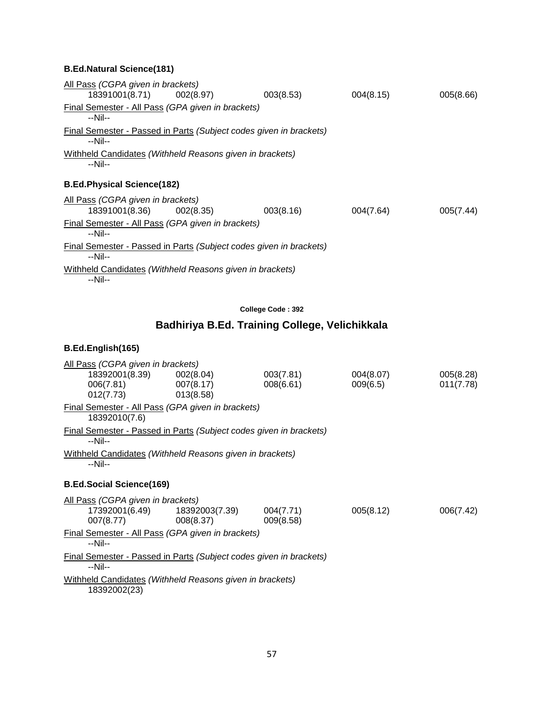| All Pass (CGPA given in brackets)                                     |                                                                    |           |           |
|-----------------------------------------------------------------------|--------------------------------------------------------------------|-----------|-----------|
| 18391001(8.71) 002(8.97)                                              | 003(8.53)                                                          | 004(8.15) | 005(8.66) |
| Final Semester - All Pass (GPA given in brackets)<br>--Nil--          |                                                                    |           |           |
| $-N$ il--                                                             | Final Semester - Passed in Parts (Subject codes given in brackets) |           |           |
| Withheld Candidates (Withheld Reasons given in brackets)<br>$-N$ il-- |                                                                    |           |           |
| <b>B.Ed.Physical Science(182)</b>                                     |                                                                    |           |           |
| All Pass (CGPA given in brackets)                                     |                                                                    |           |           |
| 18391001(8.36) 002(8.35)                                              | 003(8.16)                                                          | 004(7.64) | 005(7.44) |
| Final Semester - All Pass (GPA given in brackets)<br>$-Nil-$          |                                                                    |           |           |
| --Nil--                                                               | Final Semester - Passed in Parts (Subject codes given in brackets) |           |           |
| Withheld Candidates (Withheld Reasons given in brackets)<br>$-Nil-$   |                                                                    |           |           |

**College Code : 392**

# **Badhiriya B.Ed. Training College, Velichikkala**

| All Pass (CGPA given in brackets) |                                                                    |           |           |           |
|-----------------------------------|--------------------------------------------------------------------|-----------|-----------|-----------|
|                                   | 18392001(8.39) 002(8.04)                                           | 003(7.81) | 004(8.07) | 005(8.28) |
| 006(7.81) 007(8.17)               |                                                                    | 008(6.61) | 009(6.5)  | 011(7.78) |
| $012(7.73)$ 013(8.58)             |                                                                    |           |           |           |
| 18392010(7.6)                     | Final Semester - All Pass (GPA given in brackets)                  |           |           |           |
| --Nil--                           | Final Semester - Passed in Parts (Subject codes given in brackets) |           |           |           |
| --Nil--                           | Withheld Candidates (Withheld Reasons given in brackets)           |           |           |           |
| <b>B.Ed.Social Science(169)</b>   |                                                                    |           |           |           |
| All Pass (CGPA given in brackets) |                                                                    |           |           |           |
|                                   |                                                                    | 004(7.71) | 005(8.12) | 006(7.42) |
| 007(8.77)                         | 008(8.37)                                                          | 009(8.58) |           |           |
| --Nil--                           | Final Semester - All Pass (GPA given in brackets)                  |           |           |           |
| $-Nil-$                           | Final Semester - Passed in Parts (Subject codes given in brackets) |           |           |           |
| 18392002(23)                      | Withheld Candidates (Withheld Reasons given in brackets)           |           |           |           |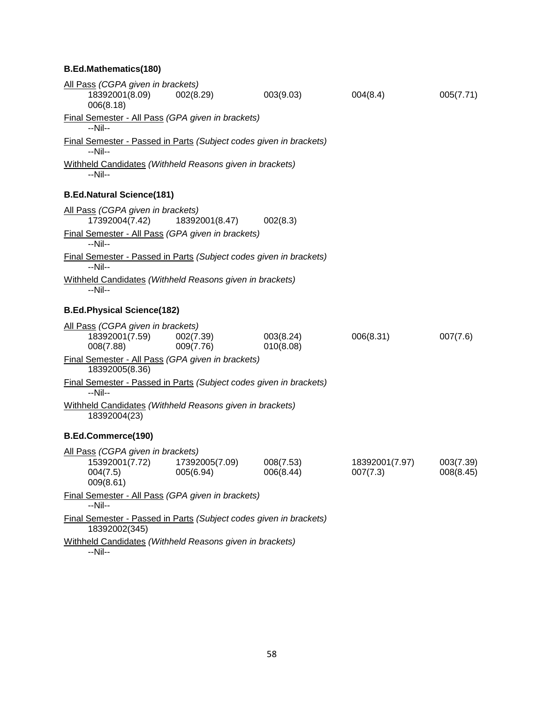### **B.Ed.Mathematics(180)**

| All Pass (CGPA given in brackets)<br>18392001(8.09)<br>006(8.18)                    | 002(8.29)                   | 003(9.03)              | 004(8.4)                   | 005(7.71)              |
|-------------------------------------------------------------------------------------|-----------------------------|------------------------|----------------------------|------------------------|
| Final Semester - All Pass (GPA given in brackets)<br>$-Nil-$                        |                             |                        |                            |                        |
| Final Semester - Passed in Parts (Subject codes given in brackets)<br>$-Nil-$       |                             |                        |                            |                        |
| Withheld Candidates (Withheld Reasons given in brackets)<br>--Nil--                 |                             |                        |                            |                        |
| <b>B.Ed.Natural Science(181)</b>                                                    |                             |                        |                            |                        |
| All Pass (CGPA given in brackets)<br>17392004(7.42)                                 | 18392001(8.47)              | 002(8.3)               |                            |                        |
| Final Semester - All Pass (GPA given in brackets)<br>$-Nil-$                        |                             |                        |                            |                        |
| Final Semester - Passed in Parts (Subject codes given in brackets)<br>--Nil--       |                             |                        |                            |                        |
| Withheld Candidates (Withheld Reasons given in brackets)<br>$-Nil-$                 |                             |                        |                            |                        |
| <b>B.Ed.Physical Science(182)</b>                                                   |                             |                        |                            |                        |
| All Pass (CGPA given in brackets)<br>18392001(7.59)<br>008(7.88)                    | 002(7.39)<br>009(7.76)      | 003(8.24)<br>010(8.08) | 006(8.31)                  | 007(7.6)               |
| Final Semester - All Pass (GPA given in brackets)<br>18392005(8.36)                 |                             |                        |                            |                        |
| Final Semester - Passed in Parts (Subject codes given in brackets)<br>$-Nil-$       |                             |                        |                            |                        |
| Withheld Candidates (Withheld Reasons given in brackets)<br>18392004(23)            |                             |                        |                            |                        |
| B.Ed.Commerce(190)                                                                  |                             |                        |                            |                        |
| All Pass (CGPA given in brackets)<br>15392001(7.72)<br>004(7.5)<br>009(8.61)        | 17392005(7.09)<br>005(6.94) | 008(7.53)<br>006(8.44) | 18392001(7.97)<br>007(7.3) | 003(7.39)<br>008(8.45) |
| Final Semester - All Pass (GPA given in brackets)<br>$-Nil-$                        |                             |                        |                            |                        |
| Final Semester - Passed in Parts (Subject codes given in brackets)<br>102020002/245 |                             |                        |                            |                        |

18392002(345)

Withheld Candidates *(Withheld Reasons given in brackets)* --Nil--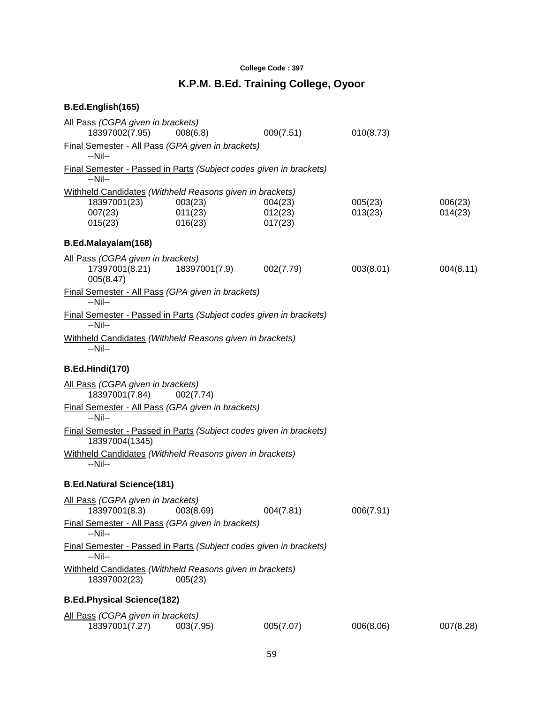### **College Code : 397**

# **K.P.M. B.Ed. Training College, Oyoor**

| All Pass (CGPA given in brackets)<br>18397002(7.95)                                            | 008(6.8)                      | 009(7.51)                     | 010(8.73)          |                    |
|------------------------------------------------------------------------------------------------|-------------------------------|-------------------------------|--------------------|--------------------|
| Final Semester - All Pass (GPA given in brackets)<br>--Nil--                                   |                               |                               |                    |                    |
| Final Semester - Passed in Parts (Subject codes given in brackets)<br>--Nil--                  |                               |                               |                    |                    |
| Withheld Candidates (Withheld Reasons given in brackets)<br>18397001(23)<br>007(23)<br>015(23) | 003(23)<br>011(23)<br>016(23) | 004(23)<br>012(23)<br>017(23) | 005(23)<br>013(23) | 006(23)<br>014(23) |
| B.Ed.Malayalam(168)                                                                            |                               |                               |                    |                    |
| All Pass (CGPA given in brackets)<br>17397001(8.21)<br>005(8.47)                               | 18397001(7.9)                 | 002(7.79)                     | 003(8.01)          | 004(8.11)          |
| Final Semester - All Pass (GPA given in brackets)<br>$-Nil-$                                   |                               |                               |                    |                    |
| Final Semester - Passed in Parts (Subject codes given in brackets)<br>--Nil--                  |                               |                               |                    |                    |
| Withheld Candidates (Withheld Reasons given in brackets)<br>--Nil--                            |                               |                               |                    |                    |
| B.Ed.Hindi(170)                                                                                |                               |                               |                    |                    |
| All Pass (CGPA given in brackets)<br>18397001(7.84)                                            | 002(7.74)                     |                               |                    |                    |
| Final Semester - All Pass (GPA given in brackets)<br>$-Nil-$                                   |                               |                               |                    |                    |
| Final Semester - Passed in Parts (Subject codes given in brackets)<br>18397004(1345)           |                               |                               |                    |                    |
| Withheld Candidates (Withheld Reasons given in brackets)<br>--Nil--                            |                               |                               |                    |                    |
| <b>B.Ed.Natural Science(181)</b>                                                               |                               |                               |                    |                    |
| All Pass (CGPA given in brackets)<br>18397001(8.3)                                             | 003(8.69)                     | 004(7.81)                     | 006(7.91)          |                    |
| Final Semester - All Pass (GPA given in brackets)<br>--Nil--                                   |                               |                               |                    |                    |
| Final Semester - Passed in Parts (Subject codes given in brackets)<br>--Nil--                  |                               |                               |                    |                    |
| Withheld Candidates (Withheld Reasons given in brackets)<br>18397002(23)                       | 005(23)                       |                               |                    |                    |
| <b>B.Ed.Physical Science(182)</b>                                                              |                               |                               |                    |                    |
| All Pass (CGPA given in brackets)<br>18397001(7.27)                                            | 003(7.95)                     | 005(7.07)                     | 006(8.06)          | 007(8.28)          |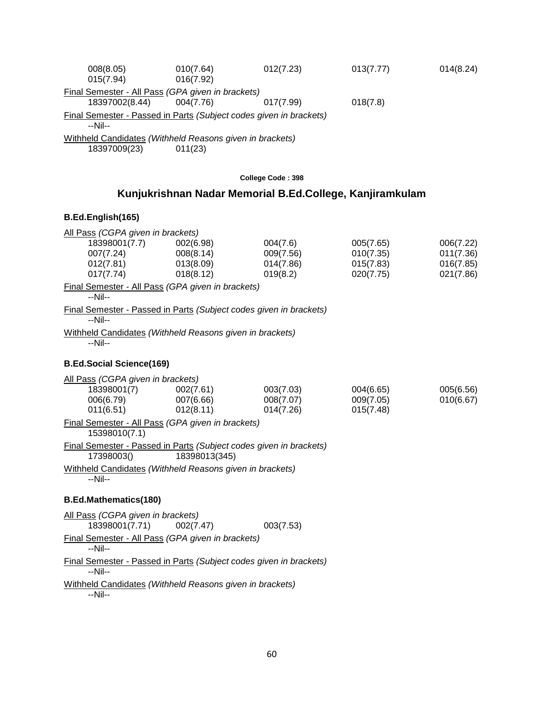| 008(8.05)<br>015(7.94)                                                                                                                               | 010(7.64)<br>016(7.92)                                   | 012(7.23)             | 013(7.77)              | 014(8.24)              |  |
|------------------------------------------------------------------------------------------------------------------------------------------------------|----------------------------------------------------------|-----------------------|------------------------|------------------------|--|
| Final Semester - All Pass (GPA given in brackets)<br>18397002(8.44)<br>Final Semester - Passed in Parts (Subject codes given in brackets)<br>--Nil-- | 004(7.76)                                                | 017(7.99)             | 018(7.8)               |                        |  |
| Withheld Candidates (Withheld Reasons given in brackets)<br>18397009(23)                                                                             | 011(23)                                                  |                       |                        |                        |  |
|                                                                                                                                                      |                                                          | College Code: 398     |                        |                        |  |
|                                                                                                                                                      | Kunjukrishnan Nadar Memorial B.Ed.College, Kanjiramkulam |                       |                        |                        |  |
| B.Ed.English(165)                                                                                                                                    |                                                          |                       |                        |                        |  |
| All Pass (CGPA given in brackets)                                                                                                                    |                                                          |                       |                        |                        |  |
| 18398001(7.7)<br>007(7.24)                                                                                                                           | 002(6.98)<br>008(8.14)                                   | 004(7.6)<br>009(7.56) | 005(7.65)<br>010(7.35) | 006(7.22)<br>011(7.36) |  |
| 012(7.81)                                                                                                                                            | 013(8.09)                                                | 014(7.86)             | 015(7.83)              | 016(7.85)              |  |
| 017(7.74)                                                                                                                                            | 018(8.12)                                                | 019(8.2)              | 020(7.75)              | 021(7.86)              |  |
| Final Semester - All Pass (GPA given in brackets)<br>$-Nil-$                                                                                         |                                                          |                       |                        |                        |  |
| Final Semester - Passed in Parts (Subject codes given in brackets)<br>$-Nil-$                                                                        |                                                          |                       |                        |                        |  |
| Withheld Candidates (Withheld Reasons given in brackets)<br>$-Nil-$                                                                                  |                                                          |                       |                        |                        |  |
| <b>B.Ed.Social Science(169)</b>                                                                                                                      |                                                          |                       |                        |                        |  |
| All Pass (CGPA given in brackets)                                                                                                                    |                                                          |                       |                        |                        |  |
| 18398001(7)                                                                                                                                          | 002(7.61)                                                | 003(7.03)             | 004(6.65)              | 005(6.56)              |  |
| 006(6.79)                                                                                                                                            | 007(6.66)                                                | 008(7.07)             | 009(7.05)              | 010(6.67)              |  |
| 014(7.26)<br>011(6.51)<br>012(8.11)<br>015(7.48)<br>Final Semester - All Pass (GPA given in brackets)<br>15398010(7.1)                               |                                                          |                       |                        |                        |  |
| Final Semester - Passed in Parts (Subject codes given in brackets)                                                                                   |                                                          |                       |                        |                        |  |
| 17398003()                                                                                                                                           | 18398013(345)                                            |                       |                        |                        |  |
| Withheld Candidates (Withheld Reasons given in brackets)                                                                                             |                                                          |                       |                        |                        |  |

--Nil--

# **B.Ed.Mathematics(180)**

| All Pass (CGPA given in brackets)                                  |           |           |
|--------------------------------------------------------------------|-----------|-----------|
| 18398001(7.71)                                                     | 002(7.47) | 003(7.53) |
| Final Semester - All Pass (GPA given in brackets)                  |           |           |
| $-Nil-$                                                            |           |           |
| Final Semester - Passed in Parts (Subject codes given in brackets) |           |           |
| $-Nil-$                                                            |           |           |
| Withheld Candidates (Withheld Reasons given in brackets)           |           |           |

--Nil--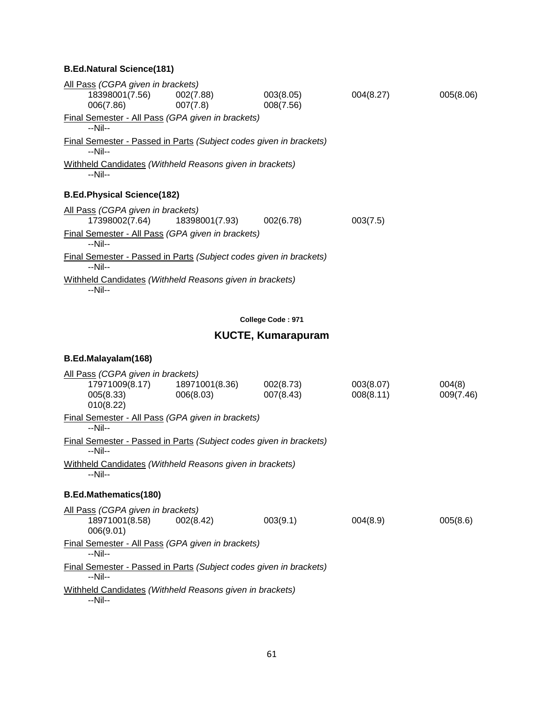| All Pass (CGPA given in brackets)                                             |          |           |           |           |
|-------------------------------------------------------------------------------|----------|-----------|-----------|-----------|
| 18398001(7.56) 002(7.88)                                                      |          | 003(8.05) | 004(8.27) | 005(8.06) |
| 006(7.86)                                                                     | 007(7.8) | 008(7.56) |           |           |
| Final Semester - All Pass (GPA given in brackets)<br>--Nil--                  |          |           |           |           |
| Final Semester - Passed in Parts (Subject codes given in brackets)<br>--Nil-- |          |           |           |           |
| Withheld Candidates (Withheld Reasons given in brackets)<br>--Nil--           |          |           |           |           |
| <b>B.Ed.Physical Science(182)</b>                                             |          |           |           |           |
| All Pass (CGPA given in brackets)                                             |          |           |           |           |
|                                                                               |          | 002(6.78) | 003(7.5)  |           |
| Final Semester - All Pass (GPA given in brackets)<br>--Nil--                  |          |           |           |           |
| Final Semester - Passed in Parts (Subject codes given in brackets)<br>--Nil-- |          |           |           |           |
| Withheld Candidates (Withheld Reasons given in brackets)<br>__NIil__          |          |           |           |           |

--Nil--

### **College Code : 971**

# **KUCTE, Kumarapuram**

# **B.Ed.Malayalam(168)**

| All Pass (CGPA given in brackets)                                             |           |           |           |           |
|-------------------------------------------------------------------------------|-----------|-----------|-----------|-----------|
|                                                                               |           | 002(8.73) | 003(8.07) | 004(8)    |
| 005(8.33)                                                                     | 006(8.03) | 007(8.43) | 008(8.11) | 009(7.46) |
| 010(8.22)                                                                     |           |           |           |           |
| <b>Final Semester - All Pass (GPA given in brackets)</b><br>--Nil--           |           |           |           |           |
| Final Semester - Passed in Parts (Subject codes given in brackets)<br>$-Nil-$ |           |           |           |           |
| Withheld Candidates (Withheld Reasons given in brackets)<br>$-Nil-$           |           |           |           |           |
| <b>B.Ed.Mathematics(180)</b>                                                  |           |           |           |           |
| All Pass (CGPA given in brackets)                                             |           |           |           |           |
| 18971001(8.58) 002(8.42)<br>006(9.01)                                         |           | 003(9.1)  | 004(8.9)  | 005(8.6)  |
| Final Semester - All Pass (GPA given in brackets)<br>--Nil--                  |           |           |           |           |
| Final Semester - Passed in Parts (Subject codes given in brackets)<br>--Nil-- |           |           |           |           |
| Withheld Candidates (Withheld Reasons given in brackets)<br>--Nil--           |           |           |           |           |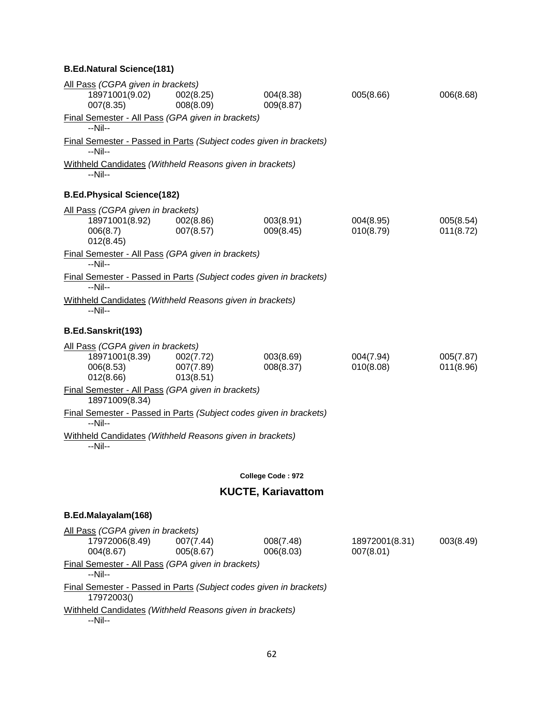| All Pass (CGPA given in brackets)<br>18971001(9.02)                           | 002(8.25)              | 004(8.38)                 | 005(8.66)      | 006(8.68) |
|-------------------------------------------------------------------------------|------------------------|---------------------------|----------------|-----------|
| 007(8.35)                                                                     | 008(8.09)              | 009(8.87)                 |                |           |
| Final Semester - All Pass (GPA given in brackets)<br>--Nil--                  |                        |                           |                |           |
| Final Semester - Passed in Parts (Subject codes given in brackets)<br>$-Nil-$ |                        |                           |                |           |
| Withheld Candidates (Withheld Reasons given in brackets)<br>--Nil--           |                        |                           |                |           |
| <b>B.Ed.Physical Science(182)</b>                                             |                        |                           |                |           |
| All Pass (CGPA given in brackets)                                             |                        |                           |                |           |
| 18971001(8.92)                                                                | 002(8.86)              | 003(8.91)                 | 004(8.95)      | 005(8.54) |
| 006(8.7)<br>012(8.45)                                                         | 007(8.57)              | 009(8.45)                 | 010(8.79)      | 011(8.72) |
| Final Semester - All Pass (GPA given in brackets)                             |                        |                           |                |           |
| $-Nil-$                                                                       |                        |                           |                |           |
| Final Semester - Passed in Parts (Subject codes given in brackets)<br>--Nil-- |                        |                           |                |           |
| Withheld Candidates (Withheld Reasons given in brackets)<br>--Nil--           |                        |                           |                |           |
| B.Ed.Sanskrit(193)                                                            |                        |                           |                |           |
| All Pass (CGPA given in brackets)                                             |                        |                           |                |           |
| 18971001(8.39)                                                                | 002(7.72)              | 003(8.69)                 | 004(7.94)      | 005(7.87) |
| 006(8.53)<br>012(8.66)                                                        | 007(7.89)<br>013(8.51) | 008(8.37)                 | 010(8.08)      | 011(8.96) |
| Final Semester - All Pass (GPA given in brackets)<br>18971009(8.34)           |                        |                           |                |           |
| Final Semester - Passed in Parts (Subject codes given in brackets)            |                        |                           |                |           |
| --Nil--                                                                       |                        |                           |                |           |
| Withheld Candidates (Withheld Reasons given in brackets)<br>--Nil--           |                        |                           |                |           |
|                                                                               |                        | College Code: 972         |                |           |
|                                                                               |                        | <b>KUCTE, Kariavattom</b> |                |           |
| B.Ed.Malayalam(168)                                                           |                        |                           |                |           |
| All Pass (CGPA given in brackets)                                             |                        |                           |                |           |
| 17972006(8.49)                                                                | 007(7.44)              | 008(7.48)                 | 18972001(8.31) | 003(8.49) |
| 004(8.67)                                                                     | 005(8.67)              | 006(8.03)                 | 007(8.01)      |           |
| Final Semester - All Pass (GPA given in brackets)<br>--Nil--                  |                        |                           |                |           |
| Final Semester - Passed in Parts (Subject codes given in brackets)            |                        |                           |                |           |

17972003()

Withheld Candidates *(Withheld Reasons given in brackets)* --Nil--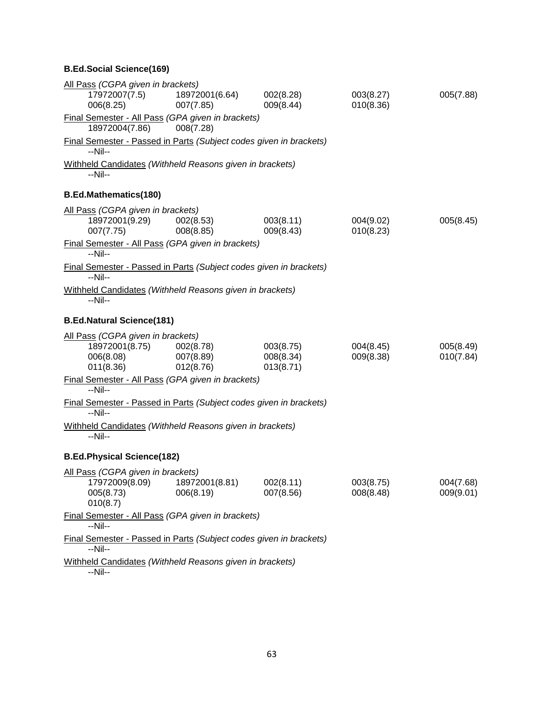# **B.Ed.Social Science(169)**

| All Pass (CGPA given in brackets)                                                       |                             |                                     |                        |                        |
|-----------------------------------------------------------------------------------------|-----------------------------|-------------------------------------|------------------------|------------------------|
| 17972007(7.5)<br>006(8.25)                                                              | 18972001(6.64)<br>007(7.85) | 002(8.28)<br>009(8.44)              | 003(8.27)<br>010(8.36) | 005(7.88)              |
| Final Semester - All Pass (GPA given in brackets)<br>18972004(7.86)                     | 008(7.28)                   |                                     |                        |                        |
| Final Semester - Passed in Parts (Subject codes given in brackets)<br>--Nil--           |                             |                                     |                        |                        |
| Withheld Candidates (Withheld Reasons given in brackets)<br>$-Nil-$                     |                             |                                     |                        |                        |
| <b>B.Ed.Mathematics(180)</b>                                                            |                             |                                     |                        |                        |
| All Pass (CGPA given in brackets)<br>18972001(9.29)<br>007(7.75)                        | 002(8.53)<br>008(8.85)      | 003(8.11)<br>009(8.43)              | 004(9.02)<br>010(8.23) | 005(8.45)              |
| Final Semester - All Pass (GPA given in brackets)<br>$-Nil-$                            |                             |                                     |                        |                        |
| Final Semester - Passed in Parts (Subject codes given in brackets)<br>$-Nil-$           |                             |                                     |                        |                        |
| Withheld Candidates (Withheld Reasons given in brackets)<br>$-Nil-$                     |                             |                                     |                        |                        |
| <b>B.Ed.Natural Science(181)</b>                                                        |                             |                                     |                        |                        |
| All Pass (CGPA given in brackets)<br>18972001(8.75) 002(8.78)<br>006(8.08)<br>011(8.36) | 007(8.89)<br>012(8.76)      | 003(8.75)<br>008(8.34)<br>013(8.71) | 004(8.45)<br>009(8.38) | 005(8.49)<br>010(7.84) |
| Final Semester - All Pass (GPA given in brackets)<br>$-Nil-$                            |                             |                                     |                        |                        |
| Final Semester - Passed in Parts (Subject codes given in brackets)<br>$-Nil-$           |                             |                                     |                        |                        |
| Withheld Candidates (Withheld Reasons given in brackets)<br>--Nil--                     |                             |                                     |                        |                        |
| <b>B.Ed.Physical Science(182)</b>                                                       |                             |                                     |                        |                        |
| All Pass (CGPA given in brackets)<br>17972009(8.09)<br>005(8.73)<br>010(8.7)            | 18972001(8.81)<br>006(8.19) | 002(8.11)<br>007(8.56)              | 003(8.75)<br>008(8.48) | 004(7.68)<br>009(9.01) |
| Final Semester - All Pass (GPA given in brackets)<br>$-Nil-$                            |                             |                                     |                        |                        |
| Final Semester - Passed in Parts (Subject codes given in brackets)<br>$-Nil-$           |                             |                                     |                        |                        |
| Withheld Candidates (Withheld Reasons given in brackets)<br>--Nil--                     |                             |                                     |                        |                        |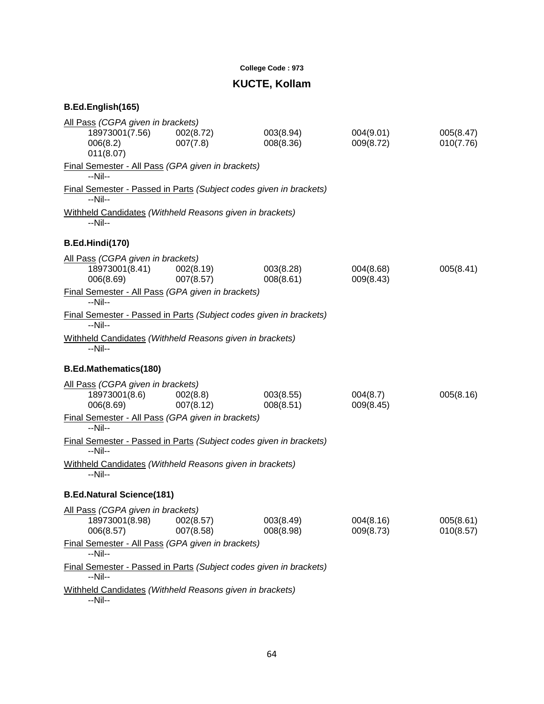### **College Code : 973**

# **KUCTE, Kollam**

| All Pass (CGPA given in brackets)                                             |                        |                        |                        |                        |
|-------------------------------------------------------------------------------|------------------------|------------------------|------------------------|------------------------|
| 18973001(7.56)<br>006(8.2)<br>011(8.07)                                       | 002(8.72)<br>007(7.8)  | 003(8.94)<br>008(8.36) | 004(9.01)<br>009(8.72) | 005(8.47)<br>010(7.76) |
| Final Semester - All Pass (GPA given in brackets)<br>$-Nil-$                  |                        |                        |                        |                        |
| Final Semester - Passed in Parts (Subject codes given in brackets)<br>$-Nil-$ |                        |                        |                        |                        |
| Withheld Candidates (Withheld Reasons given in brackets)<br>$-Nil-$           |                        |                        |                        |                        |
| B.Ed.Hindi(170)                                                               |                        |                        |                        |                        |
| All Pass (CGPA given in brackets)<br>18973001(8.41)<br>006(8.69)              | 002(8.19)<br>007(8.57) | 003(8.28)<br>008(8.61) | 004(8.68)<br>009(8.43) | 005(8.41)              |
| Final Semester - All Pass (GPA given in brackets)<br>$-Nil-$                  |                        |                        |                        |                        |
| Final Semester - Passed in Parts (Subject codes given in brackets)<br>$-Nil-$ |                        |                        |                        |                        |
| Withheld Candidates (Withheld Reasons given in brackets)<br>$-Nil-$           |                        |                        |                        |                        |
| <b>B.Ed.Mathematics(180)</b>                                                  |                        |                        |                        |                        |
| All Pass (CGPA given in brackets)<br>18973001(8.6)<br>006(8.69)               | 002(8.8)<br>007(8.12)  | 003(8.55)<br>008(8.51) | 004(8.7)<br>009(8.45)  | 005(8.16)              |
| Final Semester - All Pass (GPA given in brackets)<br>$-Nil-$                  |                        |                        |                        |                        |
| Final Semester - Passed in Parts (Subject codes given in brackets)<br>$-Nil-$ |                        |                        |                        |                        |
| Withheld Candidates (Withheld Reasons given in brackets)<br>--Nil--           |                        |                        |                        |                        |
| <b>B.Ed.Natural Science(181)</b>                                              |                        |                        |                        |                        |
| All Pass (CGPA given in brackets)<br>18973001(8.98)<br>006(8.57)              | 002(8.57)<br>007(8.58) | 003(8.49)<br>008(8.98) | 004(8.16)<br>009(8.73) | 005(8.61)<br>010(8.57) |
| Final Semester - All Pass (GPA given in brackets)<br>$-Nil-$                  |                        |                        |                        |                        |
| Final Semester - Passed in Parts (Subject codes given in brackets)<br>--Nil-- |                        |                        |                        |                        |
| Withheld Candidates (Withheld Reasons given in brackets)<br>--Nil--           |                        |                        |                        |                        |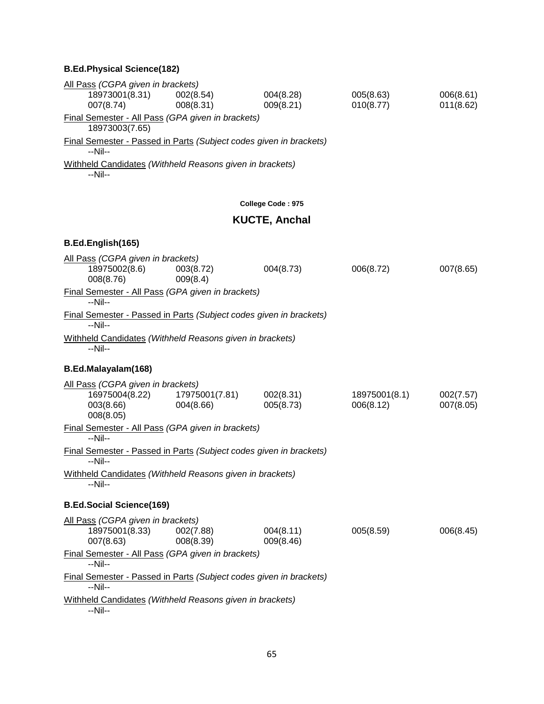# **B.Ed.Physical Science(182)**

| All Pass (CGPA given in brackets)                                             |                             |                        |                            |                        |
|-------------------------------------------------------------------------------|-----------------------------|------------------------|----------------------------|------------------------|
| 18973001(8.31)<br>007(8.74)                                                   | 002(8.54)<br>008(8.31)      | 004(8.28)<br>009(8.21) | 005(8.63)<br>010(8.77)     | 006(8.61)<br>011(8.62) |
| Final Semester - All Pass (GPA given in brackets)<br>18973003(7.65)           |                             |                        |                            |                        |
| Final Semester - Passed in Parts (Subject codes given in brackets)<br>--Nil-- |                             |                        |                            |                        |
| Withheld Candidates (Withheld Reasons given in brackets)<br>--Nil--           |                             |                        |                            |                        |
|                                                                               |                             | College Code: 975      |                            |                        |
|                                                                               |                             | <b>KUCTE, Anchal</b>   |                            |                        |
| B.Ed.English(165)                                                             |                             |                        |                            |                        |
| All Pass (CGPA given in brackets)<br>18975002(8.6)<br>008(8.76)               | 003(8.72)<br>009(8.4)       | 004(8.73)              | 006(8.72)                  | 007(8.65)              |
| Final Semester - All Pass (GPA given in brackets)<br>--Nil--                  |                             |                        |                            |                        |
| Final Semester - Passed in Parts (Subject codes given in brackets)<br>$-Nil-$ |                             |                        |                            |                        |
| Withheld Candidates (Withheld Reasons given in brackets)<br>$-Nil-$           |                             |                        |                            |                        |
| B.Ed.Malayalam(168)                                                           |                             |                        |                            |                        |
| All Pass (CGPA given in brackets)<br>16975004(8.22)<br>003(8.66)<br>008(8.05) | 17975001(7.81)<br>004(8.66) | 002(8.31)<br>005(8.73) | 18975001(8.1)<br>006(8.12) | 002(7.57)<br>007(8.05) |
| Final Semester - All Pass (GPA given in brackets)<br>$-Nil-$                  |                             |                        |                            |                        |
| Final Semester - Passed in Parts (Subject codes given in brackets)<br>$-Nil-$ |                             |                        |                            |                        |
| Withheld Candidates (Withheld Reasons given in brackets)<br>--Nil--           |                             |                        |                            |                        |
| <b>B.Ed.Social Science(169)</b>                                               |                             |                        |                            |                        |
| All Pass (CGPA given in brackets)<br>18975001(8.33)<br>007(8.63)              | 002(7.88)<br>008(8.39)      | 004(8.11)<br>009(8.46) | 005(8.59)                  | 006(8.45)              |
| Final Semester - All Pass (GPA given in brackets)<br>$-Nil-$                  |                             |                        |                            |                        |
| Final Semester - Passed in Parts (Subject codes given in brackets)<br>--Nil-- |                             |                        |                            |                        |
| Withheld Candidates (Withheld Reasons given in brackets)<br>--Nil--           |                             |                        |                            |                        |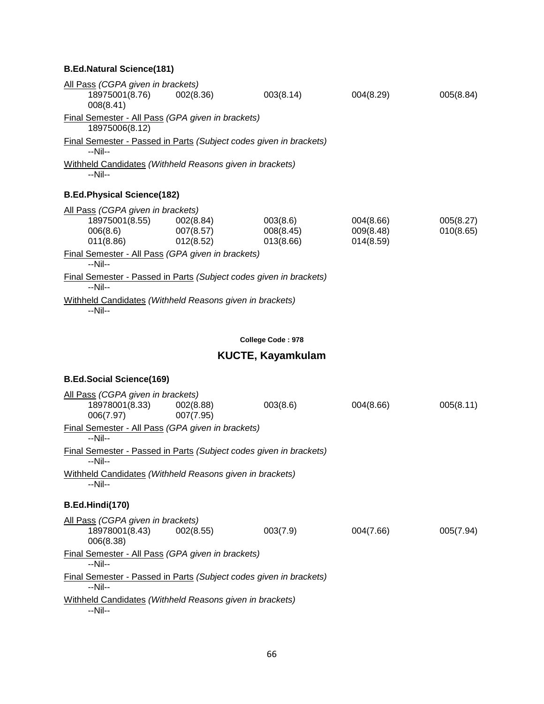| All Pass (CGPA given in brackets)<br>18975001(8.76) 002(8.36)<br>008(8.41)             |                        | 003(8.14)                          | 004(8.29)                           | 005(8.84)              |
|----------------------------------------------------------------------------------------|------------------------|------------------------------------|-------------------------------------|------------------------|
| Final Semester - All Pass (GPA given in brackets)<br>18975006(8.12)                    |                        |                                    |                                     |                        |
| Final Semester - Passed in Parts (Subject codes given in brackets)<br>--Nil--          |                        |                                    |                                     |                        |
| Withheld Candidates (Withheld Reasons given in brackets)<br>$-Nil-$                    |                        |                                    |                                     |                        |
| <b>B.Ed.Physical Science(182)</b>                                                      |                        |                                    |                                     |                        |
| All Pass (CGPA given in brackets)<br>18975001(8.55) 002(8.84)<br>006(8.6)<br>011(8.86) | 007(8.57)<br>012(8.52) | 003(8.6)<br>008(8.45)<br>013(8.66) | 004(8.66)<br>009(8.48)<br>014(8.59) | 005(8.27)<br>010(8.65) |
| Final Semester - All Pass (GPA given in brackets)<br>--Nil--                           |                        |                                    |                                     |                        |
| <b>Final Semester - Passed in Parts (Subject codes given in brackets)</b><br>$-Nil-$   |                        |                                    |                                     |                        |
| Withheld Candidates (Withheld Reasons given in brackets)<br>--Nil--                    |                        |                                    |                                     |                        |

# **College Code : 978**

# **KUCTE, Kayamkulam**

# **B.Ed.Social Science(169)**

| All Pass (CGPA given in brackets)                                             |           |          |           |           |
|-------------------------------------------------------------------------------|-----------|----------|-----------|-----------|
| 18978001(8.33) 002(8.88)                                                      |           | 003(8.6) | 004(8.66) | 005(8.11) |
| 006(7.97)                                                                     | 007(7.95) |          |           |           |
| Final Semester - All Pass (GPA given in brackets)<br>--Nil--                  |           |          |           |           |
| Final Semester - Passed in Parts (Subject codes given in brackets)<br>$-Nil-$ |           |          |           |           |
| Withheld Candidates (Withheld Reasons given in brackets)<br>$-N$ il--         |           |          |           |           |
| B.Ed.Hindi(170)                                                               |           |          |           |           |
| All Pass (CGPA given in brackets)                                             |           |          |           |           |
| 18978001(8.43) 002(8.55)<br>006(8.38)                                         |           | 003(7.9) | 004(7.66) | 005(7.94) |
| Final Semester - All Pass (GPA given in brackets)                             |           |          |           |           |
| $-N$ il--                                                                     |           |          |           |           |
| Final Semester - Passed in Parts (Subject codes given in brackets)<br>$-Nil-$ |           |          |           |           |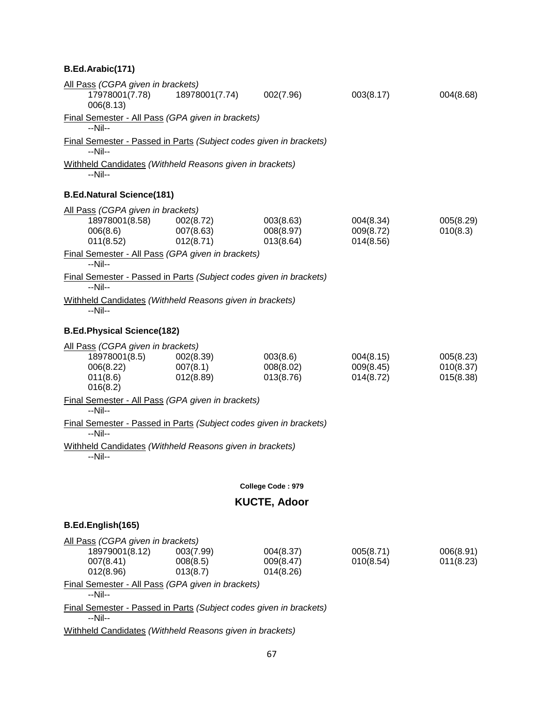# **B.Ed.Arabic(171)**

| All Pass (CGPA given in brackets)<br>17978001(7.78)                           | 18978001(7.74)       | 002(7.96)              | 003(8.17) | 004(8.68) |
|-------------------------------------------------------------------------------|----------------------|------------------------|-----------|-----------|
| 006(8.13)                                                                     |                      |                        |           |           |
| Final Semester - All Pass (GPA given in brackets)<br>--Nil--                  |                      |                        |           |           |
| Final Semester - Passed in Parts (Subject codes given in brackets)            |                      |                        |           |           |
| --Nil--                                                                       |                      |                        |           |           |
| Withheld Candidates (Withheld Reasons given in brackets)<br>--Nil--           |                      |                        |           |           |
| <b>B.Ed.Natural Science(181)</b>                                              |                      |                        |           |           |
| All Pass (CGPA given in brackets)                                             |                      |                        |           |           |
| 18978001(8.58)                                                                | 002(8.72)            | 003(8.63)              | 004(8.34) | 005(8.29) |
| 006(8.6)                                                                      | 007(8.63)            | 008(8.97)              | 009(8.72) | 010(8.3)  |
| 011(8.52)                                                                     | 012(8.71)            | 013(8.64)              | 014(8.56) |           |
| Final Semester - All Pass (GPA given in brackets)<br>$-Nil-$                  |                      |                        |           |           |
| Final Semester - Passed in Parts (Subject codes given in brackets)<br>--Nil-- |                      |                        |           |           |
| Withheld Candidates (Withheld Reasons given in brackets)<br>--Nil--           |                      |                        |           |           |
| <b>B.Ed.Physical Science(182)</b>                                             |                      |                        |           |           |
| All Pass (CGPA given in brackets)                                             |                      |                        |           |           |
| 18978001(8.5)                                                                 | 002(8.39)            | 003(8.6)               | 004(8.15) | 005(8.23) |
| 006(8.22)                                                                     | 007(8.1)             | 008(8.02)              | 009(8.45) | 010(8.37) |
| 011(8.6)<br>016(8.2)                                                          | 012(8.89)            | 013(8.76)              | 014(8.72) | 015(8.38) |
| Final Semester - All Pass (GPA given in brackets)<br>$-Nil-$                  |                      |                        |           |           |
| <b>Final Semester - Passed in Parts (Subject codes given in brackets)</b>     |                      |                        |           |           |
| --Nil--                                                                       |                      |                        |           |           |
| Withheld Candidates (Withheld Reasons given in brackets)<br>--Nil--           |                      |                        |           |           |
|                                                                               |                      | College Code: 979      |           |           |
|                                                                               |                      | <b>KUCTE, Adoor</b>    |           |           |
|                                                                               |                      |                        |           |           |
| B.Ed.English(165)                                                             |                      |                        |           |           |
| All Pass (CGPA given in brackets)                                             |                      |                        |           |           |
| 18979001(8.12)                                                                | 003(7.99)            | 004(8.37)              | 005(8.71) | 006(8.91) |
| 007(8.41)<br>012(8.96)                                                        | 008(8.5)<br>013(8.7) | 009(8.47)<br>014(8.26) | 010(8.54) | 011(8.23) |
| Final Semester - All Pass (GPA given in brackets)                             |                      |                        |           |           |
| $-Nil-$                                                                       |                      |                        |           |           |
| Final Semester - Passed in Parts (Subject codes given in brackets)            |                      |                        |           |           |
| --Nil--                                                                       |                      |                        |           |           |
| Withheld Candidates (Withheld Reasons given in brackets)                      |                      |                        |           |           |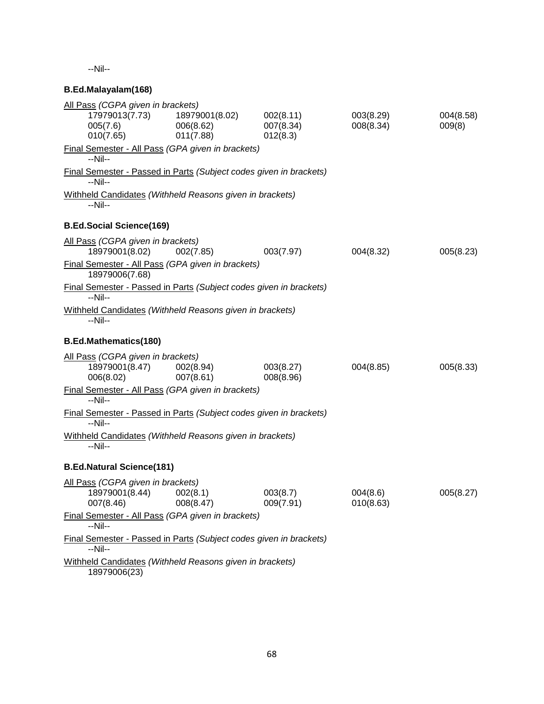--Nil--

# **B.Ed.Malayalam(168)**

| 18979001(8.02)<br>006(8.62)<br>011(7.88)                    | 002(8.11)<br>007(8.34)<br>012(8.3) | 003(8.29)<br>008(8.34)                                                                                                                                                                                                                                                                                                                                                                                                                                           | 004(8.58)<br>009(8)                                                                                                                                                                                                                                                                         |
|-------------------------------------------------------------|------------------------------------|------------------------------------------------------------------------------------------------------------------------------------------------------------------------------------------------------------------------------------------------------------------------------------------------------------------------------------------------------------------------------------------------------------------------------------------------------------------|---------------------------------------------------------------------------------------------------------------------------------------------------------------------------------------------------------------------------------------------------------------------------------------------|
|                                                             |                                    |                                                                                                                                                                                                                                                                                                                                                                                                                                                                  |                                                                                                                                                                                                                                                                                             |
|                                                             |                                    |                                                                                                                                                                                                                                                                                                                                                                                                                                                                  |                                                                                                                                                                                                                                                                                             |
|                                                             |                                    |                                                                                                                                                                                                                                                                                                                                                                                                                                                                  |                                                                                                                                                                                                                                                                                             |
|                                                             |                                    |                                                                                                                                                                                                                                                                                                                                                                                                                                                                  |                                                                                                                                                                                                                                                                                             |
| All Pass (CGPA given in brackets)<br>002(7.85)              | 003(7.97)                          | 004(8.32)                                                                                                                                                                                                                                                                                                                                                                                                                                                        | 005(8.23)                                                                                                                                                                                                                                                                                   |
|                                                             |                                    |                                                                                                                                                                                                                                                                                                                                                                                                                                                                  |                                                                                                                                                                                                                                                                                             |
|                                                             |                                    |                                                                                                                                                                                                                                                                                                                                                                                                                                                                  |                                                                                                                                                                                                                                                                                             |
|                                                             |                                    |                                                                                                                                                                                                                                                                                                                                                                                                                                                                  |                                                                                                                                                                                                                                                                                             |
|                                                             |                                    |                                                                                                                                                                                                                                                                                                                                                                                                                                                                  |                                                                                                                                                                                                                                                                                             |
| All Pass (CGPA given in brackets)<br>002(8.94)<br>007(8.61) | 003(8.27)<br>008(8.96)             | 004(8.85)                                                                                                                                                                                                                                                                                                                                                                                                                                                        | 005(8.33)                                                                                                                                                                                                                                                                                   |
|                                                             |                                    |                                                                                                                                                                                                                                                                                                                                                                                                                                                                  |                                                                                                                                                                                                                                                                                             |
|                                                             |                                    |                                                                                                                                                                                                                                                                                                                                                                                                                                                                  |                                                                                                                                                                                                                                                                                             |
|                                                             |                                    |                                                                                                                                                                                                                                                                                                                                                                                                                                                                  |                                                                                                                                                                                                                                                                                             |
| <b>B.Ed.Natural Science(181)</b>                            |                                    |                                                                                                                                                                                                                                                                                                                                                                                                                                                                  |                                                                                                                                                                                                                                                                                             |
| All Pass (CGPA given in brackets)<br>002(8.1)<br>008(8.47)  | 003(8.7)<br>009(7.91)              | 004(8.6)<br>010(8.63)                                                                                                                                                                                                                                                                                                                                                                                                                                            | 005(8.27)                                                                                                                                                                                                                                                                                   |
|                                                             |                                    |                                                                                                                                                                                                                                                                                                                                                                                                                                                                  |                                                                                                                                                                                                                                                                                             |
|                                                             |                                    |                                                                                                                                                                                                                                                                                                                                                                                                                                                                  |                                                                                                                                                                                                                                                                                             |
|                                                             |                                    |                                                                                                                                                                                                                                                                                                                                                                                                                                                                  |                                                                                                                                                                                                                                                                                             |
|                                                             | All Pass (CGPA given in brackets)  | Final Semester - All Pass (GPA given in brackets)<br>Withheld Candidates (Withheld Reasons given in brackets)<br>Final Semester - All Pass (GPA given in brackets)<br>Withheld Candidates (Withheld Reasons given in brackets)<br>Final Semester - All Pass (GPA given in brackets)<br>Withheld Candidates (Withheld Reasons given in brackets)<br>Final Semester - All Pass (GPA given in brackets)<br>Withheld Candidates (Withheld Reasons given in brackets) | Final Semester - Passed in Parts (Subject codes given in brackets)<br>Final Semester - Passed in Parts (Subject codes given in brackets)<br><b>Final Semester - Passed in Parts (Subject codes given in brackets)</b><br>Final Semester - Passed in Parts (Subject codes given in brackets) |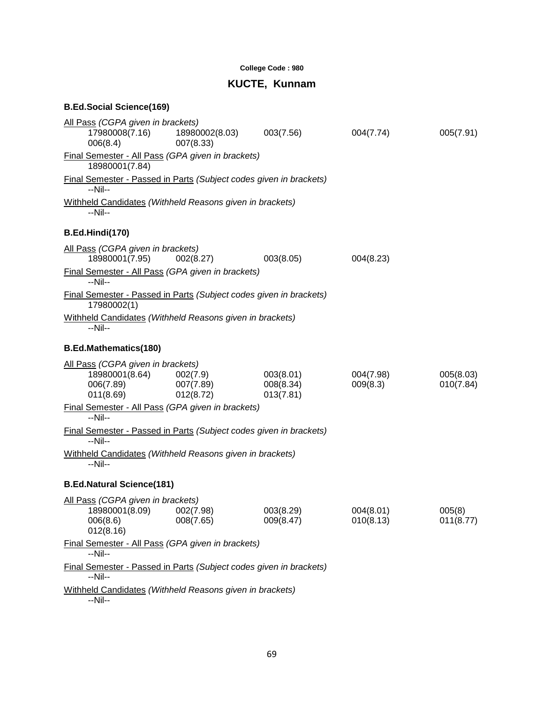# **College Code : 980**

# **KUCTE, Kunnam**

# **B.Ed.Social Science(169)**

| All Pass (CGPA given in brackets)                                                      |                             |                                     |                        |                        |
|----------------------------------------------------------------------------------------|-----------------------------|-------------------------------------|------------------------|------------------------|
| 17980008(7.16)<br>006(8.4)                                                             | 18980002(8.03)<br>007(8.33) | 003(7.56)                           | 004(7.74)              | 005(7.91)              |
| Final Semester - All Pass (GPA given in brackets)<br>18980001(7.84)                    |                             |                                     |                        |                        |
| Final Semester - Passed in Parts (Subject codes given in brackets)<br>--Nil--          |                             |                                     |                        |                        |
| Withheld Candidates (Withheld Reasons given in brackets)<br>$-Nil-$                    |                             |                                     |                        |                        |
| B.Ed.Hindi(170)                                                                        |                             |                                     |                        |                        |
| All Pass (CGPA given in brackets)<br>18980001(7.95)                                    | 002(8.27)                   | 003(8.05)                           | 004(8.23)              |                        |
| Final Semester - All Pass (GPA given in brackets)<br>--Nil--                           |                             |                                     |                        |                        |
| Final Semester - Passed in Parts (Subject codes given in brackets)<br>17980002(1)      |                             |                                     |                        |                        |
| Withheld Candidates (Withheld Reasons given in brackets)<br>--Nil--                    |                             |                                     |                        |                        |
| <b>B.Ed.Mathematics(180)</b>                                                           |                             |                                     |                        |                        |
| All Pass (CGPA given in brackets)<br>18980001(8.64) 002(7.9)<br>006(7.89)<br>011(8.69) | 007(7.89)<br>012(8.72)      | 003(8.01)<br>008(8.34)<br>013(7.81) | 004(7.98)<br>009(8.3)  | 005(8.03)<br>010(7.84) |
| Final Semester - All Pass (GPA given in brackets)<br>$-Nil-$                           |                             |                                     |                        |                        |
| <b>Final Semester - Passed in Parts (Subject codes given in brackets)</b><br>$-Nil-$   |                             |                                     |                        |                        |
| Withheld Candidates (Withheld Reasons given in brackets)<br>$-Nil-$                    |                             |                                     |                        |                        |
| <b>B.Ed.Natural Science(181)</b>                                                       |                             |                                     |                        |                        |
| All Pass (CGPA given in brackets)<br>18980001(8.09)<br>006(8.6)<br>012(8.16)           | 002(7.98)<br>008(7.65)      | 003(8.29)<br>009(8.47)              | 004(8.01)<br>010(8.13) | 005(8)<br>011(8.77)    |
| Final Semester - All Pass (GPA given in brackets)<br>--Nil--                           |                             |                                     |                        |                        |
| Final Semester - Passed in Parts (Subject codes given in brackets)<br>--Nil--          |                             |                                     |                        |                        |
| Withheld Candidates (Withheld Reasons given in brackets)<br>$-Nil-$                    |                             |                                     |                        |                        |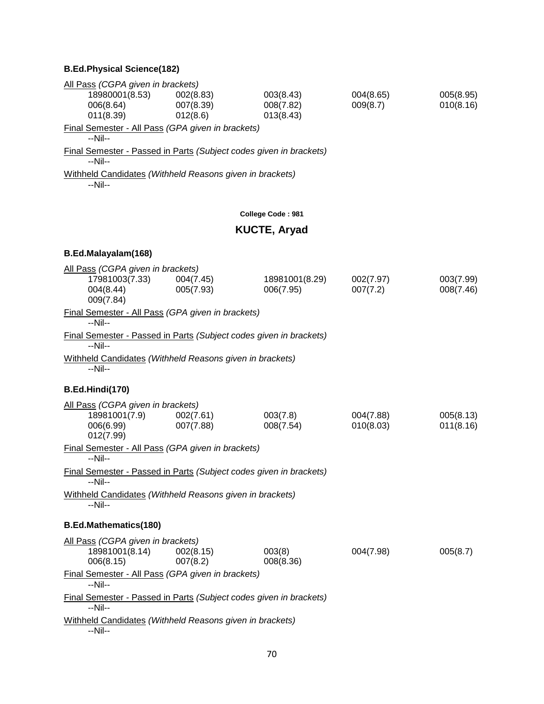### **B.Ed.Physical Science(182)**

| All Pass (CGPA given in brackets)                                             |                        |                             |                       |                        |
|-------------------------------------------------------------------------------|------------------------|-----------------------------|-----------------------|------------------------|
| 18980001(8.53)<br>006(8.64)                                                   | 002(8.83)<br>007(8.39) | 003(8.43)<br>008(7.82)      | 004(8.65)<br>009(8.7) | 005(8.95)<br>010(8.16) |
| 011(8.39)                                                                     | 012(8.6)               | 013(8.43)                   |                       |                        |
| Final Semester - All Pass (GPA given in brackets)                             |                        |                             |                       |                        |
| --Nil--                                                                       |                        |                             |                       |                        |
| Final Semester - Passed in Parts (Subject codes given in brackets)<br>--Nil-- |                        |                             |                       |                        |
| Withheld Candidates (Withheld Reasons given in brackets)                      |                        |                             |                       |                        |
| --Nil--                                                                       |                        |                             |                       |                        |
|                                                                               |                        | College Code: 981           |                       |                        |
|                                                                               |                        | <b>KUCTE, Aryad</b>         |                       |                        |
| B.Ed.Malayalam(168)                                                           |                        |                             |                       |                        |
| All Pass (CGPA given in brackets)                                             |                        |                             |                       |                        |
| 17981003(7.33)                                                                | 004(7.45)              | 18981001(8.29)<br>006(7.95) | 002(7.97)             | 003(7.99)              |
| 004(8.44)<br>009(7.84)                                                        | 005(7.93)              |                             | 007(7.2)              | 008(7.46)              |
| Final Semester - All Pass (GPA given in brackets)                             |                        |                             |                       |                        |
| --Nil--                                                                       |                        |                             |                       |                        |
| Final Semester - Passed in Parts (Subject codes given in brackets)<br>$-Nil-$ |                        |                             |                       |                        |
| Withheld Candidates (Withheld Reasons given in brackets)                      |                        |                             |                       |                        |
| --Nil--                                                                       |                        |                             |                       |                        |
| <b>B.Ed.Hindi(170)</b>                                                        |                        |                             |                       |                        |
| All Pass (CGPA given in brackets)                                             |                        |                             |                       |                        |
| 18981001(7.9)                                                                 | 002(7.61)              | 003(7.8)                    | 004(7.88)             | 005(8.13)              |
| 006(6.99)<br>012(7.99)                                                        | 007(7.88)              | 008(7.54)                   | 010(8.03)             | 011(8.16)              |
| Final Semester - All Pass (GPA given in brackets)                             |                        |                             |                       |                        |
| --Nil--                                                                       |                        |                             |                       |                        |
| Final Semester - Passed in Parts (Subject codes given in brackets)<br>--Nil-- |                        |                             |                       |                        |
| Withheld Candidates (Withheld Reasons given in brackets)                      |                        |                             |                       |                        |
| --Nil--                                                                       |                        |                             |                       |                        |
| <b>B.Ed.Mathematics(180)</b>                                                  |                        |                             |                       |                        |
| All Pass (CGPA given in brackets)                                             |                        |                             |                       |                        |
| 18981001(8.14)<br>006(8.15)                                                   | 002(8.15)<br>007(8.2)  | 003(8)<br>008(8.36)         | 004(7.98)             | 005(8.7)               |
| Final Semester - All Pass (GPA given in brackets)                             |                        |                             |                       |                        |
| --Nil--                                                                       |                        |                             |                       |                        |
| Final Semester - Passed in Parts (Subject codes given in brackets)            |                        |                             |                       |                        |
| --Nil--<br>Withheld Candidates (Withheld Reasons given in brackets)           |                        |                             |                       |                        |
|                                                                               |                        |                             |                       |                        |

--Nil--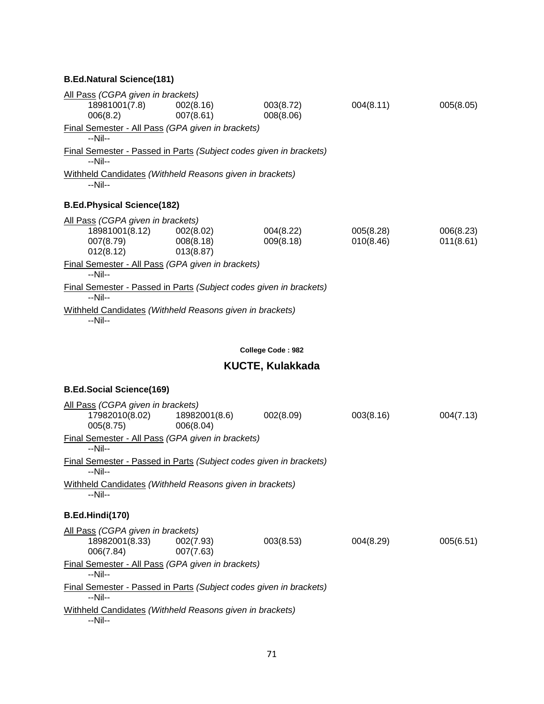|          | All Pass (CGPA given in brackets) |                                                                    |                         |           |           |
|----------|-----------------------------------|--------------------------------------------------------------------|-------------------------|-----------|-----------|
|          | 18981001(7.8)                     | 002(8.16)                                                          | 003(8.72)               | 004(8.11) | 005(8.05) |
| 006(8.2) |                                   | 007(8.61)                                                          | 008(8.06)               |           |           |
| --Nil--  |                                   | Final Semester - All Pass (GPA given in brackets)                  |                         |           |           |
| --Nil--  |                                   | Final Semester - Passed in Parts (Subject codes given in brackets) |                         |           |           |
| --Nil--  |                                   | Withheld Candidates (Withheld Reasons given in brackets)           |                         |           |           |
|          | <b>B.Ed.Physical Science(182)</b> |                                                                    |                         |           |           |
|          | All Pass (CGPA given in brackets) |                                                                    |                         |           |           |
|          | 18981001(8.12) 002(8.02)          |                                                                    | 004(8.22)               | 005(8.28) | 006(8.23) |
|          | 007(8.79) 008(8.18)<br>012(8.12)  | 013(8.87)                                                          | 009(8.18)               | 010(8.46) | 011(8.61) |
| $-Nil-$  |                                   | Final Semester - All Pass (GPA given in brackets)                  |                         |           |           |
| $-Nil-$  |                                   | Final Semester - Passed in Parts (Subject codes given in brackets) |                         |           |           |
| --Nil--  |                                   | Withheld Candidates (Withheld Reasons given in brackets)           |                         |           |           |
|          |                                   |                                                                    |                         |           |           |
|          |                                   |                                                                    | College Code: 982       |           |           |
|          |                                   |                                                                    | <b>KUCTE, Kulakkada</b> |           |           |
|          |                                   |                                                                    |                         |           |           |

#### **B.Ed.Social Science(169)**

| All Pass (CGPA given in brackets)                                                      |           |           |           |           |  |
|----------------------------------------------------------------------------------------|-----------|-----------|-----------|-----------|--|
| 17982010(8.02)  18982001(8.6)<br>005(8.75)                                             | 006(8.04) | 002(8.09) | 003(8.16) | 004(7.13) |  |
| Final Semester - All Pass (GPA given in brackets)<br>--Nil--                           |           |           |           |           |  |
| Final Semester - Passed in Parts (Subject codes given in brackets)<br>$-N$ il--        |           |           |           |           |  |
| Withheld Candidates (Withheld Reasons given in brackets)<br>--Nil--                    |           |           |           |           |  |
| B.Ed.Hindi(170)                                                                        |           |           |           |           |  |
| All Pass (CGPA given in brackets)                                                      |           |           |           |           |  |
| 18982001(8.33) 002(7.93)<br>006(7.84)                                                  | 007(7.63) | 003(8.53) | 004(8.29) | 005(6.51) |  |
| Final Semester - All Pass (GPA given in brackets)<br>$-N$ il--                         |           |           |           |           |  |
| <b>Final Semester - Passed in Parts (Subject codes given in brackets)</b><br>$-N$ il-- |           |           |           |           |  |
| Withheld Candidates (Withheld Reasons given in brackets)<br>$-Nil-$                    |           |           |           |           |  |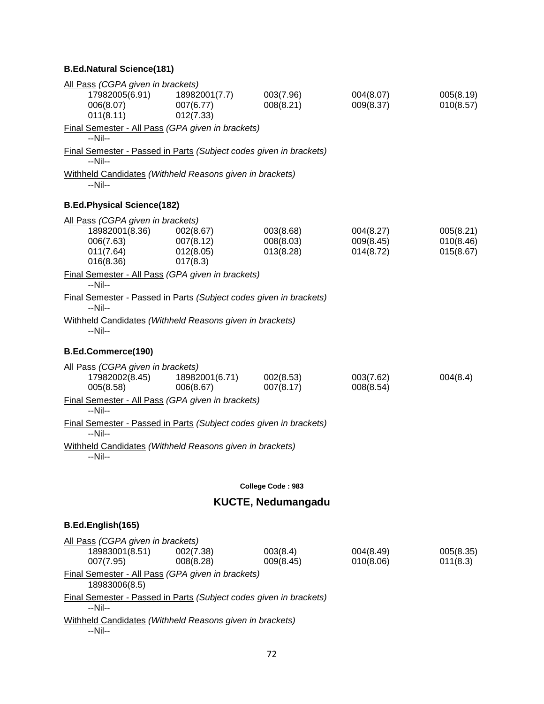| All Pass (CGPA given in brackets)                                                          |                                                 |                                     |                                     |                                     |
|--------------------------------------------------------------------------------------------|-------------------------------------------------|-------------------------------------|-------------------------------------|-------------------------------------|
| 17982005(6.91)<br>006(8.07)<br>011(8.11)                                                   | 18982001(7.7)<br>007(6.77)<br>012(7.33)         | 003(7.96)<br>008(8.21)              | 004(8.07)<br>009(8.37)              | 005(8.19)<br>010(8.57)              |
| Final Semester - All Pass (GPA given in brackets)<br>$-Nil-$                               |                                                 |                                     |                                     |                                     |
| <b>Final Semester - Passed in Parts (Subject codes given in brackets)</b><br>--Nil--       |                                                 |                                     |                                     |                                     |
| Withheld Candidates (Withheld Reasons given in brackets)<br>--Nil--                        |                                                 |                                     |                                     |                                     |
| <b>B.Ed.Physical Science(182)</b>                                                          |                                                 |                                     |                                     |                                     |
| All Pass (CGPA given in brackets)<br>18982001(8.36)<br>006(7.63)<br>011(7.64)<br>016(8.36) | 002(8.67)<br>007(8.12)<br>012(8.05)<br>017(8.3) | 003(8.68)<br>008(8.03)<br>013(8.28) | 004(8.27)<br>009(8.45)<br>014(8.72) | 005(8.21)<br>010(8.46)<br>015(8.67) |
| Final Semester - All Pass (GPA given in brackets)<br>$-Nil-$                               |                                                 |                                     |                                     |                                     |
| Final Semester - Passed in Parts (Subject codes given in brackets)<br>$-Nil-$              |                                                 |                                     |                                     |                                     |
| Withheld Candidates (Withheld Reasons given in brackets)<br>$-Nil-$                        |                                                 |                                     |                                     |                                     |
| B.Ed.Commerce(190)                                                                         |                                                 |                                     |                                     |                                     |
| All Pass (CGPA given in brackets)<br>17982002(8.45)<br>005(8.58)                           | 18982001(6.71)<br>006(8.67)                     | 002(8.53)<br>007(8.17)              | 003(7.62)<br>008(8.54)              | 004(8.4)                            |
| Final Semester - All Pass (GPA given in brackets)<br>$-Nil-$                               |                                                 |                                     |                                     |                                     |
| <b>Final Semester - Passed in Parts (Subject codes given in brackets)</b><br>$-Nil-$       |                                                 |                                     |                                     |                                     |
| Withheld Candidates (Withheld Reasons given in brackets)<br>--Nil--                        |                                                 |                                     |                                     |                                     |
|                                                                                            |                                                 | College Code: 983                   |                                     |                                     |
|                                                                                            |                                                 | <b>KUCTE, Nedumangadu</b>           |                                     |                                     |
| B.Ed.English(165)                                                                          |                                                 |                                     |                                     |                                     |
| All Pass (CGPA given in brackets)                                                          |                                                 |                                     |                                     |                                     |
| 18983001(8.51)<br>007(7.95)                                                                | 002(7.38)<br>008(8.28)                          | 003(8.4)<br>009(8.45)               | 004(8.49)<br>010(8.06)              | 005(8.35)<br>011(8.3)               |
| Final Semester - All Pass (GPA given in brackets)<br>18983006(8.5)                         |                                                 |                                     |                                     |                                     |
| Final Semester - Passed in Parts (Subject codes given in brackets)<br>$-Nil-$              |                                                 |                                     |                                     |                                     |
| Withheld Candidates (Withheld Reasons given in brackets)                                   |                                                 |                                     |                                     |                                     |

--Nil--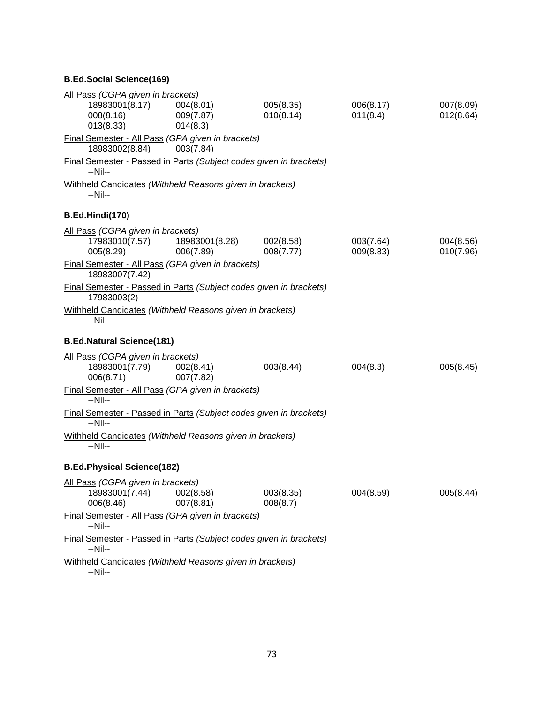## **B.Ed.Social Science(169)**

| All Pass (CGPA given in brackets)                                                 |                                    |                        |                        |                        |
|-----------------------------------------------------------------------------------|------------------------------------|------------------------|------------------------|------------------------|
| 18983001(8.17)<br>008(8.16)<br>013(8.33)                                          | 004(8.01)<br>009(7.87)<br>014(8.3) | 005(8.35)<br>010(8.14) | 006(8.17)<br>011(8.4)  | 007(8.09)<br>012(8.64) |
| Final Semester - All Pass (GPA given in brackets)<br>18983002(8.84)               | 003(7.84)                          |                        |                        |                        |
| Final Semester - Passed in Parts (Subject codes given in brackets)<br>--Nil--     |                                    |                        |                        |                        |
| Withheld Candidates (Withheld Reasons given in brackets)<br>--Nil--               |                                    |                        |                        |                        |
| B.Ed.Hindi(170)                                                                   |                                    |                        |                        |                        |
| All Pass (CGPA given in brackets)<br>17983010(7.57)<br>005(8.29)                  | 18983001(8.28)<br>006(7.89)        | 002(8.58)<br>008(7.77) | 003(7.64)<br>009(8.83) | 004(8.56)<br>010(7.96) |
| Final Semester - All Pass (GPA given in brackets)<br>18983007(7.42)               |                                    |                        |                        |                        |
| Final Semester - Passed in Parts (Subject codes given in brackets)<br>17983003(2) |                                    |                        |                        |                        |
| Withheld Candidates (Withheld Reasons given in brackets)<br>--Nil--               |                                    |                        |                        |                        |
| <b>B.Ed.Natural Science(181)</b>                                                  |                                    |                        |                        |                        |
| All Pass (CGPA given in brackets)<br>18983001(7.79)<br>006(8.71)                  | 002(8.41)<br>007(7.82)             | 003(8.44)              | 004(8.3)               | 005(8.45)              |
| Final Semester - All Pass (GPA given in brackets)<br>$-Nil-$                      |                                    |                        |                        |                        |
| Final Semester - Passed in Parts (Subject codes given in brackets)<br>$-Nil-$     |                                    |                        |                        |                        |
| Withheld Candidates (Withheld Reasons given in brackets)<br>--Nil--               |                                    |                        |                        |                        |
| <b>B.Ed.Physical Science(182)</b>                                                 |                                    |                        |                        |                        |
| All Pass (CGPA given in brackets)<br>18983001(7.44)<br>006(8.46)                  | 002(8.58)<br>007(8.81)             | 003(8.35)<br>008(8.7)  | 004(8.59)              | 005(8.44)              |
| Final Semester - All Pass (GPA given in brackets)<br>--Nil--                      |                                    |                        |                        |                        |
| Final Semester - Passed in Parts (Subject codes given in brackets)<br>--Nil--     |                                    |                        |                        |                        |
| Withheld Candidates (Withheld Reasons given in brackets)<br>--Nil--               |                                    |                        |                        |                        |